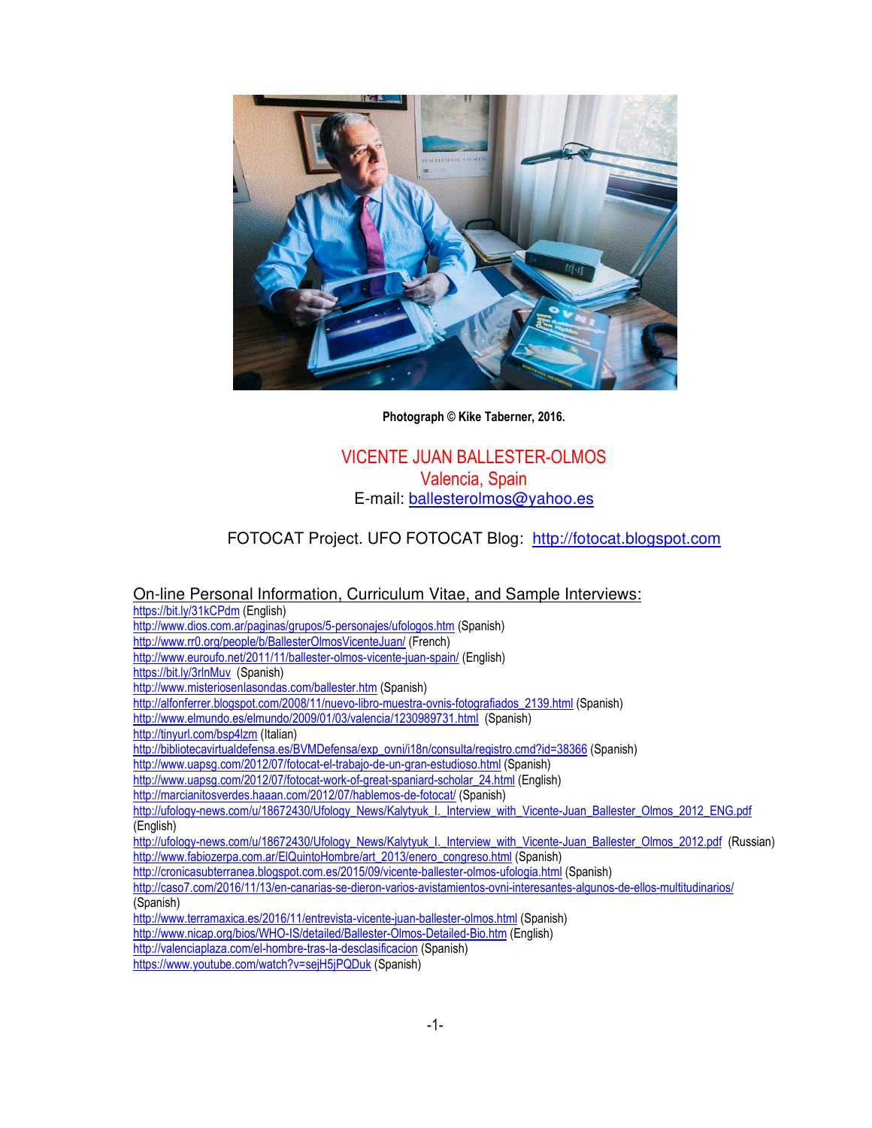

**Photograph © Kike Taberner, 2016.** 

# VICENTE JUAN BALLESTER-OLMOS Valencia, Spain E-mail: ballesterolmos@yahoo.es

# FOTOCAT Project. UFO FOTOCAT Blog: http://fotocat.blogspot.com

### On-line Personal Information, Curriculum Vitae, and Sample Interviews:

https://bit.ly/31kCPdm (English)

- http://www.dios.com.ar/paginas/grupos/5-personajes/ufologos.htm (Spanish)
- http://www.rr0.org/people/b/BallesterOlmosVicenteJuan/ (French)
- http://www.euroufo.net/2011/11/ballester-olmos-vicente-juan-spain/ (English)
- https://bit.ly/3rlnMuv (Spanish)
- http://www.misteriosenlasondas.com/ballester.htm (Spanish)
- http://alfonferrer.blogspot.com/2008/11/nuevo-libro-muestra-ovnis-fotografiados\_2139.html (Spanish)
- http://www.elmundo.es/elmundo/2009/01/03/valencia/1230989731.html (Spanish)
- http://tinyurl.com/bsp4lzm (Italian)
- http://bibliotecavirtualdefensa.es/BVMDefensa/exp\_ovni/i18n/consulta/registro.cmd?id=38366 (Spanish)
- http://www.uapsg.com/2012/07/fotocat-el-trabajo-de-un-gran-estudioso.html (Spanish)
- http://www.uapsg.com/2012/07/fotocat-work-of-great-spaniard-scholar\_24.html (English)
- http://marcianitosverdes.haaan.com/2012/07/hablemos-de-fotocat/ (Spanish)

http://ufology-news.com/u/18672430/Ufology\_News/Kalytyuk\_I.\_Interview\_with\_Vicente-Juan\_Ballester\_Olmos\_2012\_ENG.pdf (English)

- http://ufology-news.com/u/18672430/Ufology\_News/Kalytyuk\_I.\_Interview\_with\_Vicente-Juan\_Ballester\_Olmos\_2012.pdf (Russian) http://www.fabiozerpa.com.ar/ElQuintoHombre/art\_2013/enero\_congreso.html (Spanish)
- http://cronicasubterranea.blogspot.com.es/2015/09/vicente-ballester-olmos-ufologia.html (Spanish)

http://caso7.com/2016/11/13/en-canarias-se-dieron-varios-avistamientos-ovni-interesantes-algunos-de-ellos-multitudinarios/ (Spanish)

- http://www.terramaxica.es/2016/11/entrevista-vicente-juan-ballester-olmos.html (Spanish)
- http://www.nicap.org/bios/WHO-IS/detailed/Ballester-Olmos-Detailed-Bio.htm (English)
- http://valenciaplaza.com/el-hombre-tras-la-desclasificacion (Spanish)
- https://www.youtube.com/watch?v=sejH5jPQDuk (Spanish)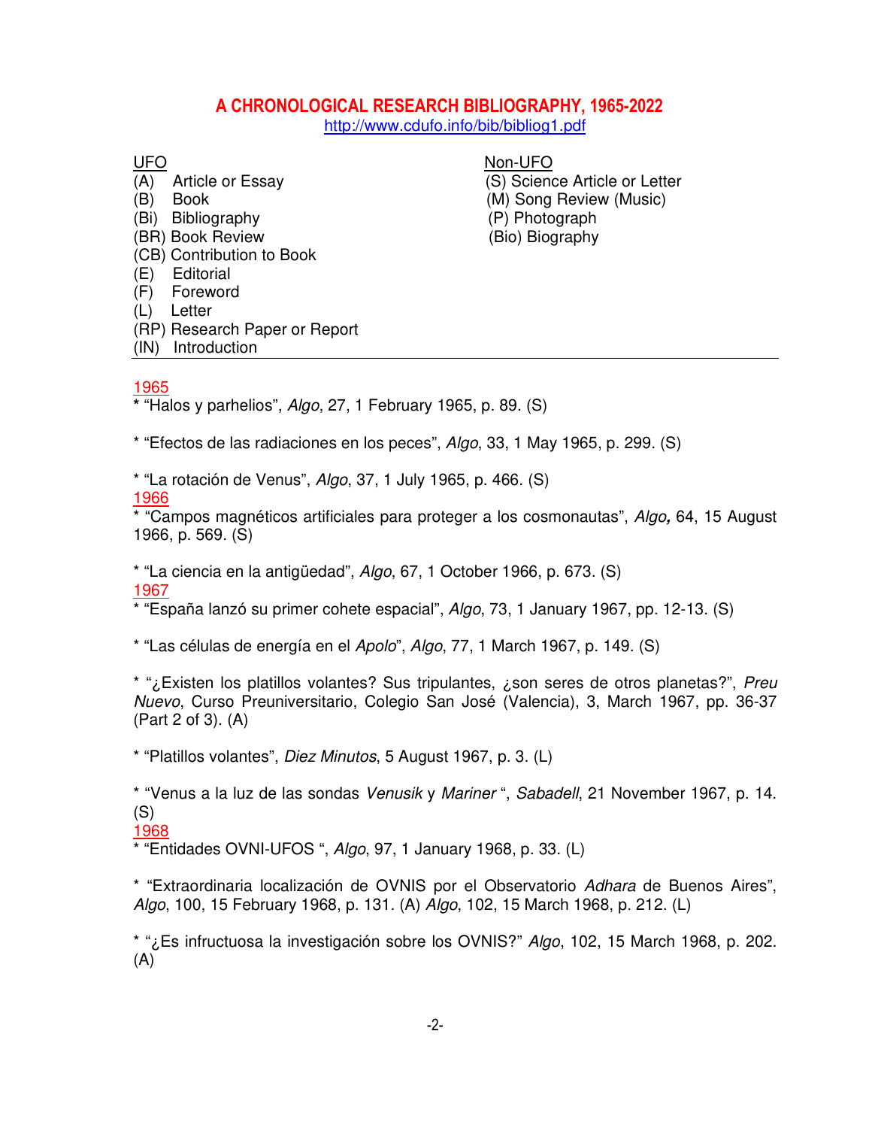# **A CHRONOLOGICAL RESEARCH BIBLIOGRAPHY, 1965-2022**

http://www.cdufo.info/bib/bibliog1.pdf

(A) Article or Essay (S) Science Article or Letter (B) Book (M) Song Review (Music) (Bi) Bibliography (P) Photograph (BR) Book Review (Bio) Biography (CB) Contribution to Book (E) Editorial (F) Foreword (L) Letter (RP) Research Paper or Report (IN) Introduction

UFONon-UFO

### 1965

**\*** "Halos y parhelios", Algo, 27, 1 February 1965, p. 89. (S)

\* "Efectos de las radiaciones en los peces", Algo, 33, 1 May 1965, p. 299. (S)

\* "La rotación de Venus", Algo, 37, 1 July 1965, p. 466. (S) 1966

\* "Campos magnéticos artificiales para proteger a los cosmonautas", Algo**,** 64, 15 August 1966, p. 569. (S)

\* "La ciencia en la antigüedad", Algo, 67, 1 October 1966, p. 673. (S) 1967

\* "España lanzó su primer cohete espacial", Algo, 73, 1 January 1967, pp. 12-13. (S)

\* "Las células de energía en el Apolo", Algo, 77, 1 March 1967, p. 149. (S)

\* "i. Existen los platillos volantes? Sus tripulantes, i. son seres de otros planetas?", Preu Nuevo, Curso Preuniversitario, Colegio San José (Valencia), 3, March 1967, pp. 36-37 (Part 2 of 3). (A)

\* "Platillos volantes", Diez Minutos, 5 August 1967, p. 3. (L)

\* "Venus a la luz de las sondas Venusik y Mariner ", Sabadell, 21 November 1967, p. 14. (S)

#### 1968

\* "Entidades OVNI-UFOS ", Algo, 97, 1 January 1968, p. 33. (L)

\* "Extraordinaria localización de OVNIS por el Observatorio Adhara de Buenos Aires", Algo, 100, 15 February 1968, p. 131. (A) Algo, 102, 15 March 1968, p. 212. (L)

\* "¿Es infructuosa la investigación sobre los OVNIS?" Algo, 102, 15 March 1968, p. 202. (A)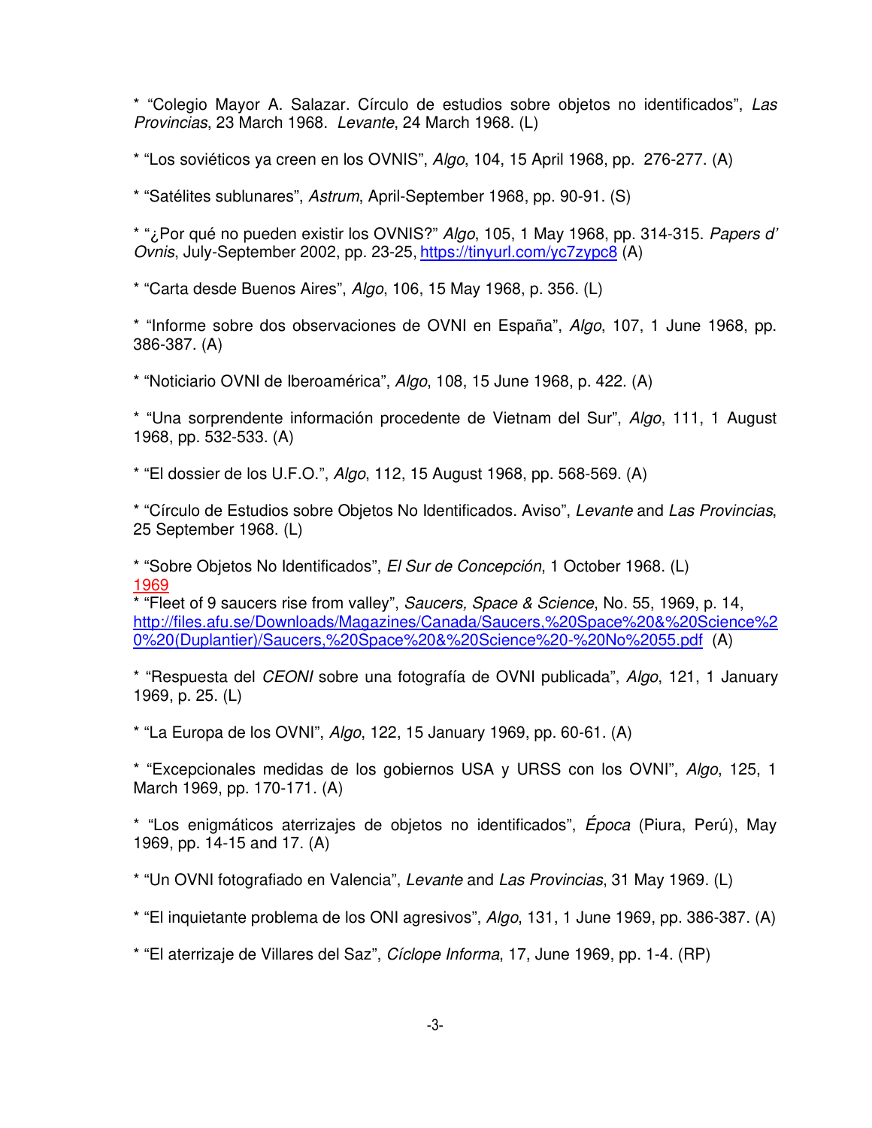\* "Colegio Mayor A. Salazar. Círculo de estudios sobre objetos no identificados", Las Provincias, 23 March 1968. Levante, 24 March 1968. (L)

\* "Los soviéticos ya creen en los OVNIS", Algo, 104, 15 April 1968, pp. 276-277. (A)

\* "Satélites sublunares", Astrum, April-September 1968, pp. 90-91. (S)

\* "¿Por qué no pueden existir los OVNIS?" Algo, 105, 1 May 1968, pp. 314-315. Papers d' Ovnis, July-September 2002, pp. 23-25, https://tinyurl.com/yc7zypc8 (A)

\* "Carta desde Buenos Aires", Algo, 106, 15 May 1968, p. 356. (L)

\* "Informe sobre dos observaciones de OVNI en España", Algo, 107, 1 June 1968, pp. 386-387. (A)

\* "Noticiario OVNI de Iberoamérica", Algo, 108, 15 June 1968, p. 422. (A)

\* "Una sorprendente información procedente de Vietnam del Sur", Algo, 111, 1 August 1968, pp. 532-533. (A)

\* "El dossier de los U.F.O.", Algo, 112, 15 August 1968, pp. 568-569. (A)

\* "Círculo de Estudios sobre Objetos No Identificados. Aviso", Levante and Las Provincias, 25 September 1968. (L)

\* "Sobre Objetos No Identificados", El Sur de Concepción, 1 October 1968. (L) 1969

\* "Fleet of 9 saucers rise from valley", Saucers, Space & Science, No. 55, 1969, p. 14, http://files.afu.se/Downloads/Magazines/Canada/Saucers,%20Space%20&%20Science%2 0%20(Duplantier)/Saucers,%20Space%20&%20Science%20-%20No%2055.pdf (A)

\* "Respuesta del CEONI sobre una fotografía de OVNI publicada", Algo, 121, 1 January 1969, p. 25. (L)

\* "La Europa de los OVNI", Algo, 122, 15 January 1969, pp. 60-61. (A)

\* "Excepcionales medidas de los gobiernos USA y URSS con los OVNI", Algo, 125, 1 March 1969, pp. 170-171. (A)

\* "Los enigmáticos aterrizajes de objetos no identificados", Época (Piura, Perú), May 1969, pp. 14-15 and 17. (A)

\* "Un OVNI fotografiado en Valencia", Levante and Las Provincias, 31 May 1969. (L)

\* "El inquietante problema de los ONI agresivos", Algo, 131, 1 June 1969, pp. 386-387. (A)

\* "El aterrizaje de Villares del Saz", Cíclope Informa, 17, June 1969, pp. 1-4. (RP)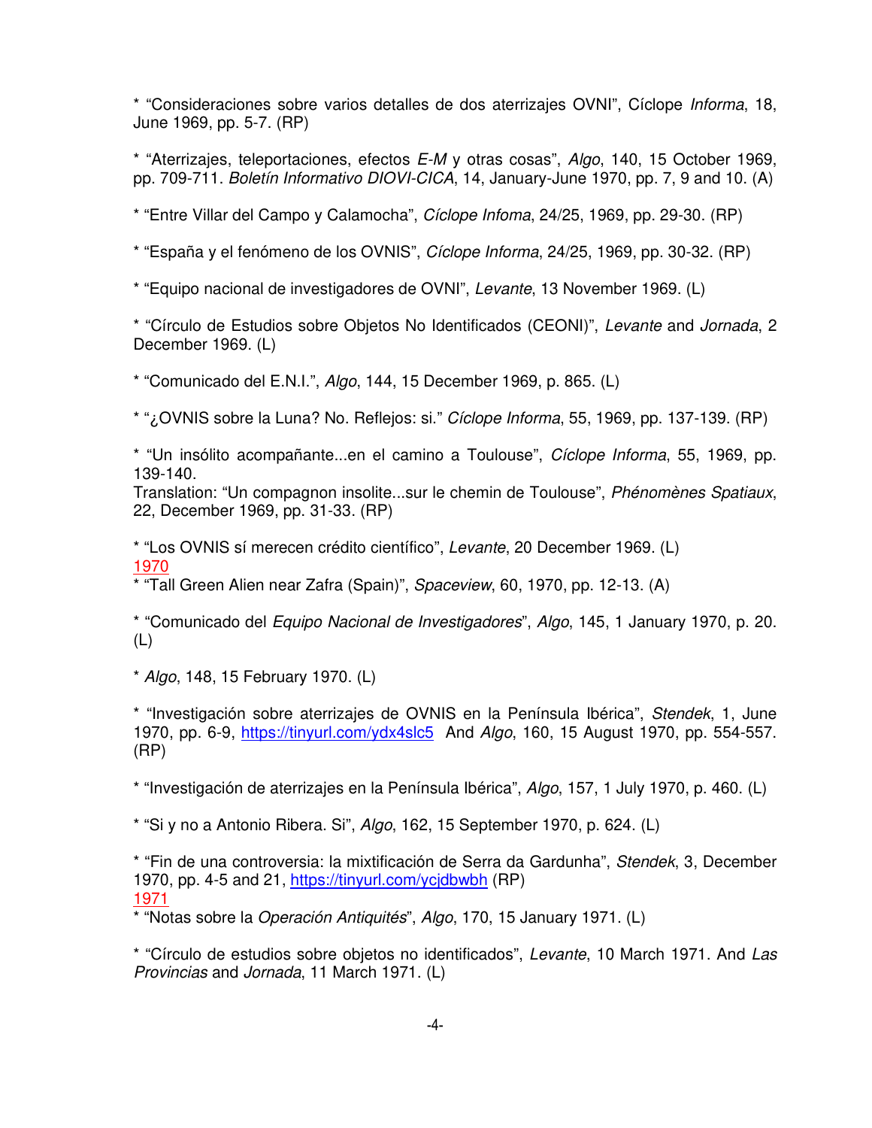\* "Consideraciones sobre varios detalles de dos aterrizajes OVNI", Cíclope Informa, 18, June 1969, pp. 5-7. (RP)

\* "Aterrizajes, teleportaciones, efectos  $E-M$  y otras cosas",  $Algo$ , 140, 15 October 1969, pp. 709-711. Boletín Informativo DIOVI-CICA, 14, January-June 1970, pp. 7, 9 and 10. (A)

\* "Entre Villar del Campo y Calamocha", Cíclope Infoma, 24/25, 1969, pp. 29-30. (RP)

\* "España y el fenómeno de los OVNIS", Cíclope Informa, 24/25, 1969, pp. 30-32. (RP)

\* "Equipo nacional de investigadores de OVNI", Levante, 13 November 1969. (L)

\* "Círculo de Estudios sobre Objetos No Identificados (CEONI)", Levante and Jornada, 2 December 1969. (L)

\* "Comunicado del E.N.I.", Algo, 144, 15 December 1969, p. 865. (L)

\* "¿OVNIS sobre la Luna? No. Reflejos: si." Cíclope Informa, 55, 1969, pp. 137-139. (RP)

\* "Un insólito acompañante...en el camino a Toulouse", Cíclope Informa, 55, 1969, pp. 139-140.

Translation: "Un compagnon insolite...sur le chemin de Toulouse", Phénomènes Spatiaux, 22, December 1969, pp. 31-33. (RP)

\* "Los OVNIS sí merecen crédito científico", Levante, 20 December 1969. (L) 1970

\* "Tall Green Alien near Zafra (Spain)", Spaceview, 60, 1970, pp. 12-13. (A)

\* "Comunicado del Equipo Nacional de Investigadores", Algo, 145, 1 January 1970, p. 20. (L)

\* Algo, 148, 15 February 1970. (L)

\* "Investigación sobre aterrizajes de OVNIS en la Península Ibérica", Stendek, 1, June 1970, pp. 6-9, https://tinyurl.com/ydx4slc5 And Algo, 160, 15 August 1970, pp. 554-557. (RP)

\* "Investigación de aterrizajes en la Península Ibérica", Algo, 157, 1 July 1970, p. 460. (L)

\* "Si y no a Antonio Ribera. Si", Algo, 162, 15 September 1970, p. 624. (L)

\* "Fin de una controversia: la mixtificación de Serra da Gardunha", Stendek, 3, December 1970, pp. 4-5 and 21, https://tinyurl.com/ycjdbwbh (RP) 1971

\* "Notas sobre la Operación Antiquités", Algo, 170, 15 January 1971. (L)

\* "Círculo de estudios sobre objetos no identificados", Levante, 10 March 1971. And Las Provincias and Jornada, 11 March 1971. (L)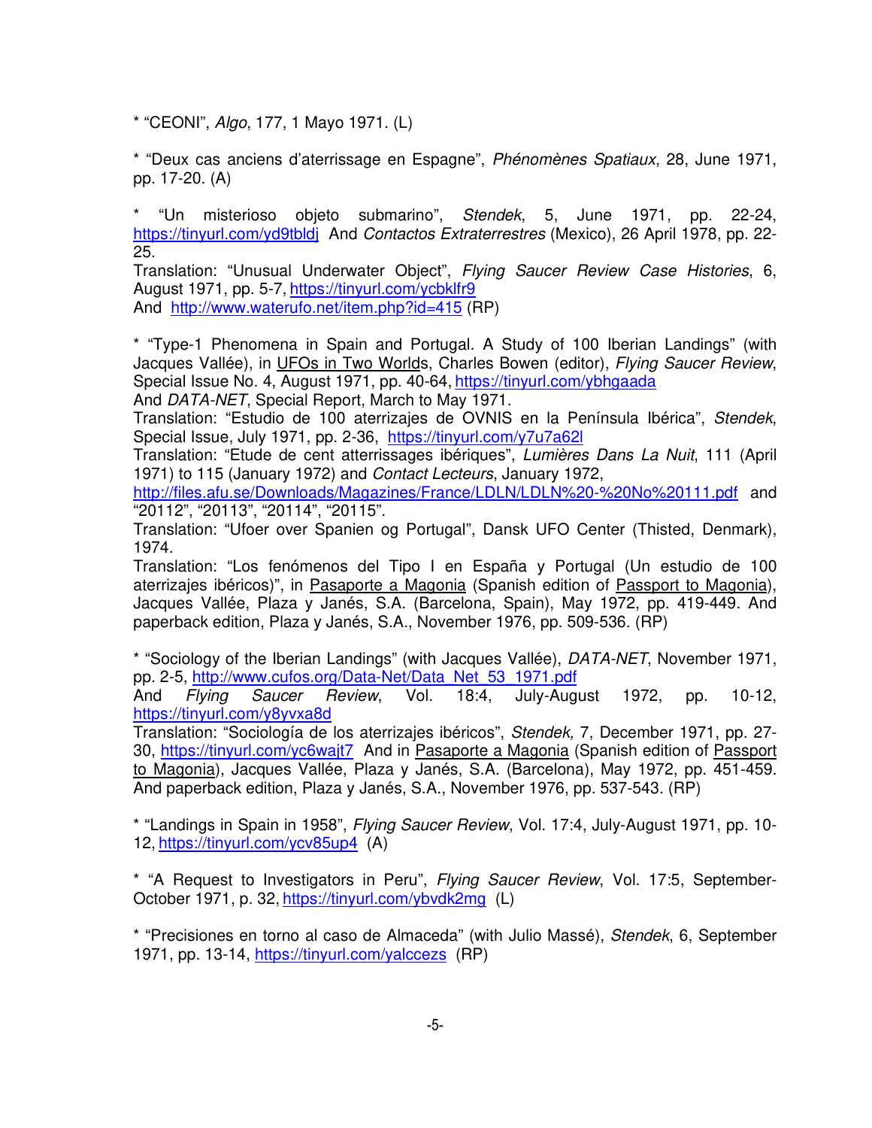\* "CEONI", Algo, 177, 1 Mayo 1971. (L)

\* "Deux cas anciens d'aterrissage en Espagne", Phénomènes Spatiaux, 28, June 1971, pp. 17-20. (A)

\* "Un misterioso objeto submarino", Stendek, 5, June 1971, pp. 22-24, https://tinyurl.com/yd9tbldj And Contactos Extraterrestres (Mexico), 26 April 1978, pp. 22-25.

Translation: "Unusual Underwater Object", Flying Saucer Review Case Histories, 6, August 1971, pp. 5-7, https://tinyurl.com/ycbklfr9 And http://www.waterufo.net/item.php?id=415 (RP)

\* "Type-1 Phenomena in Spain and Portugal. A Study of 100 Iberian Landings" (with Jacques Vallée), in UFOs in Two Worlds, Charles Bowen (editor), Flying Saucer Review, Special Issue No. 4, August 1971, pp. 40-64, https://tinyurl.com/ybhgaada

And DATA-NET, Special Report, March to May 1971.

Translation: "Estudio de 100 aterrizajes de OVNIS en la Península Ibérica", Stendek, Special Issue, July 1971, pp. 2-36, https://tinyurl.com/y7u7a62l

Translation: "Etude de cent atterrissages ibériques", Lumières Dans La Nuit, 111 (April 1971) to 115 (January 1972) and Contact Lecteurs, January 1972,

http://files.afu.se/Downloads/Magazines/France/LDLN/LDLN%20-%20No%20111.pdf and "20112", "20113", "20114", "20115".

Translation: "Ufoer over Spanien og Portugal", Dansk UFO Center (Thisted, Denmark), 1974.

Translation: "Los fenómenos del Tipo I en España y Portugal (Un estudio de 100 aterrizajes ibéricos)", in Pasaporte a Magonia (Spanish edition of Passport to Magonia), Jacques Vallée, Plaza y Janés, S.A. (Barcelona, Spain), May 1972, pp. 419-449. And paperback edition, Plaza y Janés, S.A., November 1976, pp. 509-536. (RP)

\* "Sociology of the Iberian Landings" (with Jacques Vallée), DATA-NET, November 1971, pp. 2-5, http://www.cufos.org/Data-Net/Data\_Net\_53\_1971.pdf

And Flying Saucer Review, Vol. 18:4, July-August 1972, pp. 10-12, https://tinyurl.com/y8yvxa8d

Translation: "Sociología de los aterrizajes ibéricos", Stendek, 7, December 1971, pp. 27- 30, https://tinyurl.com/yc6wajt7 And in Pasaporte a Magonia (Spanish edition of Passport to Magonia), Jacques Vallée, Plaza y Janés, S.A. (Barcelona), May 1972, pp. 451-459. And paperback edition, Plaza y Janés, S.A., November 1976, pp. 537-543. (RP)

\* "Landings in Spain in 1958", Flying Saucer Review, Vol. 17:4, July-August 1971, pp. 10- 12, https://tinyurl.com/ycv85up4 (A)

\* "A Request to Investigators in Peru", Flying Saucer Review, Vol. 17:5, September-October 1971, p. 32, https://tinyurl.com/ybvdk2mg (L)

\* "Precisiones en torno al caso de Almaceda" (with Julio Massé), Stendek, 6, September 1971, pp. 13-14, https://tinyurl.com/yalccezs (RP)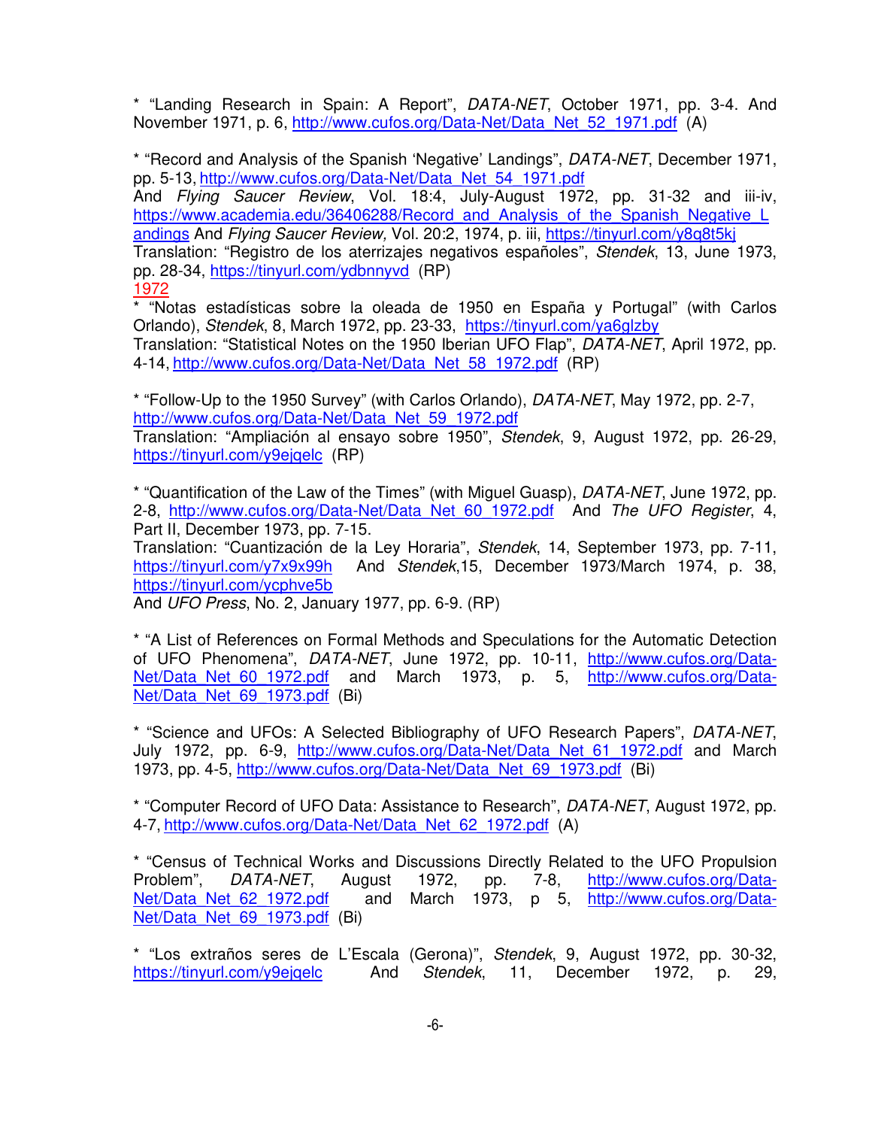\* "Landing Research in Spain: A Report", DATA-NET, October 1971, pp. 3-4. And November 1971, p. 6, http://www.cufos.org/Data-Net/Data\_Net\_52\_1971.pdf (A)

\* "Record and Analysis of the Spanish 'Negative' Landings", DATA-NET, December 1971, pp. 5-13, http://www.cufos.org/Data-Net/Data\_Net\_54\_1971.pdf

And Flying Saucer Review, Vol. 18:4, July-August 1972, pp. 31-32 and iii-iv, https://www.academia.edu/36406288/Record\_and\_Analysis\_of\_the\_Spanish\_Negative\_L andings And Flying Saucer Review, Vol. 20:2, 1974, p. iii, https://tinyurl.com/y8q8t5kj

Translation: "Registro de los aterrizajes negativos españoles", Stendek, 13, June 1973, pp. 28-34, https://tinyurl.com/ydbnnyvd (RP)

1972

\* "Notas estadísticas sobre la oleada de 1950 en España y Portugal" (with Carlos Orlando), Stendek, 8, March 1972, pp. 23-33, https://tinyurl.com/ya6glzby Translation: "Statistical Notes on the 1950 Iberian UFO Flap", DATA-NET, April 1972, pp. 4-14, http://www.cufos.org/Data-Net/Data\_Net\_58\_1972.pdf (RP)

\* "Follow-Up to the 1950 Survey" (with Carlos Orlando), DATA-NET, May 1972, pp. 2-7, http://www.cufos.org/Data-Net/Data\_Net\_59\_1972.pdf

Translation: "Ampliación al ensayo sobre 1950", Stendek, 9, August 1972, pp. 26-29, https://tinyurl.com/y9ejqelc (RP)

\* "Quantification of the Law of the Times" (with Miguel Guasp), DATA-NET, June 1972, pp. 2-8, http://www.cufos.org/Data-Net/Data\_Net\_60\_1972.pdf And The UFO Register, 4, Part II, December 1973, pp. 7-15.

Translation: "Cuantización de la Ley Horaria", Stendek, 14, September 1973, pp. 7-11, https://tinyurl.com/y7x9x99h And Stendek,15, December 1973/March 1974, p. 38, https://tinyurl.com/ycphve5b

And UFO Press, No. 2, January 1977, pp. 6-9. (RP)

\* "A List of References on Formal Methods and Speculations for the Automatic Detection of UFO Phenomena", DATA-NET, June 1972, pp. 10-11, http://www.cufos.org/Data-Net/Data Net 60 1972.pdf and March 1973, p. 5, http://www.cufos.org/Data-Net/Data Net 69 1973.pdf (Bi)

\* "Science and UFOs: A Selected Bibliography of UFO Research Papers", DATA-NET, July 1972, pp. 6-9, http://www.cufos.org/Data-Net/Data\_Net\_61\_1972.pdf and March 1973, pp. 4-5, http://www.cufos.org/Data-Net/Data\_Net\_69\_1973.pdf (Bi)

\* "Computer Record of UFO Data: Assistance to Research", DATA-NET, August 1972, pp. 4-7, http://www.cufos.org/Data-Net/Data\_Net\_62\_1972.pdf (A)

\* "Census of Technical Works and Discussions Directly Related to the UFO Propulsion Problem", DATA-NET, August 1972, pp. 7-8, http://www.cufos.org/Data-Net/Data Net 62 1972.pdf and March 1973, p 5, http://www.cufos.org/Data-Net/Data\_Net\_69\_1973.pdf (Bi)

\* "Los extraños seres de L'Escala (Gerona)", Stendek, 9, August 1972, pp. 30-32, https://tinyurl.com/y9ejqelc And Stendek, 11, December 1972, p. 29,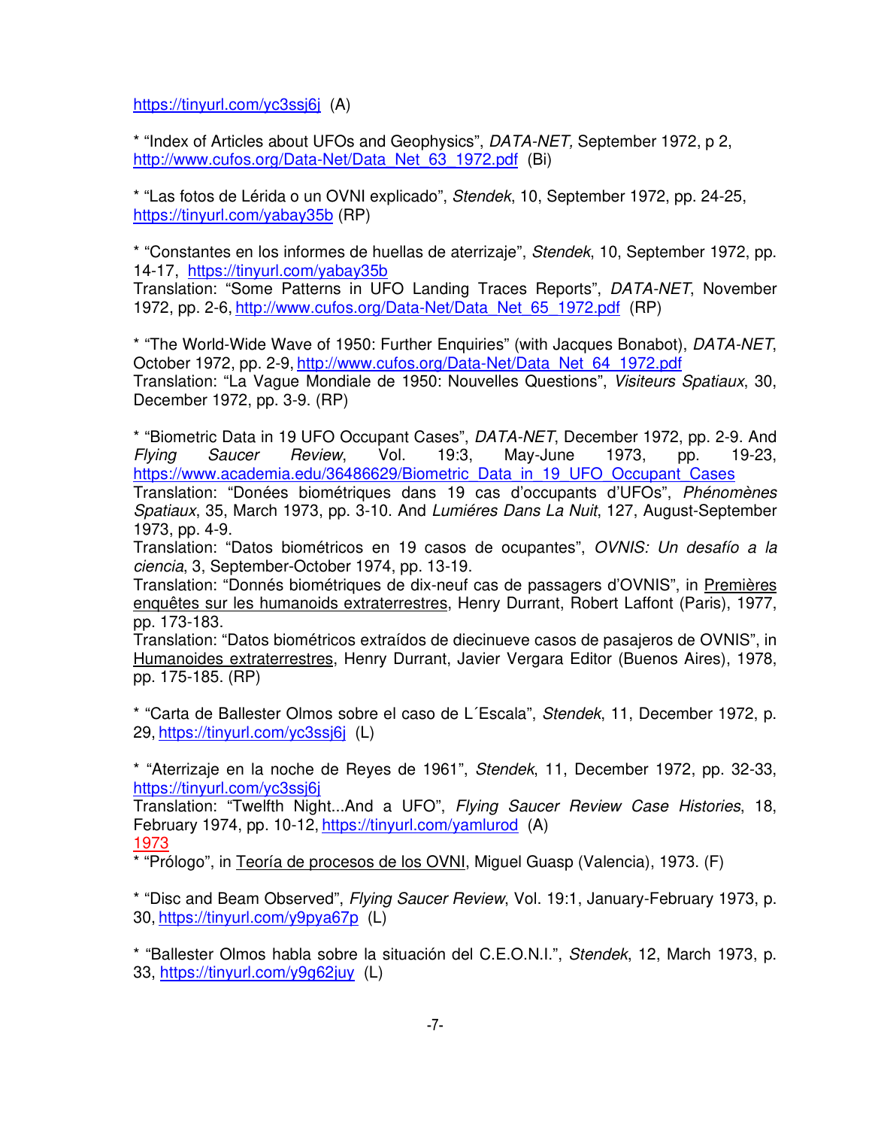https://tinyurl.com/yc3ssj6j (A)

\* "Index of Articles about UFOs and Geophysics", DATA-NET, September 1972, p 2, http://www.cufos.org/Data-Net/Data\_Net\_63\_1972.pdf (Bi)

\* "Las fotos de Lérida o un OVNI explicado", Stendek, 10, September 1972, pp. 24-25, https://tinyurl.com/yabay35b (RP)

\* "Constantes en los informes de huellas de aterrizaje", Stendek, 10, September 1972, pp. 14-17, https://tinyurl.com/yabay35b

Translation: "Some Patterns in UFO Landing Traces Reports", DATA-NET, November 1972, pp. 2-6, http://www.cufos.org/Data-Net/Data\_Net\_65\_1972.pdf (RP)

\* "The World-Wide Wave of 1950: Further Enquiries" (with Jacques Bonabot), DATA-NET, October 1972, pp. 2-9, http://www.cufos.org/Data-Net/Data\_Net\_64\_1972.pdf Translation: "La Vague Mondiale de 1950: Nouvelles Questions", Visiteurs Spatiaux, 30, December 1972, pp. 3-9. (RP)

\* "Biometric Data in 19 UFO Occupant Cases", DATA-NET, December 1972, pp. 2-9. And Flying Saucer Review, Vol. 19:3, May-June 1973, pp. 19-23, https://www.academia.edu/36486629/Biometric\_Data\_in\_19\_UFO\_Occupant\_Cases

Translation: "Donées biométriques dans 19 cas d'occupants d'UFOs", Phénomènes Spatiaux, 35, March 1973, pp. 3-10. And Lumiéres Dans La Nuit, 127, August-September 1973, pp. 4-9.

Translation: "Datos biométricos en 19 casos de ocupantes", OVNIS: Un desafío a la ciencia, 3, September-October 1974, pp. 13-19.

Translation: "Donnés biométriques de dix-neuf cas de passagers d'OVNIS", in Premières enquêtes sur les humanoids extraterrestres, Henry Durrant, Robert Laffont (Paris), 1977, pp. 173-183.

Translation: "Datos biométricos extraídos de diecinueve casos de pasajeros de OVNIS", in Humanoides extraterrestres, Henry Durrant, Javier Vergara Editor (Buenos Aires), 1978, pp. 175-185. (RP)

\* "Carta de Ballester Olmos sobre el caso de L´Escala", Stendek, 11, December 1972, p. 29, https://tinyurl.com/yc3ssj6j (L)

\* "Aterrizaje en la noche de Reyes de 1961", Stendek, 11, December 1972, pp. 32-33, https://tinyurl.com/yc3ssj6j

Translation: "Twelfth Night...And a UFO", Flying Saucer Review Case Histories, 18, February 1974, pp. 10-12, https://tinyurl.com/yamlurod (A) 1973

\* "Prólogo", in Teoría de procesos de los OVNI, Miguel Guasp (Valencia), 1973. (F)

\* "Disc and Beam Observed", Flying Saucer Review, Vol. 19:1, January-February 1973, p. 30, https://tinyurl.com/y9pya67p (L)

\* "Ballester Olmos habla sobre la situación del C.E.O.N.I.", Stendek, 12, March 1973, p. 33, https://tinyurl.com/y9g62juy (L)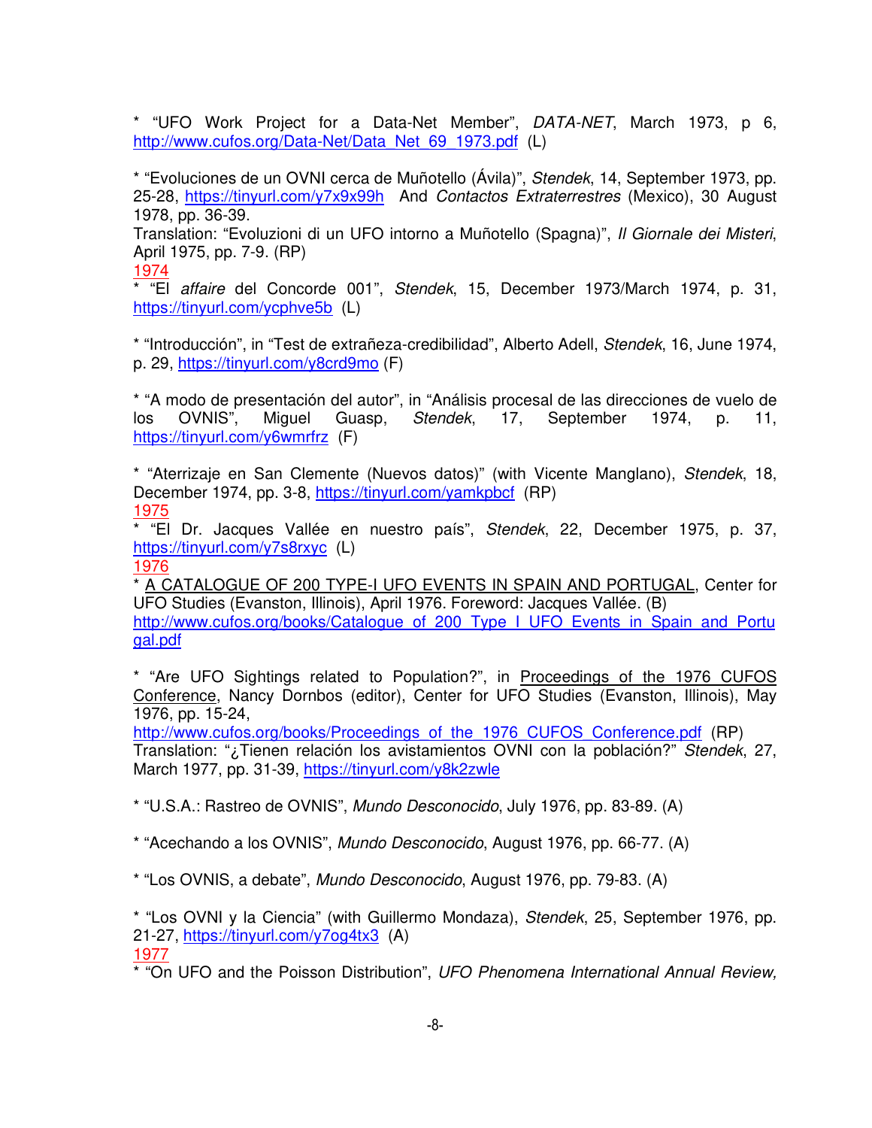\* "UFO Work Project for a Data-Net Member", DATA-NET, March 1973, p 6, http://www.cufos.org/Data-Net/Data\_Net\_69\_1973.pdf (L)

\* "Evoluciones de un OVNI cerca de Muñotello (Ávila)", Stendek, 14, September 1973, pp. 25-28, https://tinyurl.com/y7x9x99h And Contactos Extraterrestres (Mexico), 30 August 1978, pp. 36-39.

Translation: "Evoluzioni di un UFO intorno a Muñotello (Spagna)", Il Giornale dei Misteri, April 1975, pp. 7-9. (RP)

1974

\* "El affaire del Concorde 001", Stendek, 15, December 1973/March 1974, p. 31, https://tinyurl.com/ycphve5b (L)

\* "Introducción", in "Test de extrañeza-credibilidad", Alberto Adell, Stendek, 16, June 1974, p. 29, https://tinyurl.com/y8crd9mo (F)

\* "A modo de presentación del autor", in "Análisis procesal de las direcciones de vuelo de los OVNIS", Miguel Guasp, Stendek, 17, September 1974, p. 11, https://tinyurl.com/y6wmrfrz (F)

\* "Aterrizaje en San Clemente (Nuevos datos)" (with Vicente Manglano), Stendek, 18, December 1974, pp. 3-8, https://tinyurl.com/yamkpbcf (RP) 1975

\* "El Dr. Jacques Vallée en nuestro país", Stendek, 22, December 1975, p. 37, https://tinyurl.com/y7s8rxyc (L) 1976

\* A CATALOGUE OF 200 TYPE-I UFO EVENTS IN SPAIN AND PORTUGAL, Center for UFO Studies (Evanston, Illinois), April 1976. Foreword: Jacques Vallée. (B) http://www.cufos.org/books/Catalogue\_of\_200\_Type\_I\_UFO\_Events\_in\_Spain\_and\_Portu gal.pdf

\* "Are UFO Sightings related to Population?", in Proceedings of the 1976 CUFOS Conference, Nancy Dornbos (editor), Center for UFO Studies (Evanston, Illinois), May 1976, pp. 15-24,

http://www.cufos.org/books/Proceedings\_of\_the\_1976\_CUFOS\_Conference.pdf (RP) Translation: "¿Tienen relación los avistamientos OVNI con la población?" Stendek, 27, March 1977, pp. 31-39, https://tinyurl.com/y8k2zwle

\* "U.S.A.: Rastreo de OVNIS", Mundo Desconocido, July 1976, pp. 83-89. (A)

\* "Acechando a los OVNIS", Mundo Desconocido, August 1976, pp. 66-77. (A)

\* "Los OVNIS, a debate", Mundo Desconocido, August 1976, pp. 79-83. (A)

\* "Los OVNI y la Ciencia" (with Guillermo Mondaza), Stendek, 25, September 1976, pp. 21-27, https://tinyurl.com/y7og4tx3 (A)

1977

\* "On UFO and the Poisson Distribution", UFO Phenomena International Annual Review,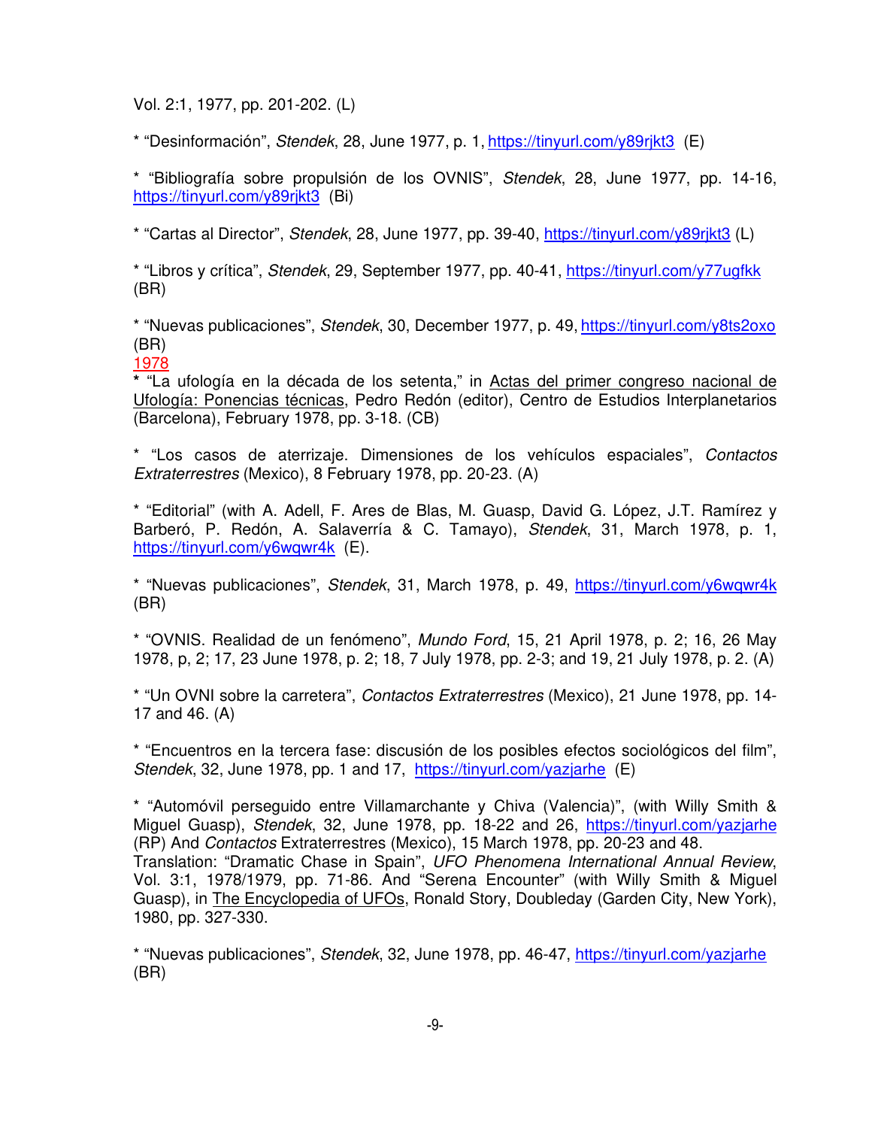Vol. 2:1, 1977, pp. 201-202. (L)

\* "Desinformación", Stendek, 28, June 1977, p. 1, https://tinyurl.com/y89rjkt3 (E)

\* "Bibliografía sobre propulsión de los OVNIS", Stendek, 28, June 1977, pp. 14-16, https://tinyurl.com/y89rjkt3 (Bi)

\* "Cartas al Director", Stendek, 28, June 1977, pp. 39-40, https://tinyurl.com/y89rjkt3 (L)

\* "Libros y crítica", Stendek, 29, September 1977, pp. 40-41, https://tinyurl.com/y77ugfkk (BR)

\* "Nuevas publicaciones", Stendek, 30, December 1977, p. 49, https://tinyurl.com/y8ts2oxo (BR)

1978

**\*** "La ufología en la década de los setenta," in Actas del primer congreso nacional de Ufología: Ponencias técnicas, Pedro Redón (editor), Centro de Estudios Interplanetarios (Barcelona), February 1978, pp. 3-18. (CB)

\* "Los casos de aterrizaje. Dimensiones de los vehículos espaciales", Contactos Extraterrestres (Mexico), 8 February 1978, pp. 20-23. (A)

\* "Editorial" (with A. Adell, F. Ares de Blas, M. Guasp, David G. López, J.T. Ramírez y Barberó, P. Redón, A. Salaverría & C. Tamayo), Stendek, 31, March 1978, p. 1, https://tinyurl.com/y6wqwr4k (E).

\* "Nuevas publicaciones", Stendek, 31, March 1978, p. 49, https://tinyurl.com/y6wqwr4k (BR)

\* "OVNIS. Realidad de un fenómeno", Mundo Ford, 15, 21 April 1978, p. 2; 16, 26 May 1978, p, 2; 17, 23 June 1978, p. 2; 18, 7 July 1978, pp. 2-3; and 19, 21 July 1978, p. 2. (A)

\* "Un OVNI sobre la carretera", Contactos Extraterrestres (Mexico), 21 June 1978, pp. 14- 17 and 46. (A)

\* "Encuentros en la tercera fase: discusión de los posibles efectos sociológicos del film", Stendek, 32, June 1978, pp. 1 and 17, https://tinyurl.com/yazjarhe (E)

\* "Automóvil perseguido entre Villamarchante y Chiva (Valencia)", (with Willy Smith & Miguel Guasp), Stendek, 32, June 1978, pp. 18-22 and 26, https://tinyurl.com/yazjarhe (RP) And Contactos Extraterrestres (Mexico), 15 March 1978, pp. 20-23 and 48. Translation: "Dramatic Chase in Spain", UFO Phenomena International Annual Review, Vol. 3:1, 1978/1979, pp. 71-86. And "Serena Encounter" (with Willy Smith & Miguel Guasp), in The Encyclopedia of UFOs, Ronald Story, Doubleday (Garden City, New York), 1980, pp. 327-330.

\* "Nuevas publicaciones", Stendek, 32, June 1978, pp. 46-47, https://tinyurl.com/yazjarhe (BR)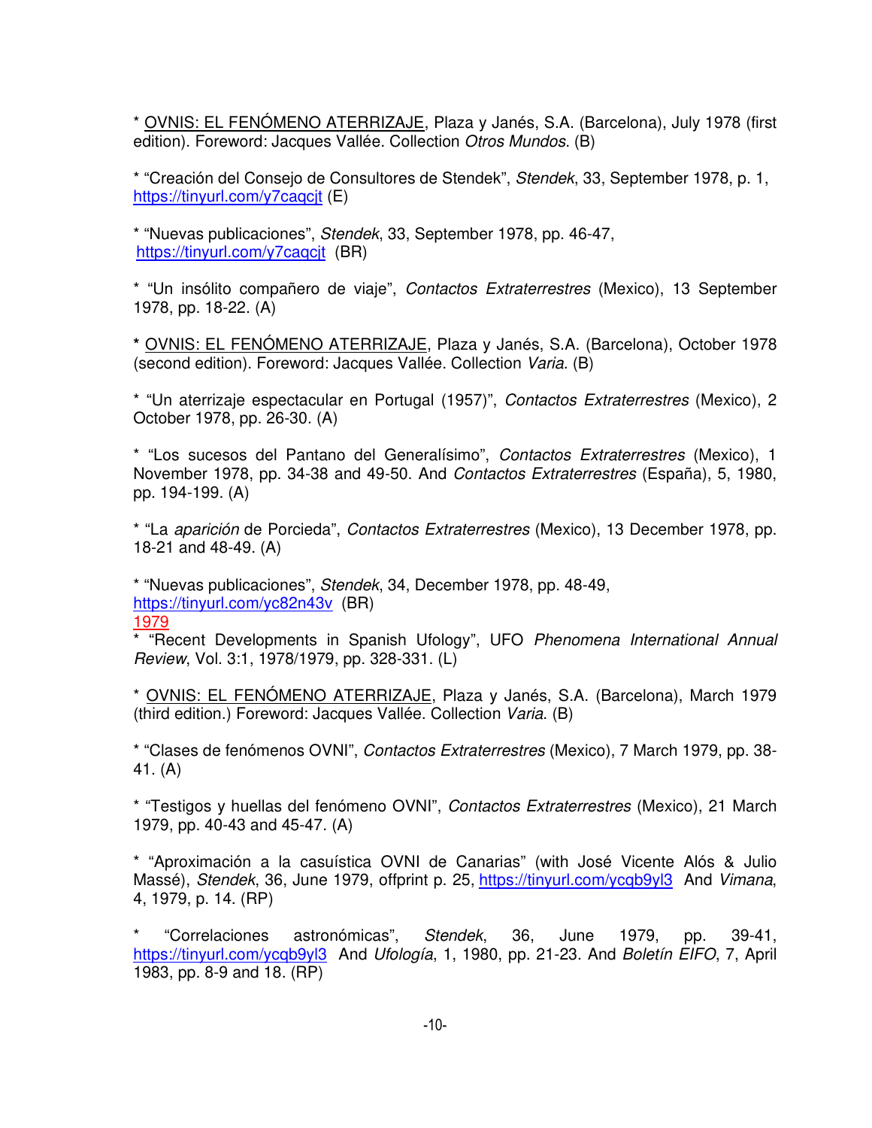\* OVNIS: EL FENÓMENO ATERRIZAJE, Plaza y Janés, S.A. (Barcelona), July 1978 (first edition). Foreword: Jacques Vallée. Collection Otros Mundos. (B)

\* "Creación del Consejo de Consultores de Stendek", Stendek, 33, September 1978, p. 1, https://tinyurl.com/y7caqcit (E)

\* "Nuevas publicaciones", Stendek, 33, September 1978, pp. 46-47, https://tinyurl.com/y7caqcit (BR)

\* "Un insólito compañero de viaje", Contactos Extraterrestres (Mexico), 13 September 1978, pp. 18-22. (A)

**\*** OVNIS: EL FENÓMENO ATERRIZAJE, Plaza y Janés, S.A. (Barcelona), October 1978 (second edition). Foreword: Jacques Vallée. Collection Varia. (B)

\* "Un aterrizaje espectacular en Portugal (1957)", Contactos Extraterrestres (Mexico), 2 October 1978, pp. 26-30. (A)

\* "Los sucesos del Pantano del Generalísimo", Contactos Extraterrestres (Mexico), 1 November 1978, pp. 34-38 and 49-50. And Contactos Extraterrestres (España), 5, 1980, pp. 194-199. (A)

\* "La aparición de Porcieda", Contactos Extraterrestres (Mexico), 13 December 1978, pp. 18-21 and 48-49. (A)

\* "Nuevas publicaciones", Stendek, 34, December 1978, pp. 48-49, https://tinyurl.com/yc82n43v (BR)

1979

\* "Recent Developments in Spanish Ufology", UFO Phenomena International Annual Review, Vol. 3:1, 1978/1979, pp. 328-331. (L)

\* OVNIS: EL FENÓMENO ATERRIZAJE, Plaza y Janés, S.A. (Barcelona), March 1979 (third edition.) Foreword: Jacques Vallée. Collection Varia. (B)

\* "Clases de fenómenos OVNI", Contactos Extraterrestres (Mexico), 7 March 1979, pp. 38- 41. (A)

\* "Testigos y huellas del fenómeno OVNI", Contactos Extraterrestres (Mexico), 21 March 1979, pp. 40-43 and 45-47. (A)

\* "Aproximación a la casuística OVNI de Canarias" (with José Vicente Alós & Julio Massé), Stendek, 36, June 1979, offprint p. 25, https://tinyurl.com/ycqb9yl3 And Vimana, 4, 1979, p. 14. (RP)

\* "Correlaciones astronómicas", Stendek, 36, June 1979, pp. 39-41, https://tinyurl.com/ycqb9yl3 And Ufología, 1, 1980, pp. 21-23. And Boletín EIFO, 7, April 1983, pp. 8-9 and 18. (RP)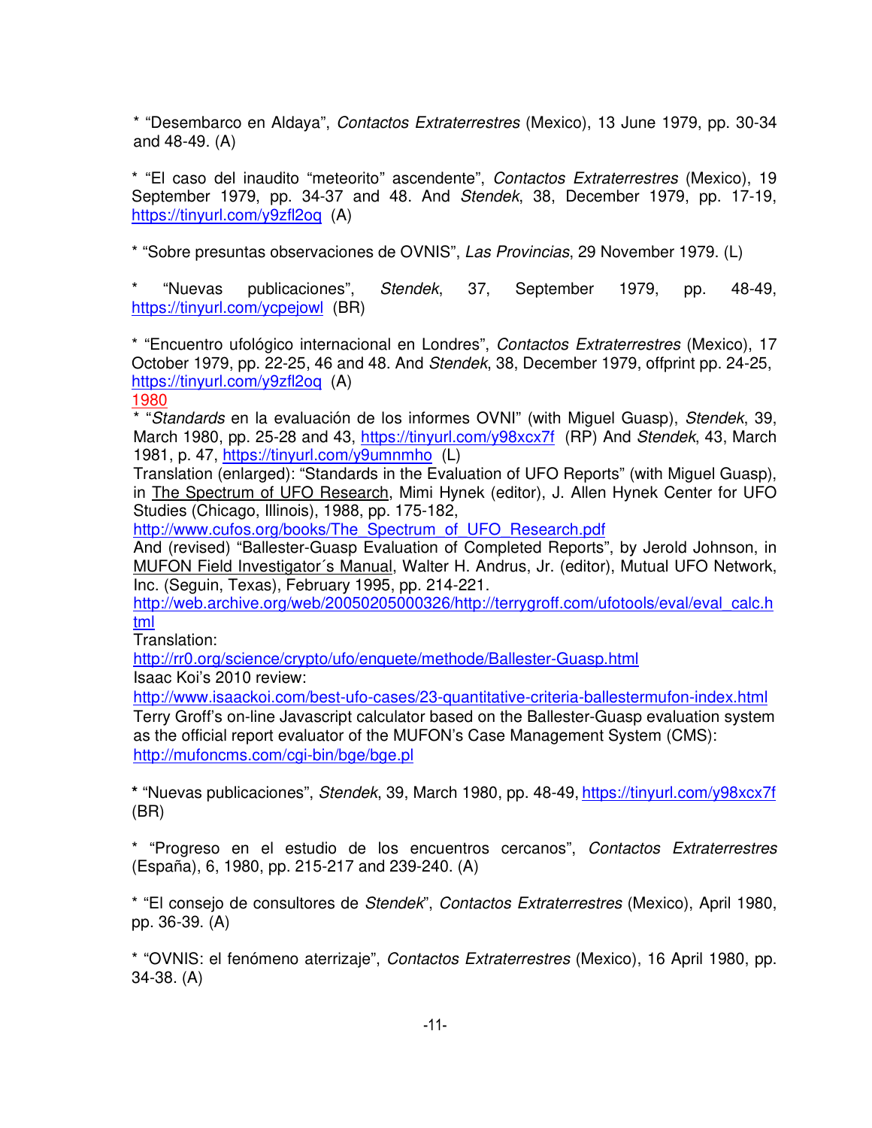\* "Desembarco en Aldaya", Contactos Extraterrestres (Mexico), 13 June 1979, pp. 30-34 and 48-49. (A)

\* "El caso del inaudito "meteorito" ascendente", Contactos Extraterrestres (Mexico), 19 September 1979, pp. 34-37 and 48. And Stendek, 38, December 1979, pp. 17-19, https://tinyurl.com/y9zfl2oq (A)

\* "Sobre presuntas observaciones de OVNIS", Las Provincias, 29 November 1979. (L)

\* "Nuevas publicaciones", Stendek, 37, September 1979, pp. 48-49, https://tinyurl.com/ycpejowl (BR)

\* "Encuentro ufológico internacional en Londres", Contactos Extraterrestres (Mexico), 17 October 1979, pp. 22-25, 46 and 48. And Stendek, 38, December 1979, offprint pp. 24-25, https://tinyurl.com/y9zfl2oq (A)

# 1980

\* "Standards en la evaluación de los informes OVNI" (with Miguel Guasp), Stendek, 39, March 1980, pp. 25-28 and 43, https://tinyurl.com/y98xcx7f (RP) And Stendek, 43, March 1981, p. 47, https://tinyurl.com/y9umnmho (L)

Translation (enlarged): "Standards in the Evaluation of UFO Reports" (with Miguel Guasp), in The Spectrum of UFO Research, Mimi Hynek (editor), J. Allen Hynek Center for UFO Studies (Chicago, Illinois), 1988, pp. 175-182,

http://www.cufos.org/books/The Spectrum of UFO Research.pdf

And (revised) "Ballester-Guasp Evaluation of Completed Reports", by Jerold Johnson, in MUFON Field Investigator´s Manual, Walter H. Andrus, Jr. (editor), Mutual UFO Network, Inc. (Seguin, Texas), February 1995, pp. 214-221.

http://web.archive.org/web/20050205000326/http://terrygroff.com/ufotools/eval/eval\_calc.h tml

Translation:

http://rr0.org/science/crypto/ufo/enquete/methode/Ballester-Guasp.html

Isaac Koi's 2010 review:

http://www.isaackoi.com/best-ufo-cases/23-quantitative-criteria-ballestermufon-index.html

Terry Groff's on-line Javascript calculator based on the Ballester-Guasp evaluation system as the official report evaluator of the MUFON's Case Management System (CMS): http://mufoncms.com/cgi-bin/bge/bge.pl

**\*** "Nuevas publicaciones", Stendek, 39, March 1980, pp. 48-49, https://tinyurl.com/y98xcx7f (BR)

\* "Progreso en el estudio de los encuentros cercanos", Contactos Extraterrestres (España), 6, 1980, pp. 215-217 and 239-240. (A)

\* "El consejo de consultores de Stendek", Contactos Extraterrestres (Mexico), April 1980, pp. 36-39. (A)

\* "OVNIS: el fenómeno aterrizaje", Contactos Extraterrestres (Mexico), 16 April 1980, pp. 34-38. (A)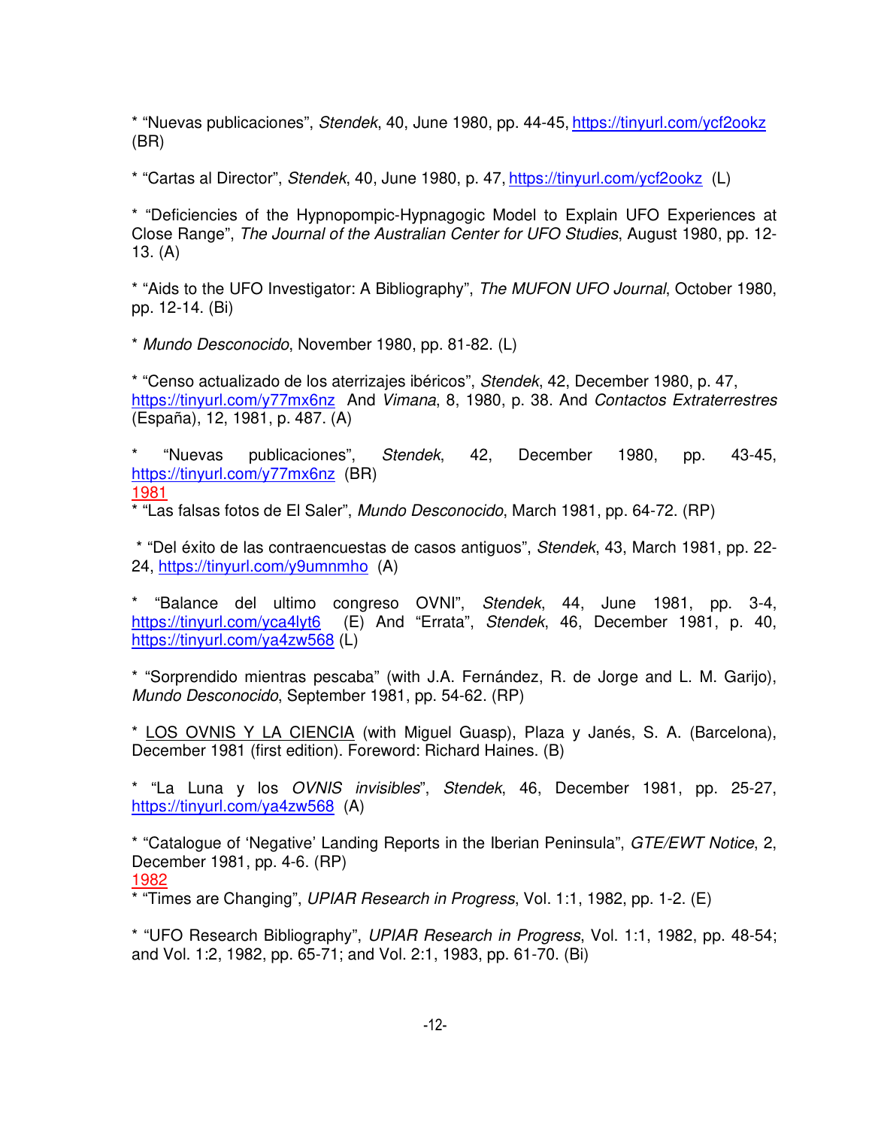\* "Nuevas publicaciones", Stendek, 40, June 1980, pp. 44-45, https://tinyurl.com/ycf2ookz (BR)

\* "Cartas al Director", Stendek, 40, June 1980, p. 47, https://tinyurl.com/ycf2ookz (L)

\* "Deficiencies of the Hypnopompic-Hypnagogic Model to Explain UFO Experiences at Close Range", The Journal of the Australian Center for UFO Studies, August 1980, pp. 12- 13. (A)

\* "Aids to the UFO Investigator: A Bibliography", The MUFON UFO Journal, October 1980, pp. 12-14. (Bi)

\* Mundo Desconocido, November 1980, pp. 81-82. (L)

\* "Censo actualizado de los aterrizajes ibéricos", Stendek, 42, December 1980, p. 47, https://tinyurl.com/y77mx6nz And Vimana, 8, 1980, p. 38. And Contactos Extraterrestres (España), 12, 1981, p. 487. (A)

\* "Nuevas publicaciones", Stendek, 42, December 1980, pp. 43-45, https://tinyurl.com/y77mx6nz (BR) 1981

\* "Las falsas fotos de El Saler", Mundo Desconocido, March 1981, pp. 64-72. (RP)

 \* "Del éxito de las contraencuestas de casos antiguos", Stendek, 43, March 1981, pp. 22- 24, https://tinyurl.com/y9umnmho (A)

\* "Balance del ultimo congreso OVNI", Stendek, 44, June 1981, pp. 3-4, https://tinyurl.com/yca4lyt6 (E) And "Errata", Stendek, 46, December 1981, p. 40, https://tinyurl.com/ya4zw568 (L)

\* "Sorprendido mientras pescaba" (with J.A. Fernández, R. de Jorge and L. M. Garijo), Mundo Desconocido, September 1981, pp. 54-62. (RP)

\* LOS OVNIS Y LA CIENCIA (with Miguel Guasp), Plaza y Janés, S. A. (Barcelona), December 1981 (first edition). Foreword: Richard Haines. (B)

\* "La Luna y los OVNIS invisibles", Stendek, 46, December 1981, pp. 25-27, https://tinyurl.com/ya4zw568 (A)

\* "Catalogue of 'Negative' Landing Reports in the Iberian Peninsula", GTE/EWT Notice, 2, December 1981, pp. 4-6. (RP) 1982

\* "Times are Changing", UPIAR Research in Progress, Vol. 1:1, 1982, pp. 1-2. (E)

\* "UFO Research Bibliography", UPIAR Research in Progress, Vol. 1:1, 1982, pp. 48-54; and Vol. 1:2, 1982, pp. 65-71; and Vol. 2:1, 1983, pp. 61-70. (Bi)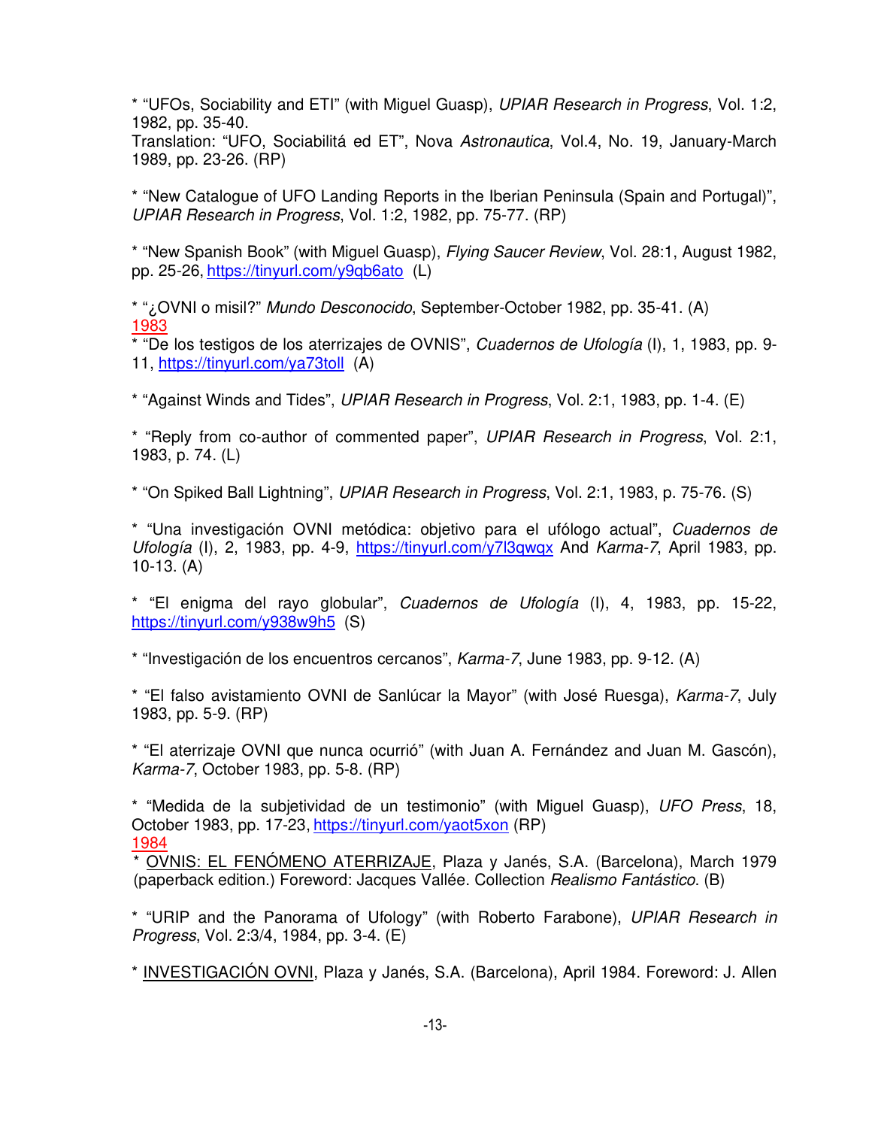\* "UFOs, Sociability and ETI" (with Miguel Guasp), UPIAR Research in Progress, Vol. 1:2, 1982, pp. 35-40.

Translation: "UFO, Sociabilitá ed ET", Nova Astronautica, Vol.4, No. 19, January-March 1989, pp. 23-26. (RP)

\* "New Catalogue of UFO Landing Reports in the Iberian Peninsula (Spain and Portugal)", UPIAR Research in Progress, Vol. 1:2, 1982, pp. 75-77. (RP)

\* "New Spanish Book" (with Miguel Guasp), Flying Saucer Review, Vol. 28:1, August 1982, pp. 25-26, https://tinyurl.com/y9qb6ato (L)

\* "¿OVNI o misil?" Mundo Desconocido, September-October 1982, pp. 35-41. (A) 1983

\* "De los testigos de los aterrizajes de OVNIS", Cuadernos de Ufología (I), 1, 1983, pp. 9- 11, https://tinyurl.com/ya73toll (A)

\* "Against Winds and Tides", UPIAR Research in Progress, Vol. 2:1, 1983, pp. 1-4. (E)

\* "Reply from co-author of commented paper", UPIAR Research in Progress, Vol. 2:1, 1983, p. 74. (L)

\* "On Spiked Ball Lightning", UPIAR Research in Progress, Vol. 2:1, 1983, p. 75-76. (S)

\* "Una investigación OVNI metódica: objetivo para el ufólogo actual", Cuadernos de Ufología (I), 2, 1983, pp. 4-9, https://tinyurl.com/y7l3qwqx And Karma-7, April 1983, pp. 10-13. (A)

\* "El enigma del rayo globular", Cuadernos de Ufología (I), 4, 1983, pp. 15-22, https://tinyurl.com/y938w9h5 (S)

\* "Investigación de los encuentros cercanos", Karma-7, June 1983, pp. 9-12. (A)

\* "El falso avistamiento OVNI de Sanlúcar la Mayor" (with José Ruesga), Karma-7, July 1983, pp. 5-9. (RP)

\* "El aterrizaje OVNI que nunca ocurrió" (with Juan A. Fernández and Juan M. Gascón), Karma-7, October 1983, pp. 5-8. (RP)

\* "Medida de la subjetividad de un testimonio" (with Miguel Guasp), UFO Press, 18, October 1983, pp. 17-23, https://tinyurl.com/yaot5xon (RP) 1984

\* OVNIS: EL FENÓMENO ATERRIZAJE, Plaza y Janés, S.A. (Barcelona), March 1979 (paperback edition.) Foreword: Jacques Vallée. Collection Realismo Fantástico. (B)

\* "URIP and the Panorama of Ufology" (with Roberto Farabone), UPIAR Research in Progress, Vol. 2:3/4, 1984, pp. 3-4. (E)

\* INVESTIGACIÓN OVNI, Plaza y Janés, S.A. (Barcelona), April 1984. Foreword: J. Allen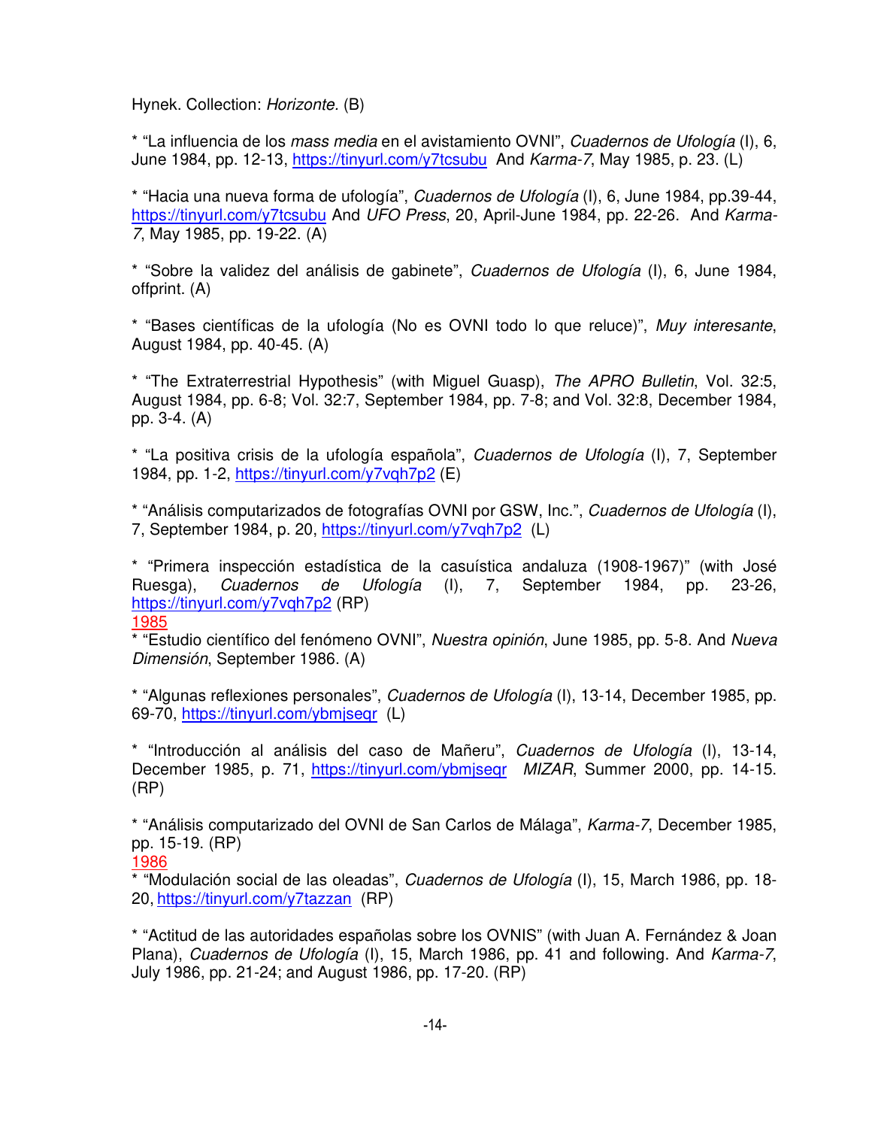Hynek. Collection: Horizonte. (B)

\* "La influencia de los mass media en el avistamiento OVNI", Cuadernos de Ufología (I), 6, June 1984, pp. 12-13, https://tinyurl.com/y7tcsubu And Karma-7, May 1985, p. 23. (L)

\* "Hacia una nueva forma de ufología", Cuadernos de Ufología (I), 6, June 1984, pp.39-44, https://tinyurl.com/y7tcsubu And UFO Press, 20, April-June 1984, pp. 22-26. And Karma-7, May 1985, pp. 19-22. (A)

\* "Sobre la validez del análisis de gabinete", Cuadernos de Ufología (I), 6, June 1984, offprint. (A)

\* "Bases científicas de la ufología (No es OVNI todo lo que reluce)", Muy interesante, August 1984, pp. 40-45. (A)

\* "The Extraterrestrial Hypothesis" (with Miguel Guasp), The APRO Bulletin, Vol. 32:5, August 1984, pp. 6-8; Vol. 32:7, September 1984, pp. 7-8; and Vol. 32:8, December 1984, pp. 3-4. (A)

\* "La positiva crisis de la ufología española", Cuadernos de Ufología (I), 7, September 1984, pp. 1-2, https://tinyurl.com/y7vqh7p2 (E)

\* "Análisis computarizados de fotografías OVNI por GSW, Inc.", Cuadernos de Ufología (I), 7, September 1984, p. 20, https://tinyurl.com/y7vqh7p2 (L)

\* "Primera inspección estadística de la casuística andaluza (1908-1967)" (with José Ruesga), Cuadernos de Ufología (I), 7, September 1984, pp. 23-26, https://tinyurl.com/y7vqh7p2 (RP) 1985

\* "Estudio científico del fenómeno OVNI", Nuestra opinión, June 1985, pp. 5-8. And Nueva Dimensión, September 1986. (A)

\* "Algunas reflexiones personales", Cuadernos de Ufología (I), 13-14, December 1985, pp. 69-70, https://tinyurl.com/ybmjseqr (L)

\* "Introducción al análisis del caso de Mañeru", Cuadernos de Ufología (I), 13-14, December 1985, p. 71, https://tinyurl.com/ybmjseqr MIZAR, Summer 2000, pp. 14-15. (RP)

\* "Análisis computarizado del OVNI de San Carlos de Málaga", Karma-7, December 1985, pp. 15-19. (RP)

\* "Modulación social de las oleadas", Cuadernos de Ufología (I), 15, March 1986, pp. 18- 20, https://tinyurl.com/y7tazzan (RP)

\* "Actitud de las autoridades españolas sobre los OVNIS" (with Juan A. Fernández & Joan Plana), Cuadernos de Ufología (I), 15, March 1986, pp. 41 and following. And Karma-7, July 1986, pp. 21-24; and August 1986, pp. 17-20. (RP)

<sup>1986</sup>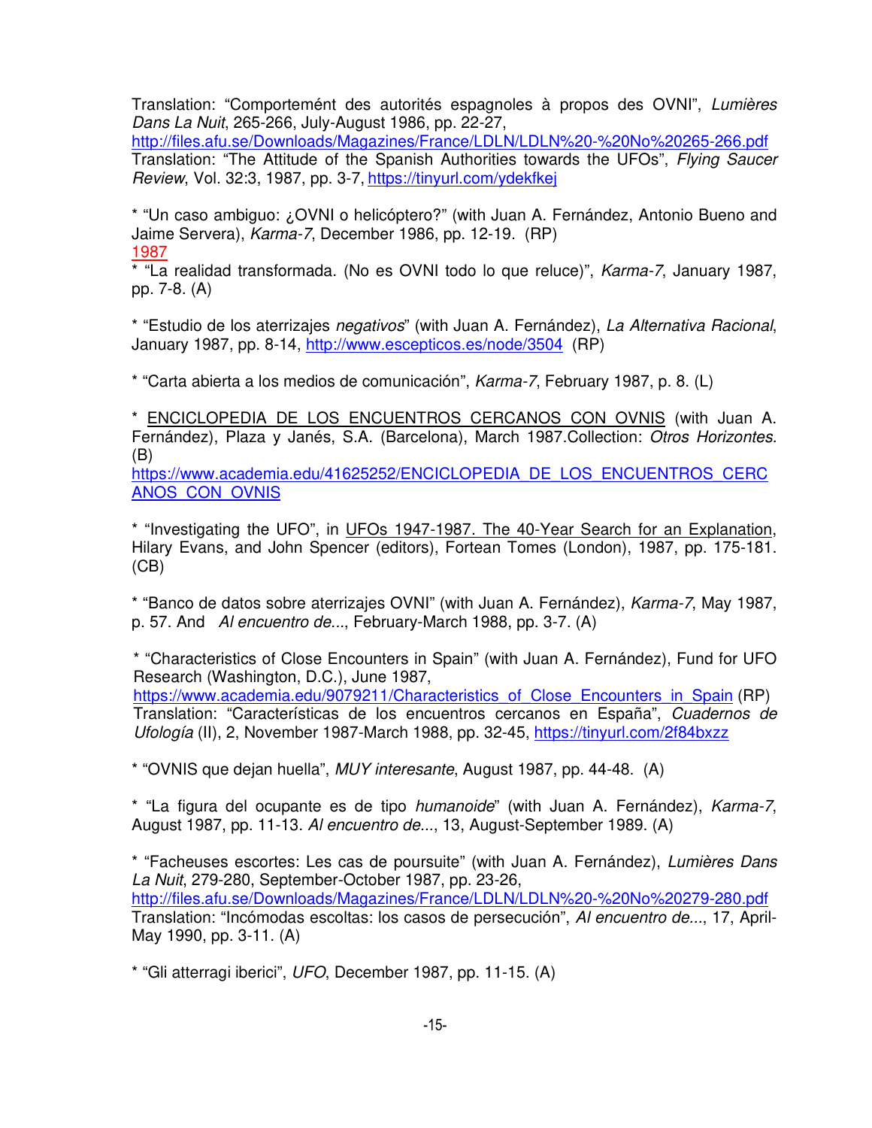Translation: "Comportemént des autorités espagnoles à propos des OVNI", Lumières Dans La Nuit, 265-266, July-August 1986, pp. 22-27,

http://files.afu.se/Downloads/Magazines/France/LDLN/LDLN%20-%20No%20265-266.pdf Translation: "The Attitude of the Spanish Authorities towards the UFOs", Flying Saucer Review, Vol. 32:3, 1987, pp. 3-7, https://tinyurl.com/ydekfkej

\* "Un caso ambiguo: ¿OVNI o helicóptero?" (with Juan A. Fernández, Antonio Bueno and Jaime Servera), Karma-7, December 1986, pp. 12-19. (RP) 1987

\* "La realidad transformada. (No es OVNI todo lo que reluce)", Karma-7, January 1987, pp. 7-8. (A)

\* "Estudio de los aterrizajes negativos" (with Juan A. Fernández), La Alternativa Racional, January 1987, pp. 8-14, http://www.escepticos.es/node/3504 (RP)

\* "Carta abierta a los medios de comunicación", Karma-7, February 1987, p. 8. (L)

\* ENCICLOPEDIA DE LOS ENCUENTROS CERCANOS CON OVNIS (with Juan A. Fernández), Plaza y Janés, S.A. (Barcelona), March 1987.Collection: Otros Horizontes. (B)

https://www.academia.edu/41625252/ENCICLOPEDIA\_DE\_LOS\_ENCUENTROS\_CERC ANOS\_CON\_OVNIS

\* "Investigating the UFO", in UFOs 1947-1987. The 40-Year Search for an Explanation, Hilary Evans, and John Spencer (editors), Fortean Tomes (London), 1987, pp. 175-181.  $(CB)$ 

\* "Banco de datos sobre aterrizajes OVNI" (with Juan A. Fernández), Karma-7, May 1987, p. 57. And Al encuentro de..., February-March 1988, pp. 3-7. (A)

\* "Characteristics of Close Encounters in Spain" (with Juan A. Fernández), Fund for UFO Research (Washington, D.C.), June 1987,

https://www.academia.edu/9079211/Characteristics\_of\_Close\_Encounters\_in\_Spain (RP) Translation: "Características de los encuentros cercanos en España", Cuadernos de Ufología (II), 2, November 1987-March 1988, pp. 32-45, https://tinyurl.com/2f84bxzz

\* "OVNIS que dejan huella", MUY interesante, August 1987, pp. 44-48. (A)

\* "La figura del ocupante es de tipo humanoide" (with Juan A. Fernández), Karma-7, August 1987, pp. 11-13. Al encuentro de..., 13, August-September 1989. (A)

\* "Facheuses escortes: Les cas de poursuite" (with Juan A. Fernández), Lumières Dans La Nuit, 279-280, September-October 1987, pp. 23-26, http://files.afu.se/Downloads/Magazines/France/LDLN/LDLN%20-%20No%20279-280.pdf Translation: "Incómodas escoltas: los casos de persecución", Al encuentro de..., 17, April-May 1990, pp. 3-11. (A)

\* "Gli atterragi iberici", UFO, December 1987, pp. 11-15. (A)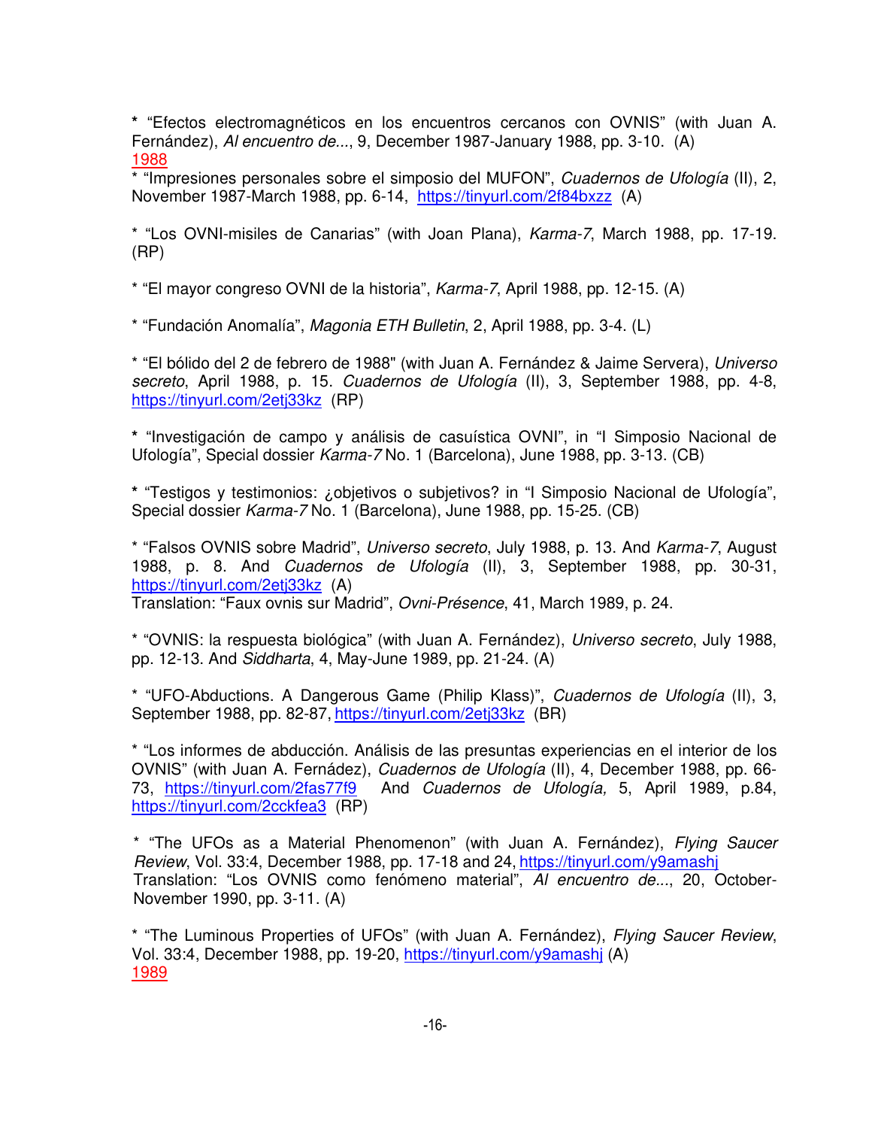**\*** "Efectos electromagnéticos en los encuentros cercanos con OVNIS" (with Juan A. Fernández), Al encuentro de..., 9, December 1987-January 1988, pp. 3-10. (A) 1988

\* "Impresiones personales sobre el simposio del MUFON", Cuadernos de Ufología (II), 2, November 1987-March 1988, pp. 6-14, https://tinyurl.com/2f84bxzz (A)

\* "Los OVNI-misiles de Canarias" (with Joan Plana), Karma-7, March 1988, pp. 17-19. (RP)

\* "El mayor congreso OVNI de la historia", Karma-7, April 1988, pp. 12-15. (A)

\* "Fundación Anomalía", Magonia ETH Bulletin, 2, April 1988, pp. 3-4. (L)

\* "El bólido del 2 de febrero de 1988" (with Juan A. Fernández & Jaime Servera), Universo secreto, April 1988, p. 15. Cuadernos de Ufología (II), 3, September 1988, pp. 4-8, https://tinyurl.com/2etj33kz (RP)

**\*** "Investigación de campo y análisis de casuística OVNI", in "I Simposio Nacional de Ufología", Special dossier Karma-7 No. 1 (Barcelona), June 1988, pp. 3-13. (CB)

**\*** "Testigos y testimonios: ¿objetivos o subjetivos? in "I Simposio Nacional de Ufología", Special dossier Karma-7 No. 1 (Barcelona), June 1988, pp. 15-25. (CB)

\* "Falsos OVNIS sobre Madrid", Universo secreto, July 1988, p. 13. And Karma-7, August 1988, p. 8. And Cuadernos de Ufología (II), 3, September 1988, pp. 30-31, https://tinyurl.com/2etj33kz (A)

Translation: "Faux ovnis sur Madrid", Ovni-Présence, 41, March 1989, p. 24.

\* "OVNIS: la respuesta biológica" (with Juan A. Fernández), Universo secreto, July 1988, pp. 12-13. And Siddharta, 4, May-June 1989, pp. 21-24. (A)

\* "UFO-Abductions. A Dangerous Game (Philip Klass)", Cuadernos de Ufología (II), 3, September 1988, pp. 82-87, https://tinyurl.com/2etj33kz (BR)

\* "Los informes de abducción. Análisis de las presuntas experiencias en el interior de los OVNIS" (with Juan A. Fernádez), Cuadernos de Ufología (II), 4, December 1988, pp. 66- 73, https://tinyurl.com/2fas77f9 And Cuadernos de Ufología, 5, April 1989, p.84, https://tinyurl.com/2cckfea3 (RP)

\* "The UFOs as a Material Phenomenon" (with Juan A. Fernández), Flying Saucer Review, Vol. 33:4, December 1988, pp. 17-18 and 24, https://tinyurl.com/y9amashj Translation: "Los OVNIS como fenómeno material", Al encuentro de..., 20, October-November 1990, pp. 3-11. (A)

\* "The Luminous Properties of UFOs" (with Juan A. Fernández), Flying Saucer Review, Vol. 33:4, December 1988, pp. 19-20, https://tinyurl.com/y9amashj (A) 1989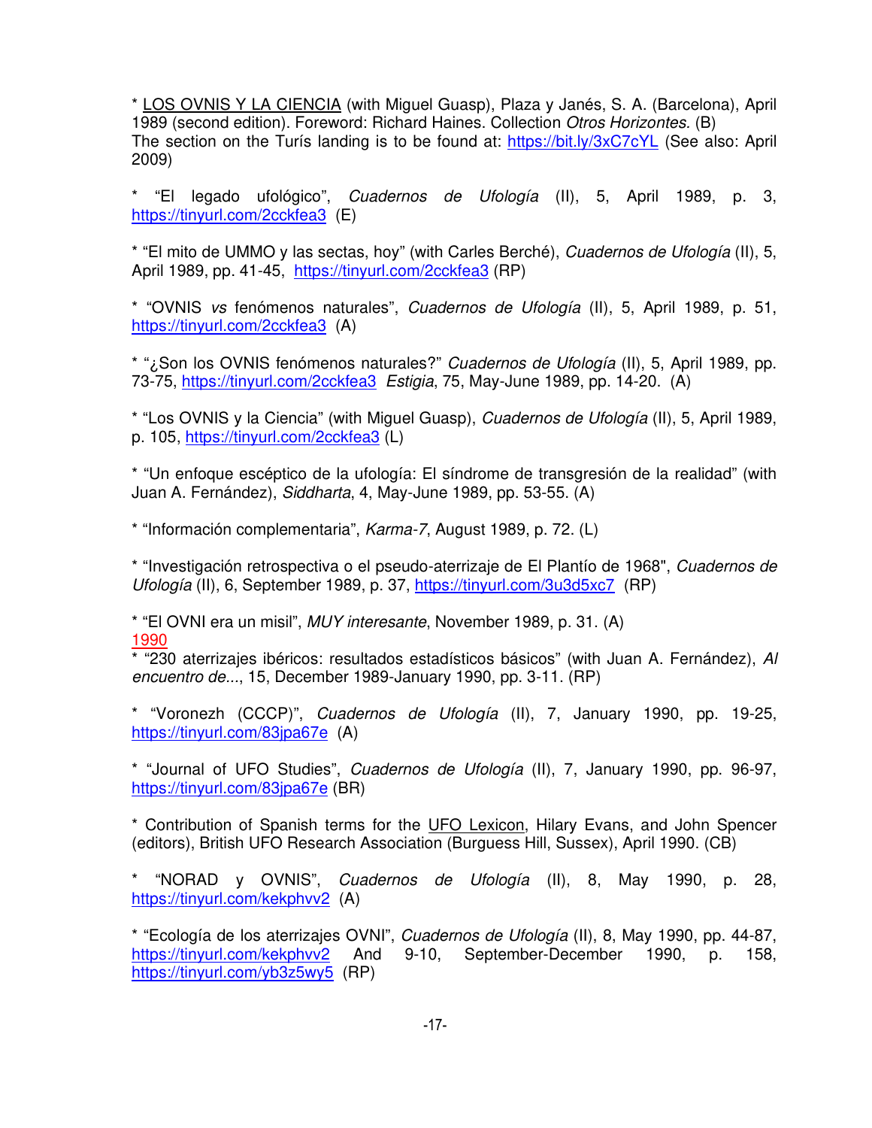\* LOS OVNIS Y LA CIENCIA (with Miguel Guasp), Plaza y Janés, S. A. (Barcelona), April 1989 (second edition). Foreword: Richard Haines. Collection Otros Horizontes. (B) The section on the Turís landing is to be found at: https://bit.ly/3xC7cYL (See also: April 2009)

\* "El legado ufológico", Cuadernos de Ufología (II), 5, April 1989, p. 3, https://tinyurl.com/2cckfea3 (E)

\* "El mito de UMMO y las sectas, hoy" (with Carles Berché), Cuadernos de Ufología (II), 5, April 1989, pp. 41-45, https://tinyurl.com/2cckfea3 (RP)

\* "OVNIS vs fenómenos naturales", Cuadernos de Ufología (II), 5, April 1989, p. 51, https://tinyurl.com/2cckfea3 (A)

\* "¿Son los OVNIS fenómenos naturales?" Cuadernos de Ufología (II), 5, April 1989, pp. 73-75, https://tinyurl.com/2cckfea3 Estigia, 75, May-June 1989, pp. 14-20. (A)

\* "Los OVNIS y la Ciencia" (with Miguel Guasp), Cuadernos de Ufología (II), 5, April 1989, p. 105, https://tinyurl.com/2cckfea3 (L)

\* "Un enfoque escéptico de la ufología: El síndrome de transgresión de la realidad" (with Juan A. Fernández), Siddharta, 4, May-June 1989, pp. 53-55. (A)

\* "Información complementaria", Karma-7, August 1989, p. 72. (L)

\* "Investigación retrospectiva o el pseudo-aterrizaje de El Plantío de 1968", Cuadernos de Ufología (II), 6, September 1989, p. 37, https://tinyurl.com/3u3d5xc7 (RP)

\* "El OVNI era un misil", MUY interesante, November 1989, p. 31. (A) 1990

 $*$  "230 aterrizajes ibéricos: resultados estadísticos básicos" (with Juan A. Fernández), Al encuentro de..., 15, December 1989-January 1990, pp. 3-11. (RP)

\* "Voronezh (CCCP)", Cuadernos de Ufología (II), 7, January 1990, pp. 19-25, https://tinyurl.com/83jpa67e (A)

\* "Journal of UFO Studies", Cuadernos de Ufología (II), 7, January 1990, pp. 96-97, https://tinyurl.com/83jpa67e (BR)

\* Contribution of Spanish terms for the UFO Lexicon, Hilary Evans, and John Spencer (editors), British UFO Research Association (Burguess Hill, Sussex), April 1990. (CB)

\* "NORAD y OVNIS", Cuadernos de Ufología (II), 8, May 1990, p. 28, https://tinyurl.com/kekphvv2 (A)

\* "Ecología de los aterrizajes OVNI", Cuadernos de Ufología (II), 8, May 1990, pp. 44-87, https://tinyurl.com/kekphvv2 And 9-10, September-December 1990, p. 158, https://tinyurl.com/yb3z5wy5 (RP)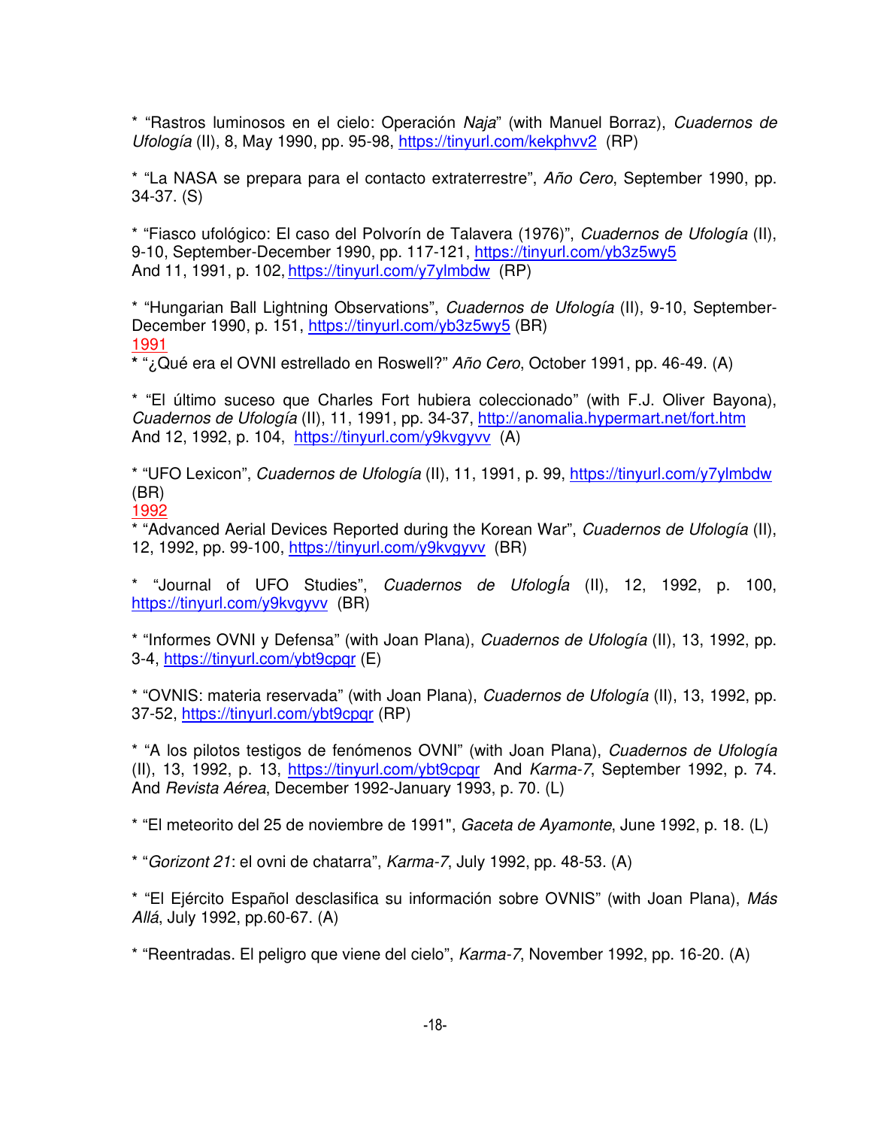\* "Rastros luminosos en el cielo: Operación Naja" (with Manuel Borraz), Cuadernos de Ufología (II), 8, May 1990, pp. 95-98, https://tinyurl.com/kekphvv2 (RP)

\* "La NASA se prepara para el contacto extraterrestre", Año Cero, September 1990, pp. 34-37. (S)

\* "Fiasco ufológico: El caso del Polvorín de Talavera (1976)", Cuadernos de Ufología (II), 9-10, September-December 1990, pp. 117-121, https://tinyurl.com/yb3z5wy5 And 11, 1991, p. 102, https://tinyurl.com/y7ylmbdw (RP)

\* "Hungarian Ball Lightning Observations", Cuadernos de Ufología (II), 9-10, September-December 1990, p. 151, https://tinyurl.com/yb3z5wy5 (BR) 1991

**\*** "¿Qué era el OVNI estrellado en Roswell?" Año Cero, October 1991, pp. 46-49. (A)

\* "El último suceso que Charles Fort hubiera coleccionado" (with F.J. Oliver Bayona), Cuadernos de Ufología (II), 11, 1991, pp. 34-37, http://anomalia.hypermart.net/fort.htm And 12, 1992, p. 104, https://tinyurl.com/y9kvgyvv (A)

\* "UFO Lexicon", Cuadernos de Ufología (II), 11, 1991, p. 99, https://tinyurl.com/y7ylmbdw (BR)

1992

\* "Advanced Aerial Devices Reported during the Korean War", Cuadernos de Ufología (II), 12, 1992, pp. 99-100, https://tinyurl.com/y9kvgyvv (BR)

\* "Journal of UFO Studies", Cuadernos de UfologÍa (II), 12, 1992, p. 100, https://tinyurl.com/y9kvgyvv (BR)

\* "Informes OVNI y Defensa" (with Joan Plana), Cuadernos de Ufología (II), 13, 1992, pp. 3-4, https://tinyurl.com/ybt9cpqr (E)

\* "OVNIS: materia reservada" (with Joan Plana), Cuadernos de Ufología (II), 13, 1992, pp. 37-52, https://tinyurl.com/ybt9cpqr (RP)

\* "A los pilotos testigos de fenómenos OVNI" (with Joan Plana), Cuadernos de Ufología (II), 13, 1992, p. 13, https://tinyurl.com/ybt9cpqr And Karma-7, September 1992, p. 74. And Revista Aérea, December 1992-January 1993, p. 70. (L)

\* "El meteorito del 25 de noviembre de 1991", Gaceta de Ayamonte, June 1992, p. 18. (L)

\* "Gorizont 21: el ovni de chatarra", Karma-7, July 1992, pp. 48-53. (A)

\* "El Ejército Español desclasifica su información sobre OVNIS" (with Joan Plana), Más Allá, July 1992, pp.60-67. (A)

\* "Reentradas. El peligro que viene del cielo", Karma-7, November 1992, pp. 16-20. (A)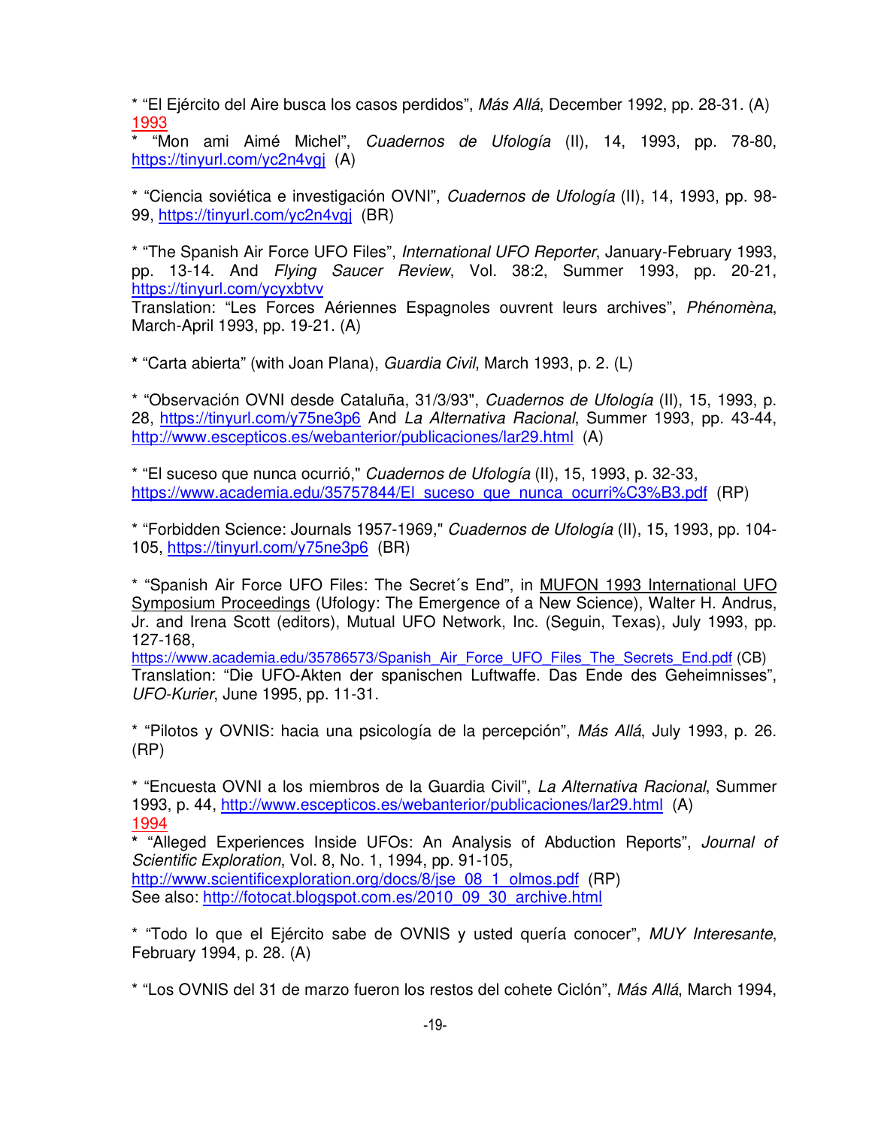\* "El Ejército del Aire busca los casos perdidos", Más Allá, December 1992, pp. 28-31. (A) 1993

\* "Mon ami Aimé Michel", Cuadernos de Ufología (II), 14, 1993, pp. 78-80, https://tinyurl.com/yc2n4vgj (A)

\* "Ciencia soviética e investigación OVNI", Cuadernos de Ufología (II), 14, 1993, pp. 98- 99, https://tinyurl.com/yc2n4vgj (BR)

\* "The Spanish Air Force UFO Files", International UFO Reporter, January-February 1993, pp. 13-14. And Flying Saucer Review, Vol. 38:2, Summer 1993, pp. 20-21, https://tinyurl.com/ycyxbtvv

Translation: "Les Forces Aériennes Espagnoles ouvrent leurs archives", Phénomèna, March-April 1993, pp. 19-21. (A)

**\*** "Carta abierta" (with Joan Plana), Guardia Civil, March 1993, p. 2. (L)

\* "Observación OVNI desde Cataluña, 31/3/93", Cuadernos de Ufología (II), 15, 1993, p. 28, https://tinyurl.com/y75ne3p6 And La Alternativa Racional, Summer 1993, pp. 43-44, http://www.escepticos.es/webanterior/publicaciones/lar29.html (A)

\* "El suceso que nunca ocurrió," Cuadernos de Ufología (II), 15, 1993, p. 32-33, https://www.academia.edu/35757844/El\_suceso\_que\_nunca\_ocurri%C3%B3.pdf (RP)

\* "Forbidden Science: Journals 1957-1969," Cuadernos de Ufología (II), 15, 1993, pp. 104- 105, https://tinyurl.com/y75ne3p6 (BR)

\* "Spanish Air Force UFO Files: The Secret´s End", in MUFON 1993 International UFO Symposium Proceedings (Ufology: The Emergence of a New Science), Walter H. Andrus, Jr. and Irena Scott (editors), Mutual UFO Network, Inc. (Seguin, Texas), July 1993, pp. 127-168,

https://www.academia.edu/35786573/Spanish\_Air\_Force\_UFO\_Files\_The\_Secrets\_End.pdf (CB) Translation: "Die UFO-Akten der spanischen Luftwaffe. Das Ende des Geheimnisses", UFO-Kurier, June 1995, pp. 11-31.

\* "Pilotos y OVNIS: hacia una psicología de la percepción", Más Allá, July 1993, p. 26. (RP)

\* "Encuesta OVNI a los miembros de la Guardia Civil", La Alternativa Racional, Summer 1993, p. 44, http://www.escepticos.es/webanterior/publicaciones/lar29.html (A) 1994

**\*** "Alleged Experiences Inside UFOs: An Analysis of Abduction Reports", Journal of Scientific Exploration, Vol. 8, No. 1, 1994, pp. 91-105, http://www.scientificexploration.org/docs/8/ise\_08\_1\_olmos.pdf (RP) See also: http://fotocat.blogspot.com.es/2010\_09\_30\_archive.html

\* "Todo lo que el Ejército sabe de OVNIS y usted quería conocer", MUY Interesante, February 1994, p. 28. (A)

\* "Los OVNIS del 31 de marzo fueron los restos del cohete Ciclón", Más Allá, March 1994,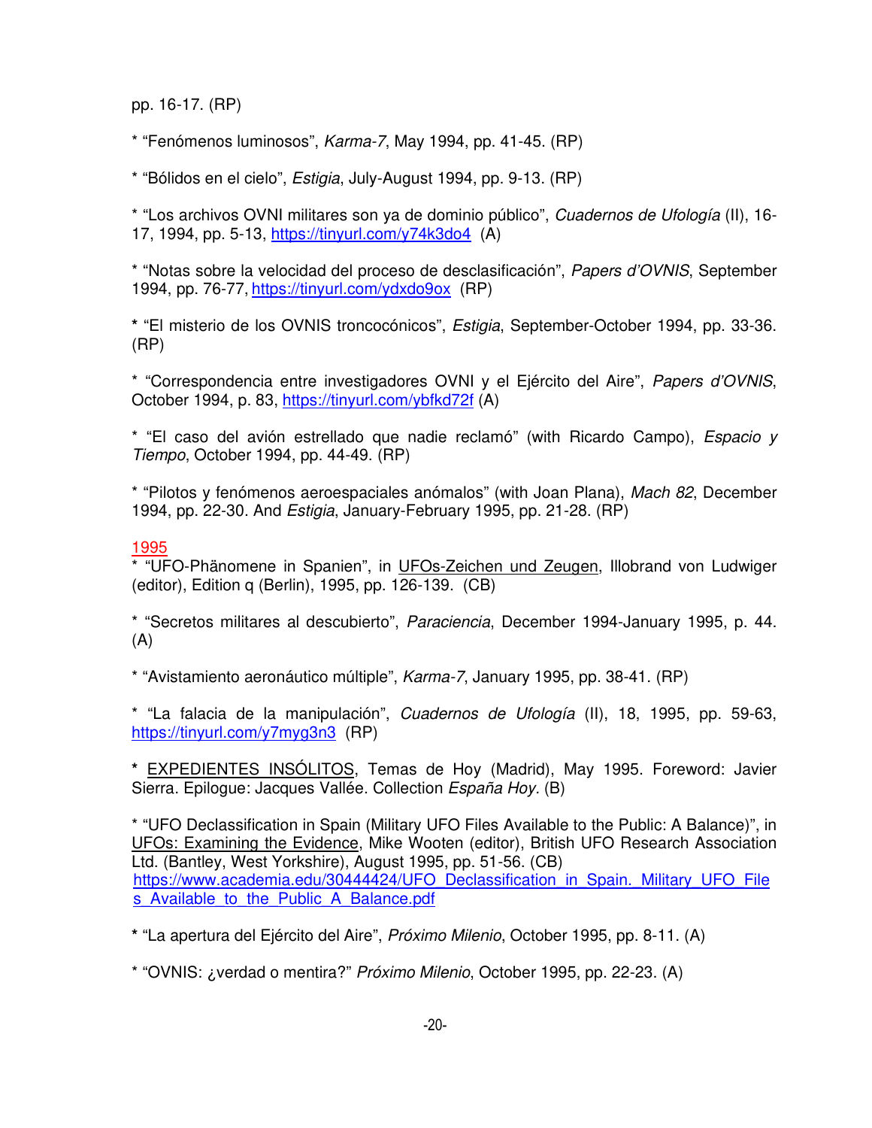pp. 16-17. (RP)

\* "Fenómenos luminosos", Karma-7, May 1994, pp. 41-45. (RP)

\* "Bólidos en el cielo", Estigia, July-August 1994, pp. 9-13. (RP)

\* "Los archivos OVNI militares son ya de dominio público", Cuadernos de Ufología (II), 16- 17, 1994, pp. 5-13, https://tinyurl.com/y74k3do4 (A)

\* "Notas sobre la velocidad del proceso de desclasificación", Papers d'OVNIS, September 1994, pp. 76-77, https://tinyurl.com/ydxdo9ox (RP)

**\*** "El misterio de los OVNIS troncocónicos", Estigia, September-October 1994, pp. 33-36. (RP)

\* "Correspondencia entre investigadores OVNI y el Ejército del Aire", Papers d'OVNIS, October 1994, p. 83, https://tinyurl.com/ybfkd72f (A)

\* "El caso del avión estrellado que nadie reclamó" (with Ricardo Campo), Espacio y Tiempo, October 1994, pp. 44-49. (RP)

\* "Pilotos y fenómenos aeroespaciales anómalos" (with Joan Plana), Mach 82, December 1994, pp. 22-30. And Estigia, January-February 1995, pp. 21-28. (RP)

### 1995

\* "UFO-Phänomene in Spanien", in UFOs-Zeichen und Zeugen, Illobrand von Ludwiger (editor), Edition q (Berlin), 1995, pp. 126-139. (CB)

\* "Secretos militares al descubierto", Paraciencia, December 1994-January 1995, p. 44. (A)

\* "Avistamiento aeronáutico múltiple", Karma-7, January 1995, pp. 38-41. (RP)

\* "La falacia de la manipulación", Cuadernos de Ufología (II), 18, 1995, pp. 59-63, https://tinyurl.com/y7myg3n3 (RP)

**\*** EXPEDIENTES INSÓLITOS, Temas de Hoy (Madrid), May 1995. Foreword: Javier Sierra. Epilogue: Jacques Vallée. Collection España Hoy. (B)

\* "UFO Declassification in Spain (Military UFO Files Available to the Public: A Balance)", in UFOs: Examining the Evidence, Mike Wooten (editor), British UFO Research Association Ltd. (Bantley, West Yorkshire), August 1995, pp. 51-56. (CB) https://www.academia.edu/30444424/UFO\_Declassification\_in\_Spain.\_Military\_UFO\_File s Available to the Public A Balance.pdf

**\*** "La apertura del Ejército del Aire", Próximo Milenio, October 1995, pp. 8-11. (A)

\* "OVNIS: ¿verdad o mentira?" Próximo Milenio, October 1995, pp. 22-23. (A)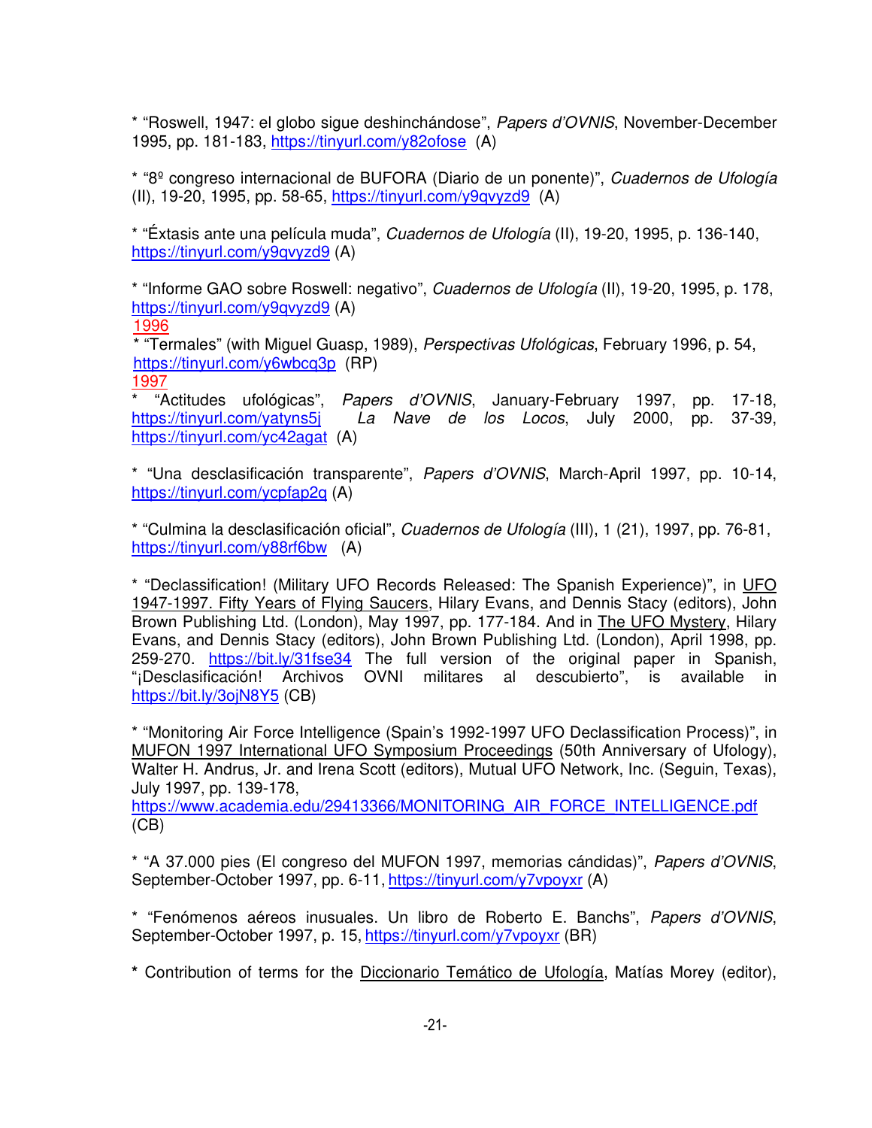\* "Roswell, 1947: el globo sigue deshinchándose", Papers d'OVNIS, November-December 1995, pp. 181-183, https://tinyurl.com/y82ofose (A)

\* "8º congreso internacional de BUFORA (Diario de un ponente)", Cuadernos de Ufología (II), 19-20, 1995, pp. 58-65, https://tinyurl.com/y9qvyzd9 (A)

\* "Éxtasis ante una película muda", Cuadernos de Ufología (II), 19-20, 1995, p. 136-140, https://tinyurl.com/y9qvyzd9 (A)

\* "Informe GAO sobre Roswell: negativo", Cuadernos de Ufología (II), 19-20, 1995, p. 178, https://tinyurl.com/y9qvyzd9 (A)

1996

\* "Termales" (with Miguel Guasp, 1989), Perspectivas Ufológicas, February 1996, p. 54, https://tinyurl.com/y6wbcq3p (RP) 1997

\* "Actitudes ufológicas", Papers d'OVNIS, January-February 1997, pp. 17-18, https://tinyurl.com/yatyns5j La Nave de los Locos, July 2000, pp. 37-39, https://tinyurl.com/yc42agat (A)

\* "Una desclasificación transparente", Papers d'OVNIS, March-April 1997, pp. 10-14, https://tinyurl.com/ycpfap2q (A)

\* "Culmina la desclasificación oficial", Cuadernos de Ufología (III), 1 (21), 1997, pp. 76-81, https://tinyurl.com/y88rf6bw (A)

\* "Declassification! (Military UFO Records Released: The Spanish Experience)", in UFO 1947-1997. Fifty Years of Flying Saucers, Hilary Evans, and Dennis Stacy (editors), John Brown Publishing Ltd. (London), May 1997, pp. 177-184. And in The UFO Mystery, Hilary Evans, and Dennis Stacy (editors), John Brown Publishing Ltd. (London), April 1998, pp. 259-270. https://bit.ly/31fse34 The full version of the original paper in Spanish, "¡Desclasificación! Archivos OVNI militares al descubierto", is available in https://bit.ly/3ojN8Y5 (CB)

\* "Monitoring Air Force Intelligence (Spain's 1992-1997 UFO Declassification Process)", in MUFON 1997 International UFO Symposium Proceedings (50th Anniversary of Ufology), Walter H. Andrus, Jr. and Irena Scott (editors), Mutual UFO Network, Inc. (Seguin, Texas), July 1997, pp. 139-178,

https://www.academia.edu/29413366/MONITORING\_AIR\_FORCE\_INTELLIGENCE.pdf (CB)

\* "A 37.000 pies (El congreso del MUFON 1997, memorias cándidas)", Papers d'OVNIS, September-October 1997, pp. 6-11, https://tinyurl.com/y7vpoyxr (A)

\* "Fenómenos aéreos inusuales. Un libro de Roberto E. Banchs", Papers d'OVNIS, September-October 1997, p. 15, https://tinyurl.com/y7vpoyxr (BR)

**\*** Contribution of terms for the Diccionario Temático de Ufología, Matías Morey (editor),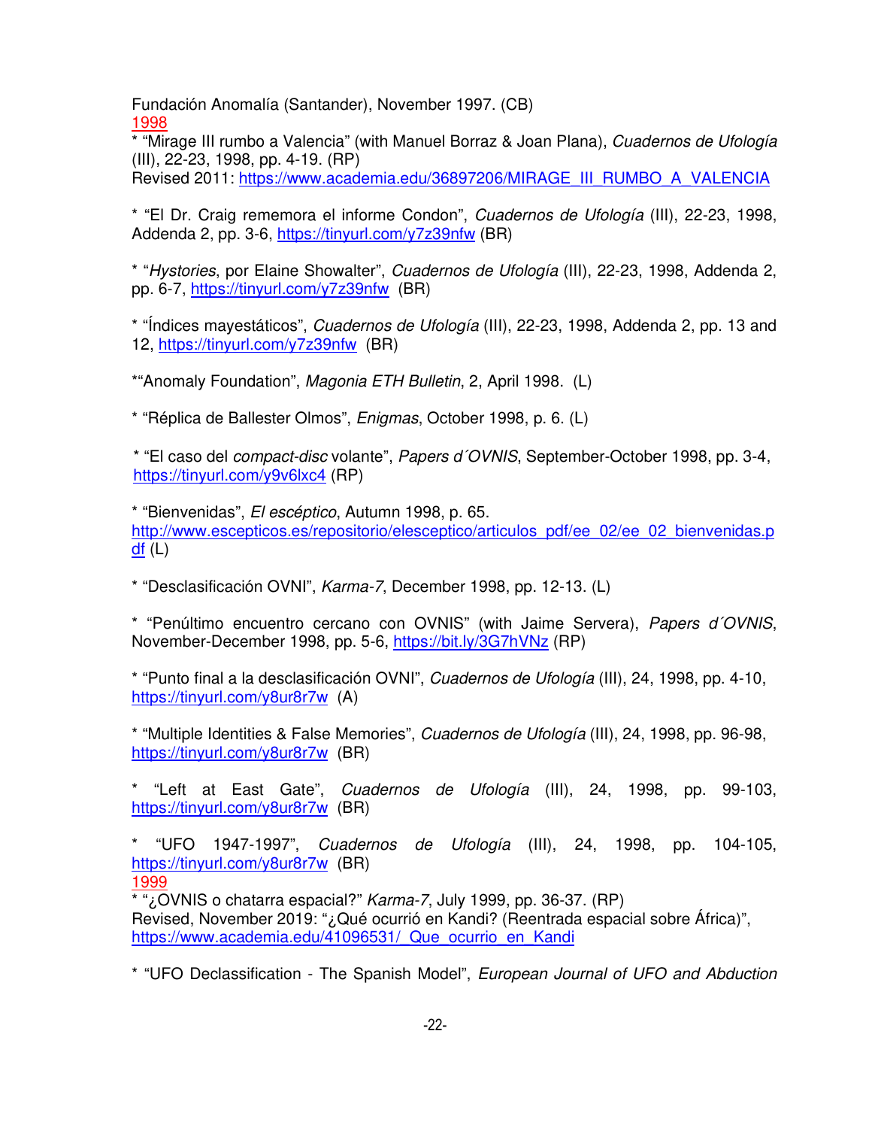Fundación Anomalía (Santander), November 1997. (CB) 1998

\* "Mirage III rumbo a Valencia" (with Manuel Borraz & Joan Plana), Cuadernos de Ufología (III), 22-23, 1998, pp. 4-19. (RP)

Revised 2011: https://www.academia.edu/36897206/MIRAGE\_III\_RUMBO\_A\_VALENCIA

\* "El Dr. Craig rememora el informe Condon", Cuadernos de Ufología (III), 22-23, 1998, Addenda 2, pp. 3-6, https://tinyurl.com/y7z39nfw (BR)

\* "Hystories, por Elaine Showalter", Cuadernos de Ufología (III), 22-23, 1998, Addenda 2, pp. 6-7, https://tinyurl.com/y7z39nfw (BR)

\* "Índices mayestáticos", Cuadernos de Ufología (III), 22-23, 1998, Addenda 2, pp. 13 and 12, https://tinyurl.com/y7z39nfw (BR)

\*"Anomaly Foundation", Magonia ETH Bulletin, 2, April 1998. (L)

\* "Réplica de Ballester Olmos", Enigmas, October 1998, p. 6. (L)

\* "El caso del compact-disc volante", Papers d´OVNIS, September-October 1998, pp. 3-4, https://tinyurl.com/y9v6lxc4 (RP)

\* "Bienvenidas", El escéptico, Autumn 1998, p. 65. http://www.escepticos.es/repositorio/elesceptico/articulos\_pdf/ee\_02/ee\_02\_bienvenidas.p  $df(L)$ 

\* "Desclasificación OVNI", Karma-7, December 1998, pp. 12-13. (L)

\* "Penúltimo encuentro cercano con OVNIS" (with Jaime Servera), Papers d´OVNIS, November-December 1998, pp. 5-6, https://bit.ly/3G7hVNz (RP)

\* "Punto final a la desclasificación OVNI", Cuadernos de Ufología (III), 24, 1998, pp. 4-10, https://tinyurl.com/y8ur8r7w (A)

\* "Multiple Identities & False Memories", Cuadernos de Ufología (III), 24, 1998, pp. 96-98, https://tinyurl.com/y8ur8r7w (BR)

\* "Left at East Gate", Cuadernos de Ufología (III), 24, 1998, pp. 99-103, https://tinyurl.com/y8ur8r7w (BR)

\* "UFO 1947-1997", Cuadernos de Ufología (III), 24, 1998, pp. 104-105, https://tinyurl.com/y8ur8r7w (BR) 1999

\* "¿OVNIS o chatarra espacial?" Karma-7, July 1999, pp. 36-37. (RP) Revised, November 2019: "¿Qué ocurrió en Kandi? (Reentrada espacial sobre África)", https://www.academia.edu/41096531/ Que ocurrio en Kandi

\* "UFO Declassification - The Spanish Model", European Journal of UFO and Abduction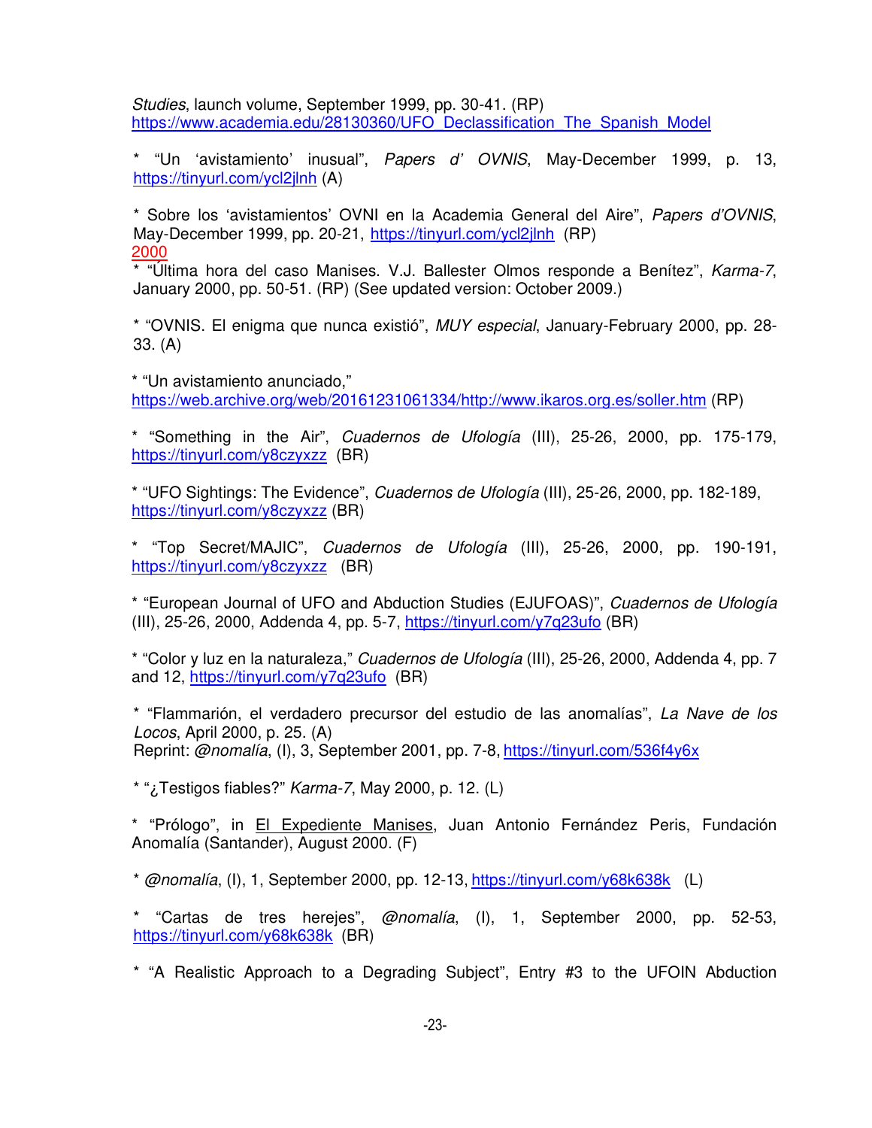Studies, launch volume, September 1999, pp. 30-41. (RP) https://www.academia.edu/28130360/UFO\_Declassification\_The\_Spanish\_Model

\* "Un 'avistamiento' inusual", Papers d' OVNIS, May-December 1999, p. 13, https://tinyurl.com/ycl2jlnh (A)

\* Sobre los 'avistamientos' OVNI en la Academia General del Aire", Papers d'OVNIS, May-December 1999, pp. 20-21, https://tinyurl.com/ycl2jlnh (RP) 2000

\* "Última hora del caso Manises. V.J. Ballester Olmos responde a Benítez", Karma-7, January 2000, pp. 50-51. (RP) (See updated version: October 2009.)

\* "OVNIS. El enigma que nunca existió", MUY especial, January-February 2000, pp. 28- 33. (A)

\* "Un avistamiento anunciado," https://web.archive.org/web/20161231061334/http://www.ikaros.org.es/soller.htm (RP)

\* "Something in the Air", Cuadernos de Ufología (III), 25-26, 2000, pp. 175-179, https://tinyurl.com/y8czyxzz (BR)

\* "UFO Sightings: The Evidence", Cuadernos de Ufología (III), 25-26, 2000, pp. 182-189, https://tinyurl.com/y8czyxzz (BR)

\* "Top Secret/MAJIC", Cuadernos de Ufología (III), 25-26, 2000, pp. 190-191, https://tinyurl.com/y8czyxzz (BR)

\* "European Journal of UFO and Abduction Studies (EJUFOAS)", Cuadernos de Ufología (III), 25-26, 2000, Addenda 4, pp. 5-7, https://tinyurl.com/y7q23ufo (BR)

\* "Color y luz en la naturaleza," Cuadernos de Ufología (III), 25-26, 2000, Addenda 4, pp. 7 and 12, https://tinyurl.com/y7q23ufo (BR)

\* "Flammarión, el verdadero precursor del estudio de las anomalías", La Nave de los Locos, April 2000, p. 25. (A) Reprint: @nomalía, (I), 3, September 2001, pp. 7-8, https://tinyurl.com/536f4y6x

\* " $\lambda$ ; Testigos fiables?" Karma-7, May 2000, p. 12. (L)

\* "Prólogo", in El Expediente Manises, Juan Antonio Fernández Peris, Fundación Anomalía (Santander), August 2000. (F)

 $*$  @nomalía, (I), 1, September 2000, pp. 12-13, https://tinyurl.com/y68k638k (L)

\* "Cartas de tres herejes", @nomalía, (I), 1, September 2000, pp. 52-53, https://tinyurl.com/y68k638k (BR)

\* "A Realistic Approach to a Degrading Subject", Entry #3 to the UFOIN Abduction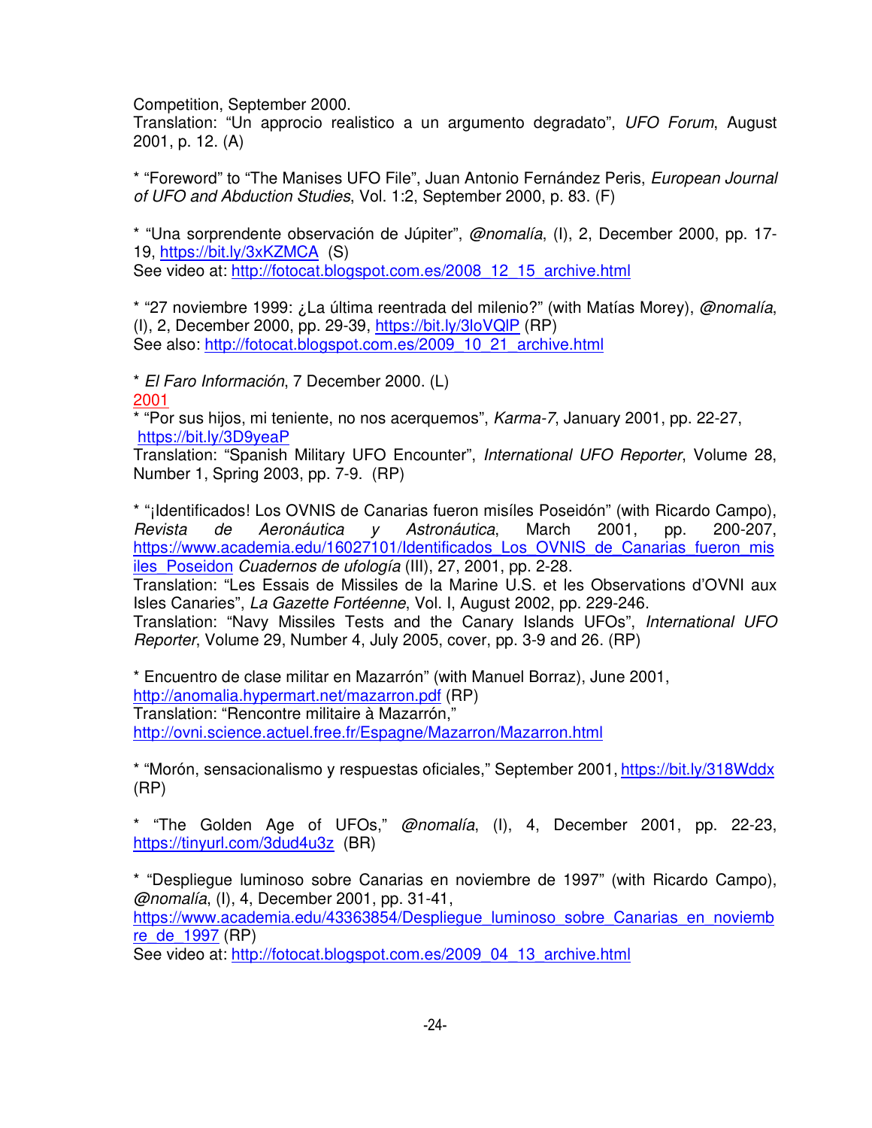Competition, September 2000.

Translation: "Un approcio realistico a un argumento degradato", UFO Forum, August 2001, p. 12. (A)

\* "Foreword" to "The Manises UFO File", Juan Antonio Fernández Peris, European Journal of UFO and Abduction Studies, Vol. 1:2, September 2000, p. 83. (F)

\* "Una sorprendente observación de Júpiter", @nomalía, (I), 2, December 2000, pp. 17- 19, https://bit.ly/3xKZMCA (S)

See video at: http://fotocat.blogspot.com.es/2008\_12\_15\_archive.html

\* "27 noviembre 1999: ¿La última reentrada del milenio?" (with Matías Morey), @nomalía, (I), 2, December 2000, pp. 29-39, https://bit.ly/3loVQlP (RP) See also: http://fotocat.blogspot.com.es/2009\_10\_21\_archive.html

\* El Faro Información, 7 December 2000. (L) 2001

 $*$  "Por sus hijos, mi teniente, no nos acerquemos", Karma-7, January 2001, pp. 22-27, https://bit.ly/3D9yeaP

Translation: "Spanish Military UFO Encounter", International UFO Reporter, Volume 28, Number 1, Spring 2003, pp. 7-9. (RP)

\* "¡Identificados! Los OVNIS de Canarias fueron misíles Poseidón" (with Ricardo Campo), Revista de Aeronáutica y Astronáutica, March 2001, pp. 200-207, https://www.academia.edu/16027101/Identificados\_Los\_OVNIS\_de\_Canarias\_fueron\_mis iles Poseidon Cuadernos de ufología (III), 27, 2001, pp. 2-28.

Translation: "Les Essais de Missiles de la Marine U.S. et les Observations d'OVNI aux Isles Canaries", La Gazette Fortéenne, Vol. I, August 2002, pp. 229-246.

Translation: "Navy Missiles Tests and the Canary Islands UFOs", International UFO Reporter, Volume 29, Number 4, July 2005, cover, pp. 3-9 and 26. (RP)

\* Encuentro de clase militar en Mazarrón" (with Manuel Borraz), June 2001, http://anomalia.hypermart.net/mazarron.pdf (RP) Translation: "Rencontre militaire à Mazarrón," http://ovni.science.actuel.free.fr/Espagne/Mazarron/Mazarron.html

\* "Morón, sensacionalismo y respuestas oficiales," September 2001, https://bit.ly/318Wddx (RP)

\* "The Golden Age of UFOs," @nomalía, (I), 4, December 2001, pp. 22-23, https://tinyurl.com/3dud4u3z (BR)

\* "Despliegue luminoso sobre Canarias en noviembre de 1997" (with Ricardo Campo), @nomalía, (I), 4, December 2001, pp. 31-41,

https://www.academia.edu/43363854/Despliegue\_luminoso\_sobre\_Canarias\_en\_noviemb re\_de\_1997 (RP)

See video at: http://fotocat.blogspot.com.es/2009\_04\_13\_archive.html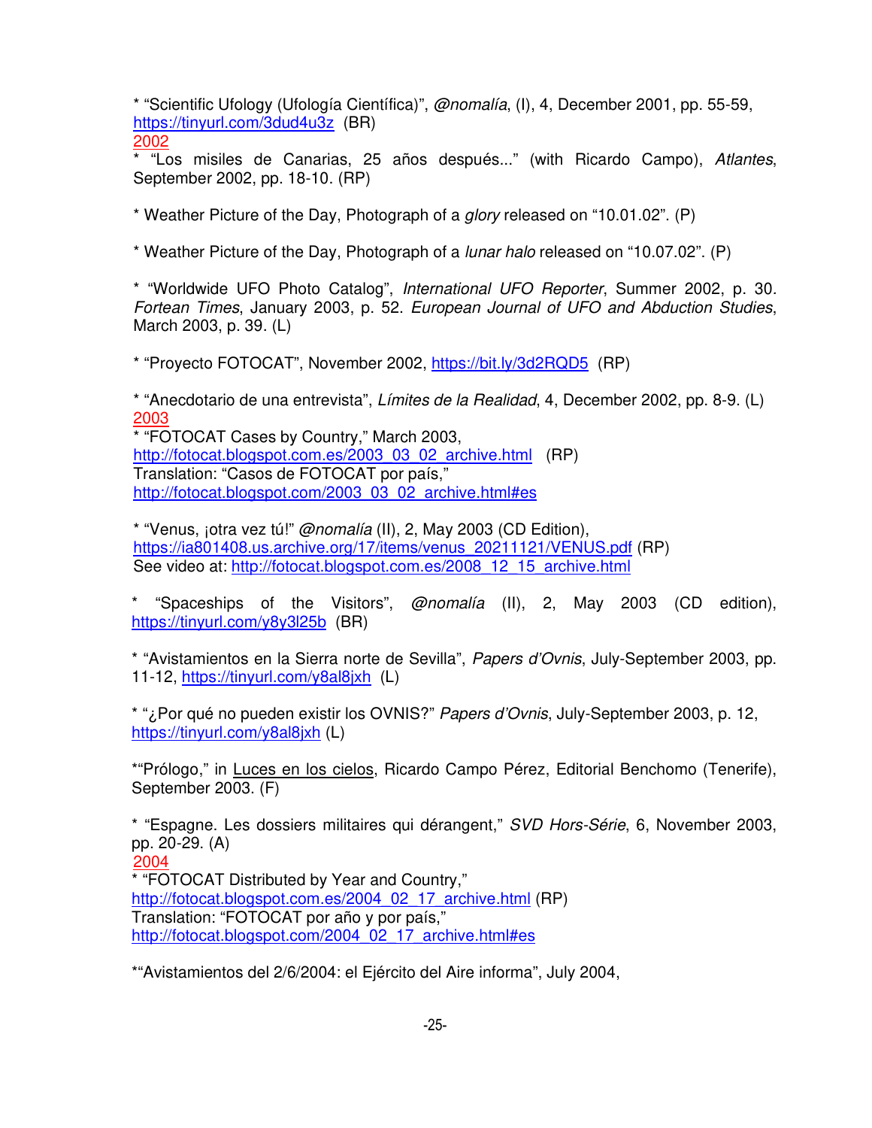\* "Scientific Ufology (Ufología Científica)", @nomalía, (I), 4, December 2001, pp. 55-59, https://tinyurl.com/3dud4u3z (BR)

2002

\* "Los misiles de Canarias, 25 años después..." (with Ricardo Campo), Atlantes, September 2002, pp. 18-10. (RP)

\* Weather Picture of the Day, Photograph of a glory released on "10.01.02". (P)

\* Weather Picture of the Day, Photograph of a lunar halo released on "10.07.02". (P)

\* "Worldwide UFO Photo Catalog", International UFO Reporter, Summer 2002, p. 30. Fortean Times, January 2003, p. 52. European Journal of UFO and Abduction Studies, March 2003, p. 39. (L)

\* "Proyecto FOTOCAT", November 2002, https://bit.ly/3d2RQD5 (RP)

\* "Anecdotario de una entrevista", Límites de la Realidad, 4, December 2002, pp. 8-9. (L) 2003

\* "FOTOCAT Cases by Country," March 2003, http://fotocat.blogspot.com.es/2003\_03\_02\_archive.html (RP) Translation: "Casos de FOTOCAT por país," http://fotocat.blogspot.com/2003\_03\_02\_archive.html#es

\* "Venus, jotra vez tú!"  $@nomalía (II), 2$ , May 2003 (CD Edition), https://ia801408.us.archive.org/17/items/venus\_20211121/VENUS.pdf (RP) See video at: http://fotocat.blogspot.com.es/2008\_12\_15\_archive.html

\* "Spaceships of the Visitors", @nomalía (II), 2, May 2003 (CD edition), https://tinyurl.com/y8y3l25b (BR)

\* "Avistamientos en la Sierra norte de Sevilla", Papers d'Ovnis, July-September 2003, pp. 11-12, https://tinyurl.com/y8al8jxh (L)

\* "¿Por qué no pueden existir los OVNIS?" Papers d'Ovnis, July-September 2003, p. 12, https://tinyurl.com/y8al8jxh (L)

\*"Prólogo," in Luces en los cielos, Ricardo Campo Pérez, Editorial Benchomo (Tenerife), September 2003. (F)

\* "Espagne. Les dossiers militaires qui dérangent," SVD Hors-Série, 6, November 2003, pp. 20-29. (A) 2004 \* "FOTOCAT Distributed by Year and Country," http://fotocat.blogspot.com.es/2004\_02\_17\_archive.html (RP) Translation: "FOTOCAT por año y por país,"

http://fotocat.blogspot.com/2004\_02\_17\_archive.html#es

\*"Avistamientos del 2/6/2004: el Ejército del Aire informa", July 2004,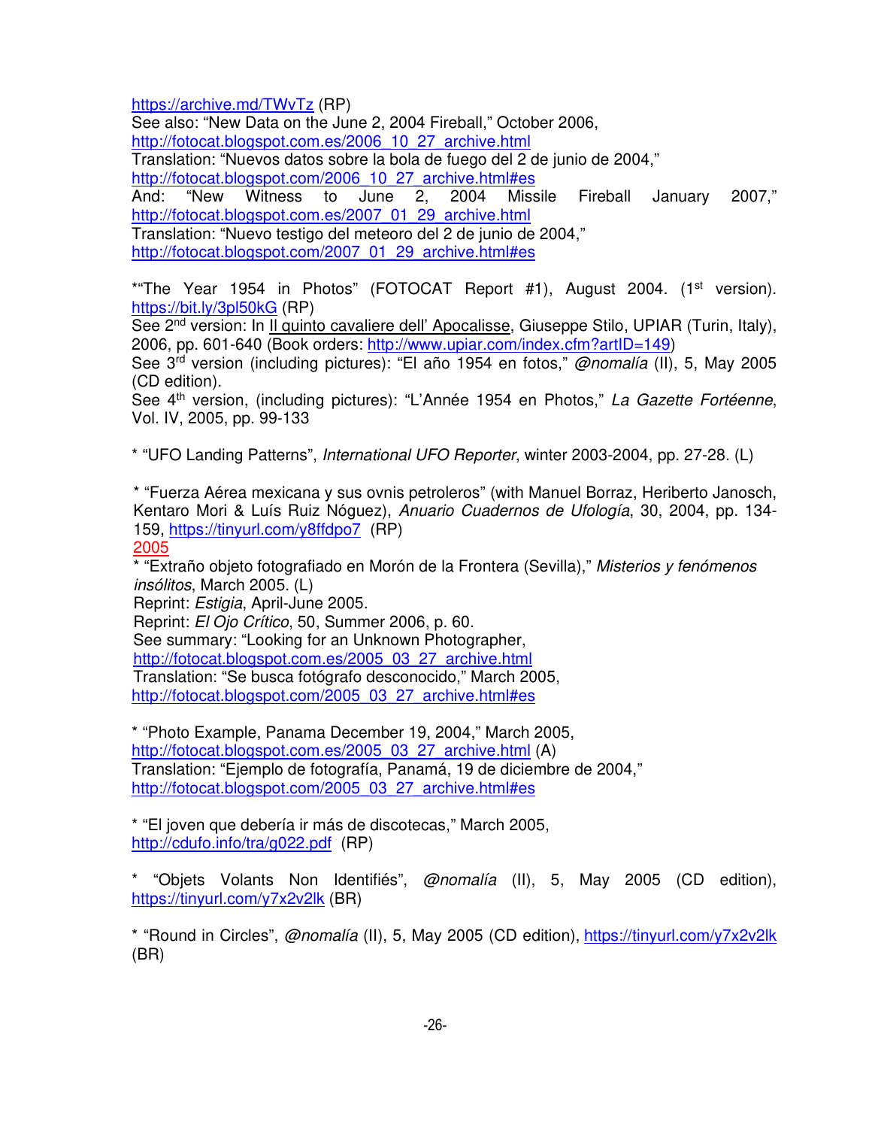https://archive.md/TWvTz (RP)

See also: "New Data on the June 2, 2004 Fireball," October 2006,

http://fotocat.blogspot.com.es/2006\_10\_27\_archive.html

Translation: "Nuevos datos sobre la bola de fuego del 2 de junio de 2004,"

http://fotocat.blogspot.com/2006\_10\_27\_archive.html#es

And: "New Witness to June 2, 2004 Missile Fireball January 2007," http://fotocat.blogspot.com.es/2007\_01\_29\_archive.html Translation: "Nuevo testigo del meteoro del 2 de junio de 2004,"

http://fotocat.blogspot.com/2007\_01\_29\_archive.html#es

\*"The Year 1954 in Photos" (FOTOCAT Report #1), August 2004. (1<sup>st</sup> version). https://bit.ly/3pl50kG (RP)

See 2<sup>nd</sup> version: In Il quinto cavaliere dell' Apocalisse, Giuseppe Stilo, UPIAR (Turin, Italy), 2006, pp. 601-640 (Book orders: http://www.upiar.com/index.cfm?artID=149)

See 3<sup>rd</sup> version (including pictures): "El año 1954 en fotos," @nomalía (II), 5, May 2005 (CD edition).

See 4<sup>th</sup> version, (including pictures): "L'Année 1954 en Photos," La Gazette Fortéenne, Vol. IV, 2005, pp. 99-133

\* "UFO Landing Patterns", International UFO Reporter, winter 2003-2004, pp. 27-28. (L)

\* "Fuerza Aérea mexicana y sus ovnis petroleros" (with Manuel Borraz, Heriberto Janosch, Kentaro Mori & Luís Ruiz Nóguez), Anuario Cuadernos de Ufología, 30, 2004, pp. 134- 159, https://tinyurl.com/y8ffdpo7 (RP) 2005

\* "Extraño objeto fotografiado en Morón de la Frontera (Sevilla)," Misterios y fenómenos insólitos, March 2005. (L)

Reprint: Estigia, April-June 2005.

Reprint: El Ojo Crítico, 50, Summer 2006, p. 60.

See summary: "Looking for an Unknown Photographer,

http://fotocat.blogspot.com.es/2005\_03\_27\_archive.html

Translation: "Se busca fotógrafo desconocido," March 2005,

http://fotocat.blogspot.com/2005\_03\_27\_archive.html#es

\* "Photo Example, Panama December 19, 2004," March 2005, http://fotocat.blogspot.com.es/2005\_03\_27\_archive.html (A) Translation: "Ejemplo de fotografía, Panamá, 19 de diciembre de 2004," http://fotocat.blogspot.com/2005\_03\_27\_archive.html#es

\* "El joven que debería ir más de discotecas," March 2005, http://cdufo.info/tra/g022.pdf (RP)

\* "Objets Volants Non Identifiés", @nomalía (II), 5, May 2005 (CD edition), https://tinyurl.com/y7x2v2lk (BR)

\* "Round in Circles", @nomalía (II), 5, May 2005 (CD edition), https://tinyurl.com/y7x2v2lk (BR)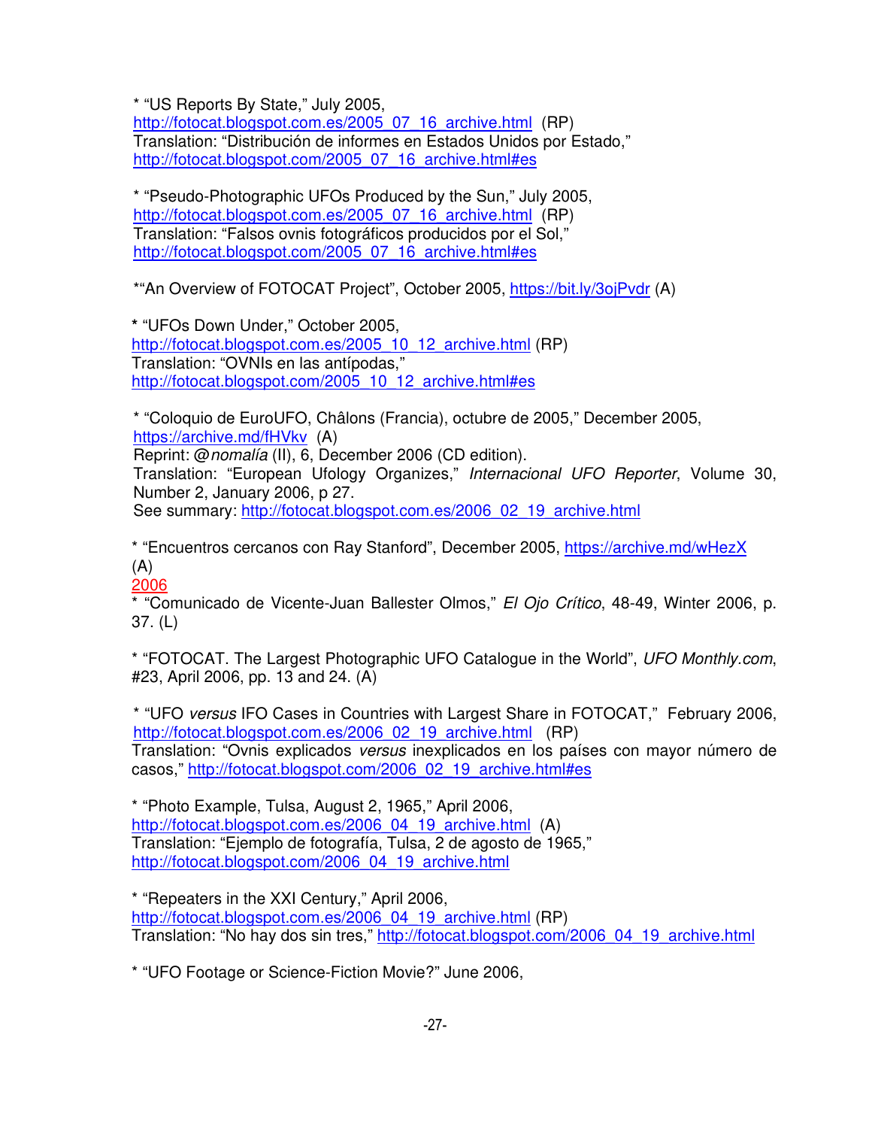\* "US Reports By State," July 2005,

http://fotocat.blogspot.com.es/2005\_07\_16\_archive.html (RP) Translation: "Distribución de informes en Estados Unidos por Estado," http://fotocat.blogspot.com/2005\_07\_16\_archive.html#es

\* "Pseudo-Photographic UFOs Produced by the Sun," July 2005, http://fotocat.blogspot.com.es/2005\_07\_16\_archive.html (RP) Translation: "Falsos ovnis fotográficos producidos por el Sol," http://fotocat.blogspot.com/2005\_07\_16\_archive.html#es

\*"An Overview of FOTOCAT Project", October 2005, https://bit.ly/3ojPvdr (A)

**\*** "UFOs Down Under," October 2005, http://fotocat.blogspot.com.es/2005\_10\_12\_archive.html (RP) Translation: "OVNIs en las antípodas," http://fotocat.blogspot.com/2005\_10\_12\_archive.html#es

\* "Coloquio de EuroUFO, Châlons (Francia), octubre de 2005," December 2005, https://archive.md/fHVkv (A) Reprint: @nomalía (II), 6, December 2006 (CD edition). Translation: "European Ufology Organizes," Internacional UFO Reporter, Volume 30, Number 2, January 2006, p 27. See summary: http://fotocat.blogspot.com.es/2006\_02\_19\_archive.html

\* "Encuentros cercanos con Ray Stanford", December 2005, https://archive.md/wHezX  $(A)$ 

2006

\* "Comunicado de Vicente-Juan Ballester Olmos," El Ojo Crítico, 48-49, Winter 2006, p. 37. (L)

\* "FOTOCAT. The Largest Photographic UFO Catalogue in the World", UFO Monthly.com, #23, April 2006, pp. 13 and 24. (A)

\* "UFO versus IFO Cases in Countries with Largest Share in FOTOCAT," February 2006, http://fotocat.blogspot.com.es/2006\_02\_19\_archive.html (RP) Translation: "Ovnis explicados versus inexplicados en los países con mayor número de casos," http://fotocat.blogspot.com/2006\_02\_19\_archive.html#es

\* "Photo Example, Tulsa, August 2, 1965," April 2006, http://fotocat.blogspot.com.es/2006\_04\_19\_archive.html (A) Translation: "Ejemplo de fotografía, Tulsa, 2 de agosto de 1965," http://fotocat.blogspot.com/2006\_04\_19\_archive.html

\* "Repeaters in the XXI Century," April 2006, http://fotocat.blogspot.com.es/2006\_04\_19\_archive.html (RP) Translation: "No hay dos sin tres," http://fotocat.blogspot.com/2006\_04\_19\_archive.html

\* "UFO Footage or Science-Fiction Movie?" June 2006,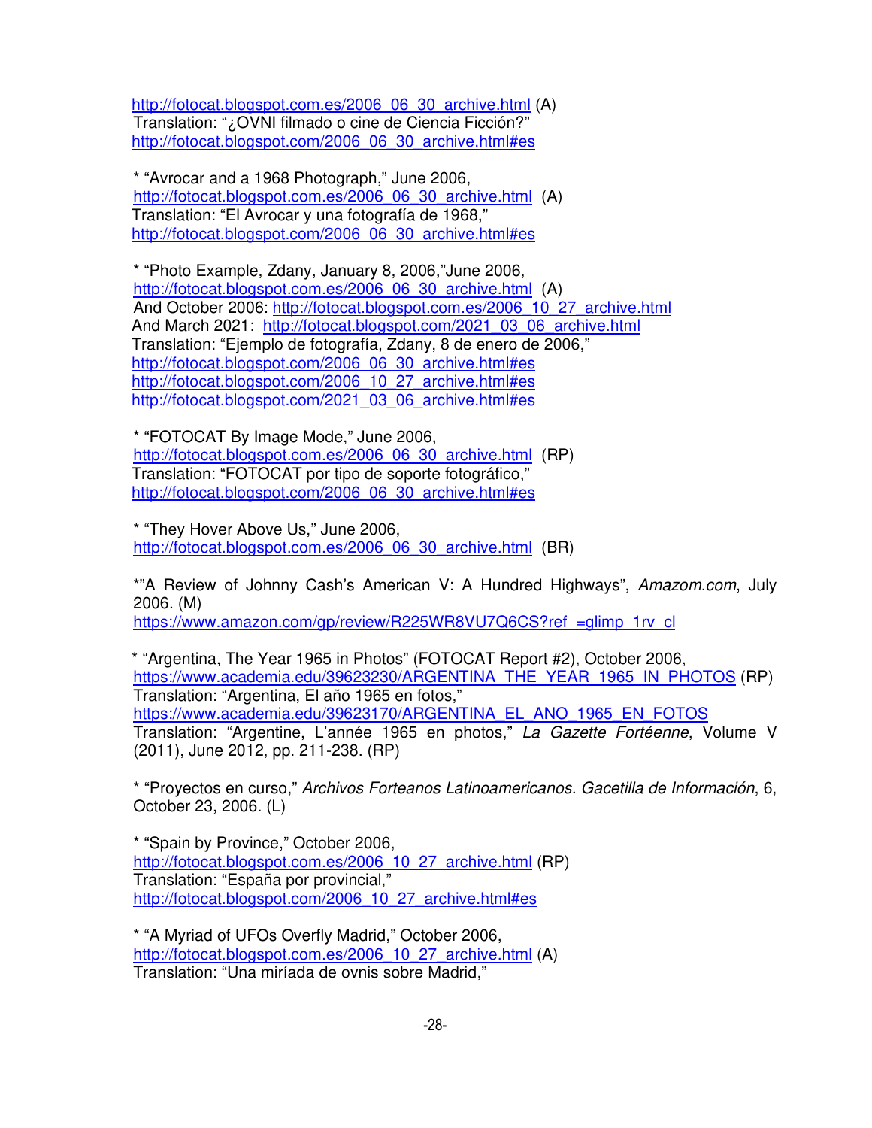http://fotocat.blogspot.com.es/2006\_06\_30\_archive.html (A) Translation: "¿OVNI filmado o cine de Ciencia Ficción?" http://fotocat.blogspot.com/2006\_06\_30\_archive.html#es

\* "Avrocar and a 1968 Photograph," June 2006, http://fotocat.blogspot.com.es/2006\_06\_30\_archive.html (A) Translation: "El Avrocar y una fotografía de 1968," http://fotocat.blogspot.com/2006\_06\_30\_archive.html#es

\* "Photo Example, Zdany, January 8, 2006,"June 2006, http://fotocat.blogspot.com.es/2006\_06\_30\_archive.html (A) And October 2006: http://fotocat.blogspot.com.es/2006\_10\_27\_archive.html And March 2021: http://fotocat.blogspot.com/2021\_03\_06\_archive.html Translation: "Ejemplo de fotografía, Zdany, 8 de enero de 2006," http://fotocat.blogspot.com/2006\_06\_30\_archive.html#es http://fotocat.blogspot.com/2006\_10\_27\_archive.html#es http://fotocat.blogspot.com/2021\_03\_06\_archive.html#es

\* "FOTOCAT By Image Mode," June 2006, http://fotocat.blogspot.com.es/2006\_06\_30\_archive.html (RP) Translation: "FOTOCAT por tipo de soporte fotográfico," http://fotocat.blogspot.com/2006\_06\_30\_archive.html#es

\* "They Hover Above Us," June 2006, http://fotocat.blogspot.com.es/2006\_06\_30\_archive.html (BR)

\*"A Review of Johnny Cash's American V: A Hundred Highways", Amazom.com, July 2006. (M)

https://www.amazon.com/gp/review/R225WR8VU7Q6CS?ref =qlimp\_1rv\_cl

\* "Argentina, The Year 1965 in Photos" (FOTOCAT Report #2), October 2006, https://www.academia.edu/39623230/ARGENTINA\_THE\_YEAR\_1965\_IN\_PHOTOS (RP) Translation: "Argentina, El año 1965 en fotos," https://www.academia.edu/39623170/ARGENTINA\_EL\_ANO\_1965\_EN\_FOTOS Translation: "Argentine, L'année 1965 en photos," La Gazette Fortéenne, Volume V (2011), June 2012, pp. 211-238. (RP)

\* "Proyectos en curso," Archivos Forteanos Latinoamericanos. Gacetilla de Información, 6, October 23, 2006. (L)

\* "Spain by Province," October 2006, http://fotocat.blogspot.com.es/2006\_10\_27\_archive.html (RP) Translation: "España por provincial," http://fotocat.blogspot.com/2006\_10\_27\_archive.html#es

\* "A Myriad of UFOs Overfly Madrid," October 2006, http://fotocat.blogspot.com.es/2006\_10\_27\_archive.html (A) Translation: "Una miríada de ovnis sobre Madrid,"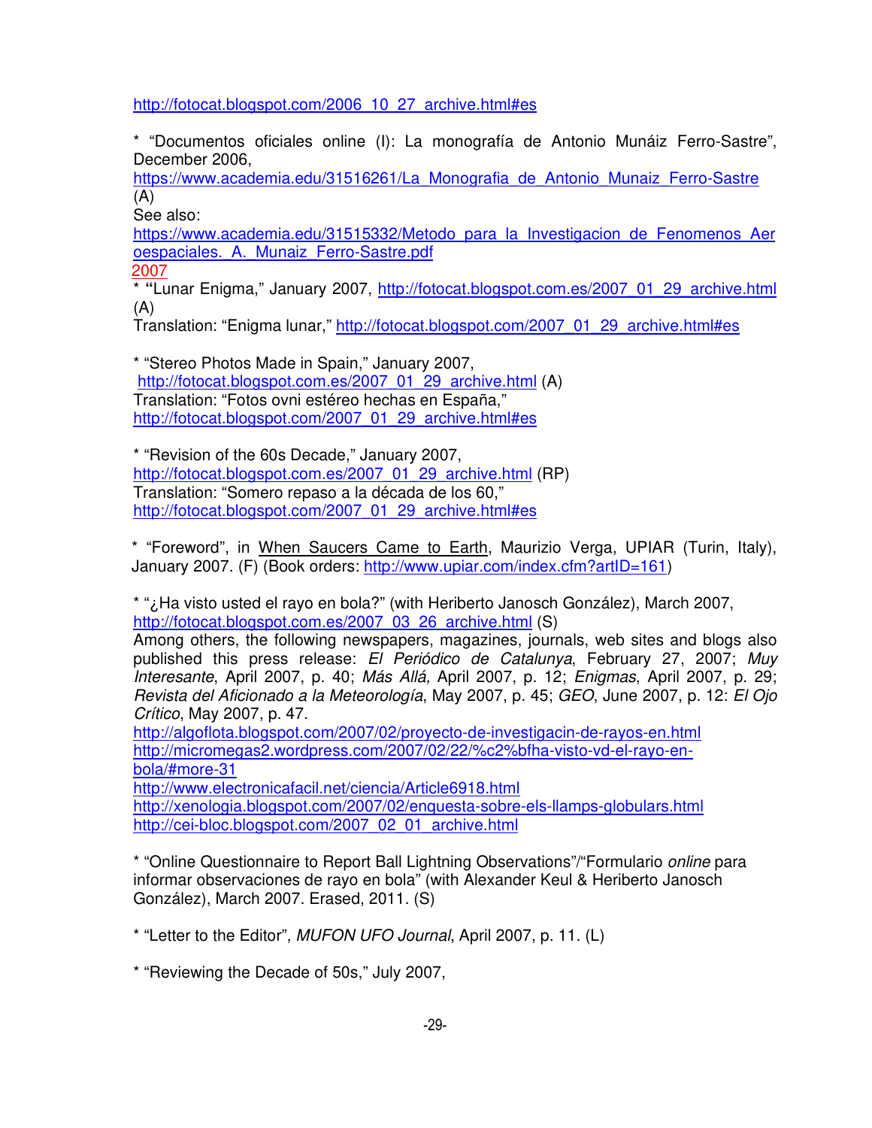http://fotocat.blogspot.com/2006\_10\_27\_archive.html#es

\* "Documentos oficiales online (I): La monografía de Antonio Munáiz Ferro-Sastre", December 2006,

https://www.academia.edu/31516261/La\_Monografia\_de\_Antonio\_Munaiz\_Ferro-Sastre (A)

See also:

https://www.academia.edu/31515332/Metodo\_para\_la\_Investigacion\_de\_Fenomenos\_Aer oespaciales.\_A.\_Munaiz\_Ferro-Sastre.pdf

2007

\* **"**Lunar Enigma," January 2007, http://fotocat.blogspot.com.es/2007\_01\_29\_archive.html (A)

Translation: "Enigma lunar," http://fotocat.blogspot.com/2007\_01\_29\_archive.html#es

\* "Stereo Photos Made in Spain," January 2007, http://fotocat.blogspot.com.es/2007\_01\_29\_archive.html (A) Translation: "Fotos ovni estéreo hechas en España," http://fotocat.blogspot.com/2007\_01\_29\_archive.html#es

\* "Revision of the 60s Decade," January 2007, http://fotocat.blogspot.com.es/2007\_01\_29\_archive.html (RP) Translation: "Somero repaso a la década de los 60," http://fotocat.blogspot.com/2007\_01\_29\_archive.html#es

\* "Foreword", in When Saucers Came to Earth, Maurizio Verga, UPIAR (Turin, Italy), January 2007. (F) (Book orders: http://www.upiar.com/index.cfm?artID=161)

\* "¿Ha visto usted el rayo en bola?" (with Heriberto Janosch González), March 2007, http://fotocat.blogspot.com.es/2007\_03\_26\_archive.html (S)

Among others, the following newspapers, magazines, journals, web sites and blogs also published this press release: El Periódico de Catalunya, February 27, 2007; Muy Interesante, April 2007, p. 40; Más Allá, April 2007, p. 12; Enigmas, April 2007, p. 29; Revista del Aficionado a la Meteorología, May 2007, p. 45; GEO, June 2007, p. 12: El Ojo Crítico, May 2007, p. 47.

http://algoflota.blogspot.com/2007/02/proyecto-de-investigacin-de-rayos-en.html http://micromegas2.wordpress.com/2007/02/22/%c2%bfha-visto-vd-el-rayo-enbola/#more-31

http://www.electronicafacil.net/ciencia/Article6918.html http://xenologia.blogspot.com/2007/02/enquesta-sobre-els-llamps-globulars.html http://cei-bloc.blogspot.com/2007\_02\_01\_archive.html

\* "Online Questionnaire to Report Ball Lightning Observations"/"Formulario online para informar observaciones de rayo en bola" (with Alexander Keul & Heriberto Janosch González), March 2007. Erased, 2011. (S)

\* "Letter to the Editor", MUFON UFO Journal, April 2007, p. 11. (L)

\* "Reviewing the Decade of 50s," July 2007,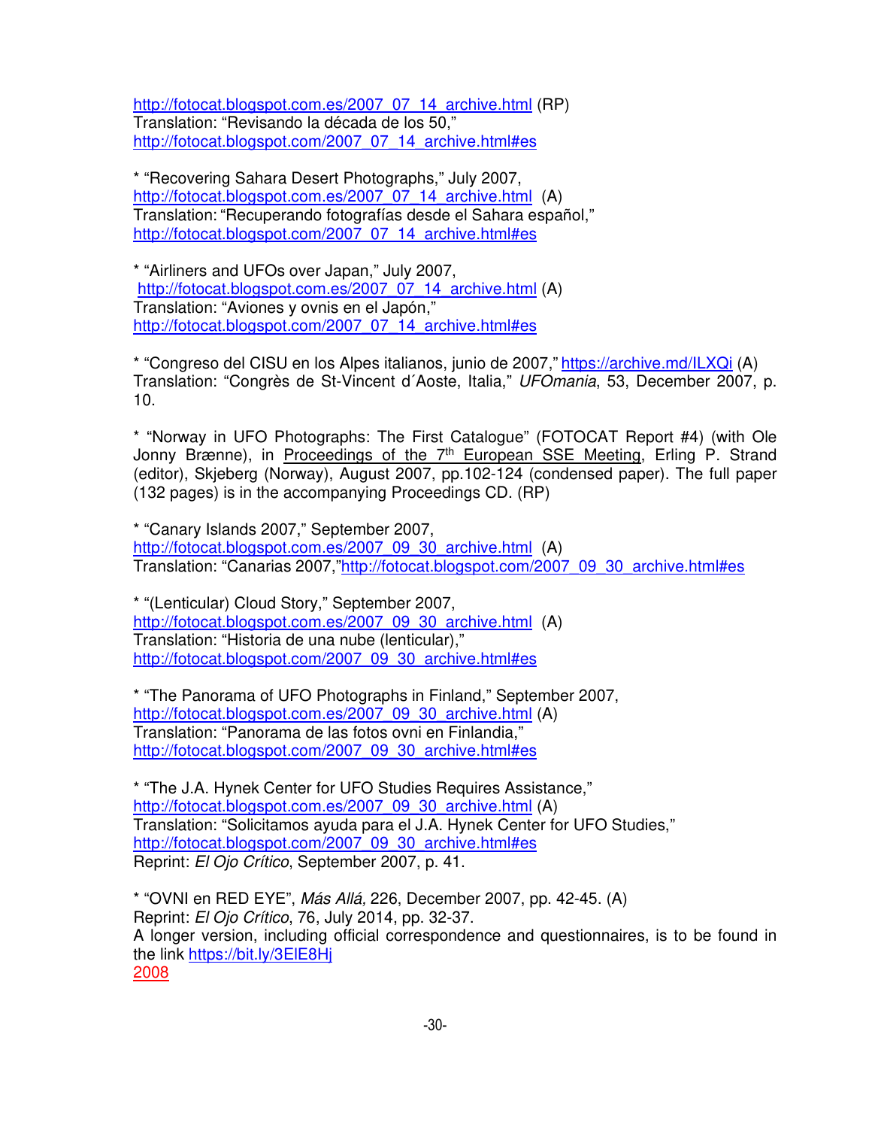http://fotocat.blogspot.com.es/2007\_07\_14\_archive.html (RP) Translation: "Revisando la década de los 50," http://fotocat.blogspot.com/2007\_07\_14\_archive.html#es

\* "Recovering Sahara Desert Photographs," July 2007, http://fotocat.blogspot.com.es/2007\_07\_14\_archive.html (A) Translation: "Recuperando fotografías desde el Sahara español," http://fotocat.blogspot.com/2007\_07\_14\_archive.html#es

\* "Airliners and UFOs over Japan," July 2007, http://fotocat.blogspot.com.es/2007\_07\_14\_archive.html (A) Translation: "Aviones y ovnis en el Japón," http://fotocat.blogspot.com/2007\_07\_14\_archive.html#es

\* "Congreso del CISU en los Alpes italianos, junio de 2007," https://archive.md/ILXQi (A) Translation: "Congrès de St-Vincent d´Aoste, Italia," UFOmania, 53, December 2007, p. 10.

\* "Norway in UFO Photographs: The First Catalogue" (FOTOCAT Report #4) (with Ole Jonny Brænne), in Proceedings of the 7<sup>th</sup> European SSE Meeting, Erling P. Strand (editor), Skjeberg (Norway), August 2007, pp.102-124 (condensed paper). The full paper (132 pages) is in the accompanying Proceedings CD. (RP)

\* "Canary Islands 2007," September 2007, http://fotocat.blogspot.com.es/2007\_09\_30\_archive.html (A) Translation: "Canarias 2007,"http://fotocat.blogspot.com/2007\_09\_30\_archive.html#es

\* "(Lenticular) Cloud Story," September 2007, http://fotocat.blogspot.com.es/2007\_09\_30\_archive.html (A) Translation: "Historia de una nube (lenticular)," http://fotocat.blogspot.com/2007\_09\_30\_archive.html#es

\* "The Panorama of UFO Photographs in Finland," September 2007, http://fotocat.blogspot.com.es/2007\_09\_30\_archive.html (A) Translation: "Panorama de las fotos ovni en Finlandia," http://fotocat.blogspot.com/2007\_09\_30\_archive.html#es

\* "The J.A. Hynek Center for UFO Studies Requires Assistance," http://fotocat.blogspot.com.es/2007\_09\_30\_archive.html (A) Translation: "Solicitamos ayuda para el J.A. Hynek Center for UFO Studies," http://fotocat.blogspot.com/2007\_09\_30\_archive.html#es Reprint: El Ojo Crítico, September 2007, p. 41.

\* "OVNI en RED EYE", Más Allá, 226, December 2007, pp. 42-45. (A) Reprint: El Ojo Crítico, 76, July 2014, pp. 32-37. A longer version, including official correspondence and questionnaires, is to be found in the link https://bit.ly/3ElE8Hj 2008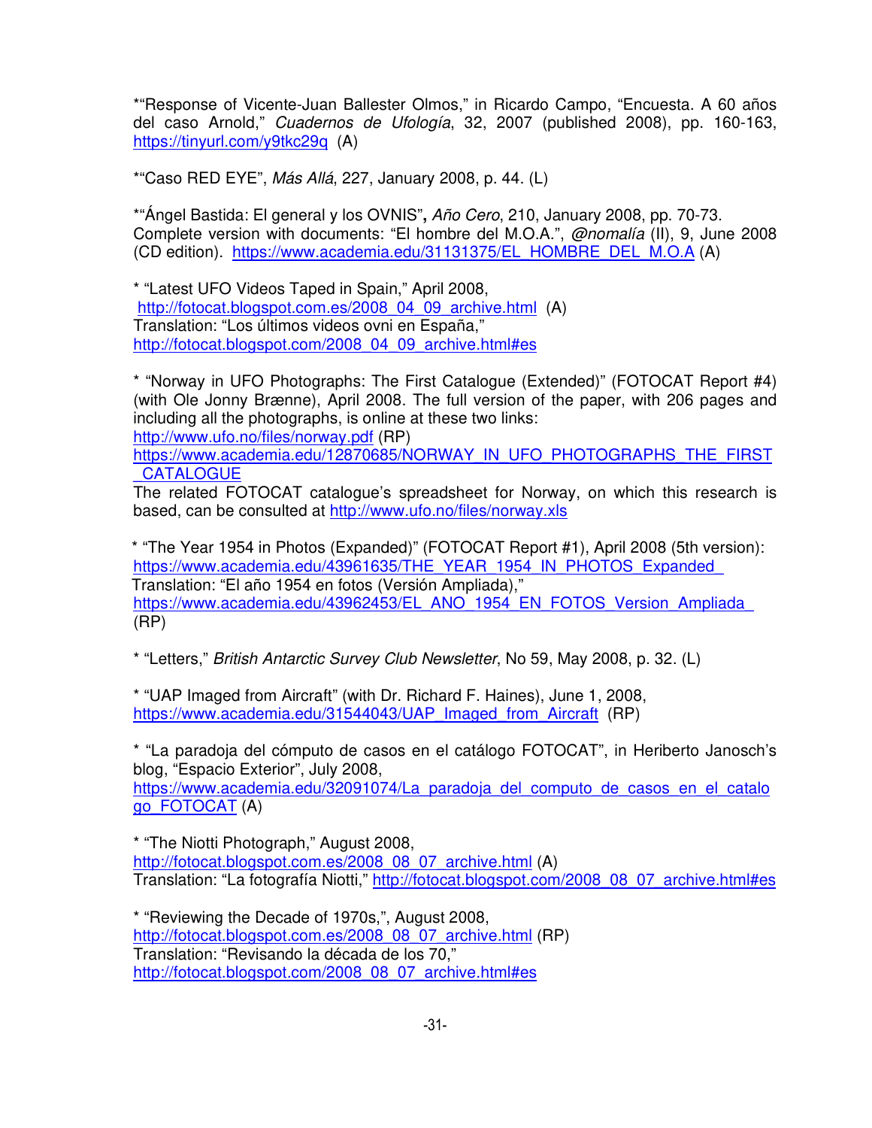\*"Response of Vicente-Juan Ballester Olmos," in Ricardo Campo, "Encuesta. A 60 años del caso Arnold," Cuadernos de Ufología, 32, 2007 (published 2008), pp. 160-163, https://tinyurl.com/y9tkc29q (A)

\*"Caso RED EYE", Más Allá, 227, January 2008, p. 44. (L)

\*"Ángel Bastida: El general y los OVNIS"**,** Año Cero, 210, January 2008, pp. 70-73. Complete version with documents: "El hombre del M.O.A.", @nomalía (II), 9, June 2008 (CD edition). https://www.academia.edu/31131375/EL\_HOMBRE\_DEL\_M.O.A (A)

\* "Latest UFO Videos Taped in Spain," April 2008, http://fotocat.blogspot.com.es/2008\_04\_09\_archive.html (A) Translation: "Los últimos videos ovni en España," http://fotocat.blogspot.com/2008\_04\_09\_archive.html#es

\* "Norway in UFO Photographs: The First Catalogue (Extended)" (FOTOCAT Report #4) (with Ole Jonny Brænne), April 2008. The full version of the paper, with 206 pages and including all the photographs, is online at these two links: http://www.ufo.no/files/norway.pdf (RP)

https://www.academia.edu/12870685/NORWAY\_IN\_UFO\_PHOTOGRAPHS\_THE\_FIRST **CATALOGUE** 

The related FOTOCAT catalogue's spreadsheet for Norway, on which this research is based, can be consulted at http://www.ufo.no/files/norway.xls

\* "The Year 1954 in Photos (Expanded)" (FOTOCAT Report #1), April 2008 (5th version): https://www.academia.edu/43961635/THE\_YEAR\_1954\_IN\_PHOTOS\_Expanded Translation: "El año 1954 en fotos (Versión Ampliada)," https://www.academia.edu/43962453/EL\_ANO\_1954\_EN\_FOTOS\_Version\_Ampliada (RP)

\* "Letters," British Antarctic Survey Club Newsletter, No 59, May 2008, p. 32. (L)

\* "UAP Imaged from Aircraft" (with Dr. Richard F. Haines), June 1, 2008, https://www.academia.edu/31544043/UAP\_Imaged\_from\_Aircraft (RP)

\* "La paradoja del cómputo de casos en el catálogo FOTOCAT", in Heriberto Janosch's blog, "Espacio Exterior", July 2008,

https://www.academia.edu/32091074/La paradoja del computo de casos en el catalo go\_FOTOCAT (A)

\* "The Niotti Photograph," August 2008, http://fotocat.blogspot.com.es/2008\_08\_07\_archive.html (A) Translation: "La fotografía Niotti," http://fotocat.blogspot.com/2008\_08\_07\_archive.html#es

\* "Reviewing the Decade of 1970s,", August 2008, http://fotocat.blogspot.com.es/2008\_08\_07\_archive.html (RP) Translation: "Revisando la década de los 70," http://fotocat.blogspot.com/2008\_08\_07\_archive.html#es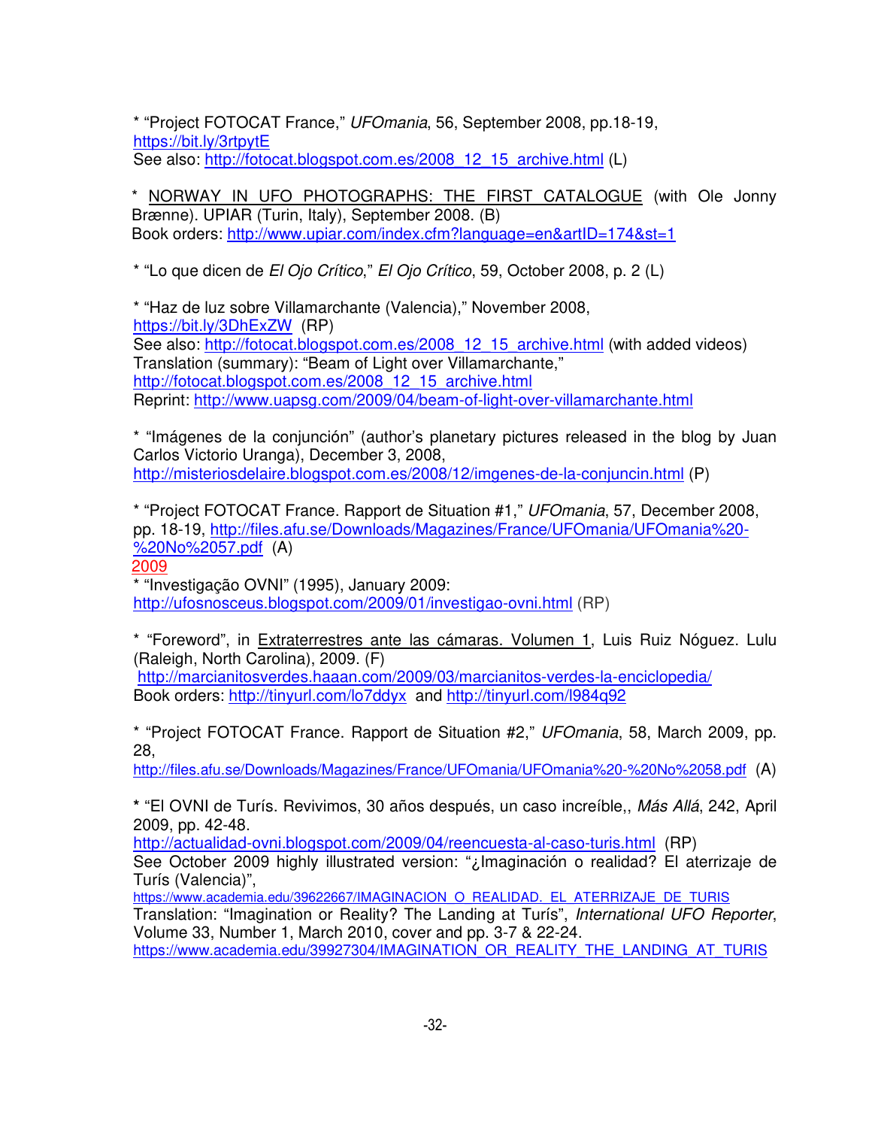\* "Project FOTOCAT France," UFOmania, 56, September 2008, pp.18-19, https://bit.ly/3rtpytE See also: http://fotocat.blogspot.com.es/2008\_12\_15\_archive.html (L)

\* NORWAY IN UFO PHOTOGRAPHS: THE FIRST CATALOGUE (with Ole Jonny Brænne). UPIAR (Turin, Italy), September 2008. (B) Book orders: http://www.upiar.com/index.cfm?language=en&artID=174&st=1

\* "Lo que dicen de El Ojo Crítico," El Ojo Crítico, 59, October 2008, p. 2 (L)

\* "Haz de luz sobre Villamarchante (Valencia)," November 2008, https://bit.ly/3DhExZW (RP) See also: http://fotocat.blogspot.com.es/2008\_12\_15\_archive.html (with added videos) Translation (summary): "Beam of Light over Villamarchante," http://fotocat.blogspot.com.es/2008\_12\_15\_archive.html Reprint: http://www.uapsg.com/2009/04/beam-of-light-over-villamarchante.html

\* "Imágenes de la conjunción" (author's planetary pictures released in the blog by Juan Carlos Victorio Uranga), December 3, 2008, http://misteriosdelaire.blogspot.com.es/2008/12/imgenes-de-la-conjuncin.html (P)

\* "Project FOTOCAT France. Rapport de Situation #1," UFOmania, 57, December 2008, pp. 18-19, http://files.afu.se/Downloads/Magazines/France/UFOmania/UFOmania%20- %20No%2057.pdf (A)

2009

\* "Investigação OVNI" (1995), January 2009: http://ufosnosceus.blogspot.com/2009/01/investigao-ovni.html (RP)

\* "Foreword", in Extraterrestres ante las cámaras. Volumen 1, Luis Ruiz Nóguez. Lulu (Raleigh, North Carolina), 2009. (F) http://marcianitosverdes.haaan.com/2009/03/marcianitos-verdes-la-enciclopedia/

Book orders: http://tinyurl.com/lo7ddyxand http://tinyurl.com/l984q92

\* "Project FOTOCAT France. Rapport de Situation #2," UFOmania, 58, March 2009, pp. 28,

http://files.afu.se/Downloads/Magazines/France/UFOmania/UFOmania%20-%20No%2058.pdf (A)

**\*** "El OVNI de Turís. Revivimos, 30 años después, un caso increíble,, Más Allá, 242, April 2009, pp. 42-48.

http://actualidad-ovni.blogspot.com/2009/04/reencuesta-al-caso-turis.html (RP) See October 2009 highly illustrated version: "¿Imaginación o realidad? El aterrizaje de Turís (Valencia)",

https://www.academia.edu/39622667/IMAGINACION\_O\_REALIDAD.\_EL\_ATERRIZAJE\_DE\_TURIS Translation: "Imagination or Reality? The Landing at Turís", International UFO Reporter, Volume 33, Number 1, March 2010, cover and pp. 3-7 & 22-24. https://www.academia.edu/39927304/IMAGINATION\_OR\_REALITY\_THE\_LANDING\_AT\_TURIS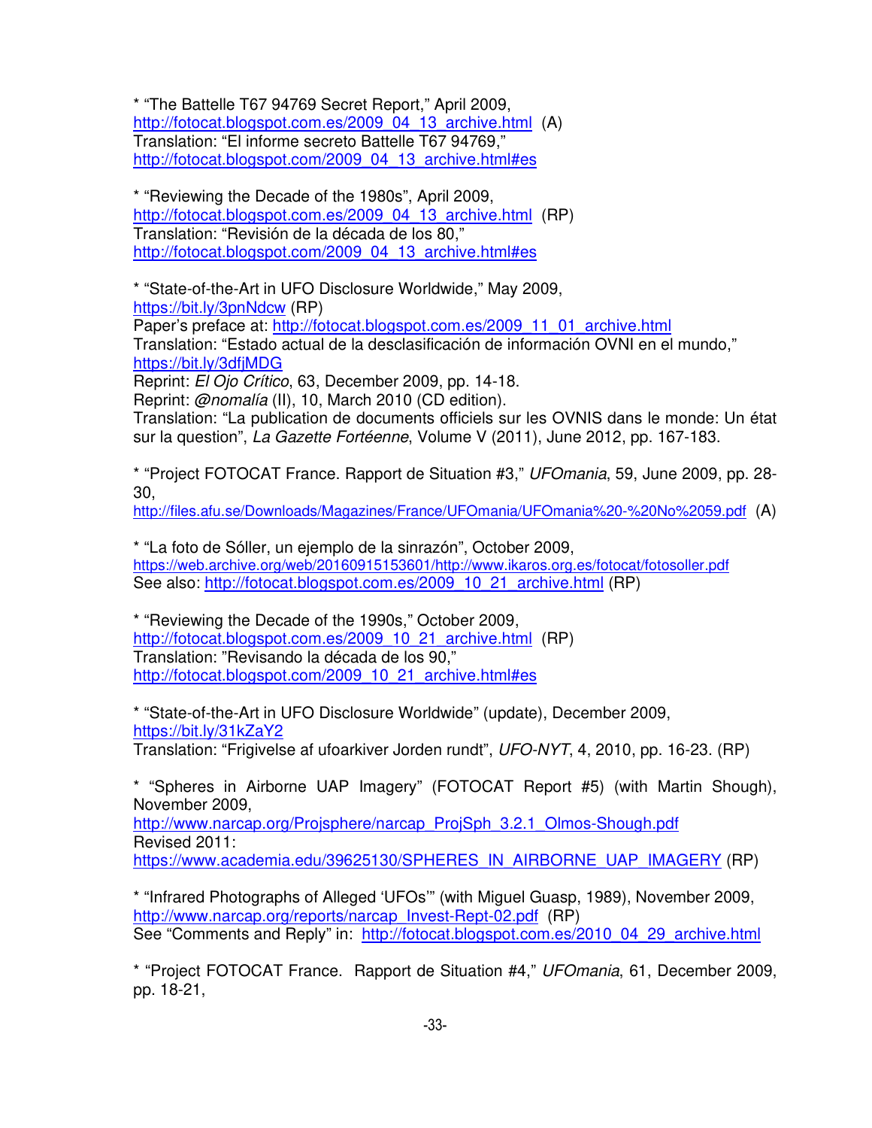\* "The Battelle T67 94769 Secret Report," April 2009, http://fotocat.blogspot.com.es/2009\_04\_13\_archive.html (A) Translation: "El informe secreto Battelle T67 94769," http://fotocat.blogspot.com/2009\_04\_13\_archive.html#es

\* "Reviewing the Decade of the 1980s", April 2009, http://fotocat.blogspot.com.es/2009\_04\_13\_archive.html (RP) Translation: "Revisión de la década de los 80," http://fotocat.blogspot.com/2009\_04\_13\_archive.html#es

\* "State-of-the-Art in UFO Disclosure Worldwide," May 2009, https://bit.ly/3pnNdcw (RP)

Paper's preface at: http://fotocat.blogspot.com.es/2009\_11\_01\_archive.html Translation: "Estado actual de la desclasificación de información OVNI en el mundo," https://bit.ly/3dfjMDG

Reprint: El Ojo Crítico, 63, December 2009, pp. 14-18.

Reprint: @nomalía (II), 10, March 2010 (CD edition).

Translation: "La publication de documents officiels sur les OVNIS dans le monde: Un état sur la question", La Gazette Fortéenne, Volume V (2011), June 2012, pp. 167-183.

\* "Project FOTOCAT France. Rapport de Situation #3," UFOmania, 59, June 2009, pp. 28- 30,

http://files.afu.se/Downloads/Magazines/France/UFOmania/UFOmania%20-%20No%2059.pdf (A)

\* "La foto de Sóller, un ejemplo de la sinrazón", October 2009, https://web.archive.org/web/20160915153601/http://www.ikaros.org.es/fotocat/fotosoller.pdf See also: http://fotocat.blogspot.com.es/2009\_10\_21\_archive.html (RP)

\* "Reviewing the Decade of the 1990s," October 2009, http://fotocat.blogspot.com.es/2009\_10\_21\_archive.html (RP) Translation: "Revisando la década de los 90," http://fotocat.blogspot.com/2009\_10\_21\_archive.html#es

\* "State-of-the-Art in UFO Disclosure Worldwide" (update), December 2009, https://bit.ly/31kZaY2 Translation: "Frigivelse af ufoarkiver Jorden rundt", UFO-NYT, 4, 2010, pp. 16-23. (RP)

\* "Spheres in Airborne UAP Imagery" (FOTOCAT Report #5) (with Martin Shough), November 2009,

http://www.narcap.org/Projsphere/narcap\_ProjSph\_3.2.1\_Olmos-Shough.pdf Revised 2011: https://www.academia.edu/39625130/SPHERES\_IN\_AIRBORNE\_UAP\_IMAGERY (RP)

\* "Infrared Photographs of Alleged 'UFOs'" (with Miguel Guasp, 1989), November 2009, http://www.narcap.org/reports/narcap\_Invest-Rept-02.pdf (RP) See "Comments and Reply" in: http://fotocat.blogspot.com.es/2010\_04\_29\_archive.html

\* "Project FOTOCAT France. Rapport de Situation #4," UFOmania, 61, December 2009, pp. 18-21,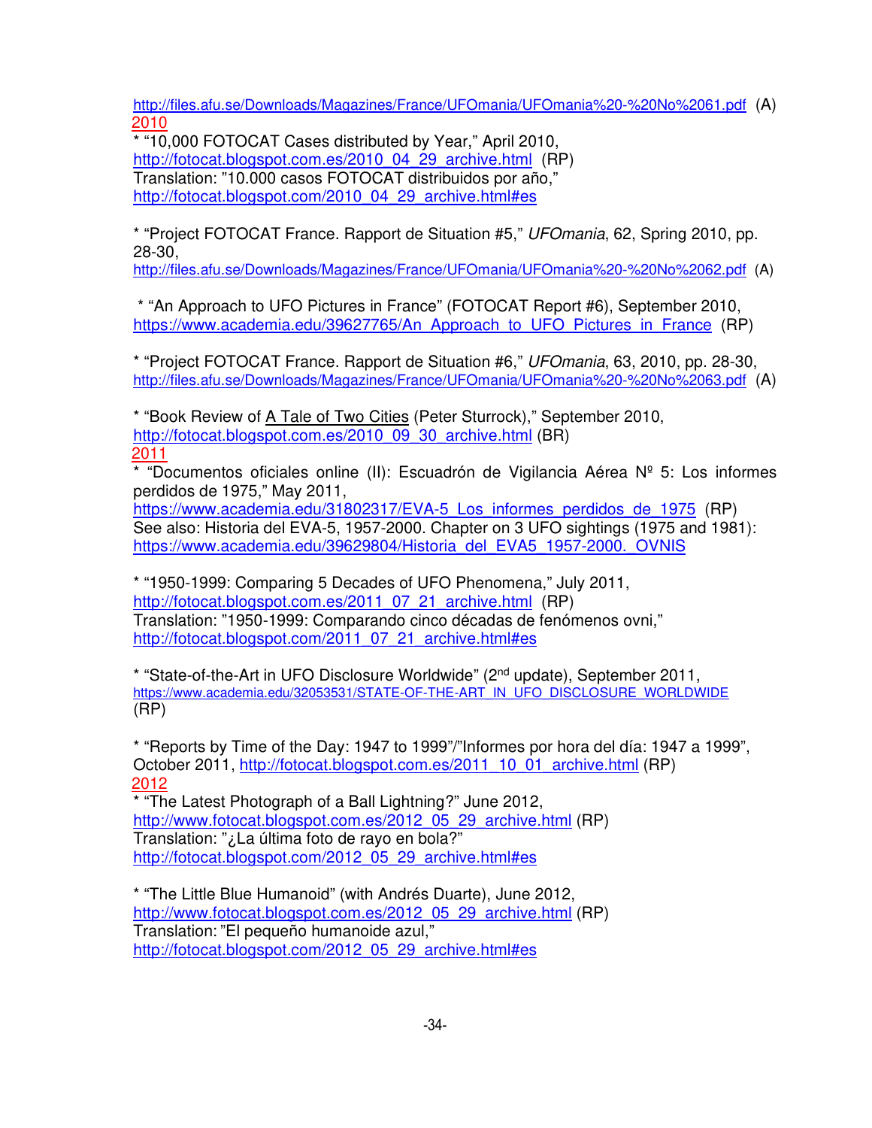http://files.afu.se/Downloads/Magazines/France/UFOmania/UFOmania%20-%20No%2061.pdf (A) 2010

\* "10,000 FOTOCAT Cases distributed by Year," April 2010, http://fotocat.blogspot.com.es/2010\_04\_29\_archive.html (RP) Translation: "10.000 casos FOTOCAT distribuidos por año," http://fotocat.blogspot.com/2010\_04\_29\_archive.html#es

\* "Project FOTOCAT France. Rapport de Situation #5," UFOmania, 62, Spring 2010, pp. 28-30,

http://files.afu.se/Downloads/Magazines/France/UFOmania/UFOmania%20-%20No%2062.pdf (A)

 \* "An Approach to UFO Pictures in France" (FOTOCAT Report #6), September 2010, https://www.academia.edu/39627765/An Approach to UFO Pictures in France (RP)

\* "Project FOTOCAT France. Rapport de Situation #6," UFOmania, 63, 2010, pp. 28-30, http://files.afu.se/Downloads/Magazines/France/UFOmania/UFOmania%20-%20No%2063.pdf (A)

\* "Book Review of A Tale of Two Cities (Peter Sturrock)," September 2010, http://fotocat.blogspot.com.es/2010\_09\_30\_archive.html (BR) 2011

\* "Documentos oficiales online (II): Escuadrón de Vigilancia Aérea  $N<sup>o</sup>$  5: Los informes perdidos de 1975," May 2011,

https://www.academia.edu/31802317/EVA-5 Los\_informes\_perdidos\_de\_1975 (RP) See also: Historia del EVA-5, 1957-2000. Chapter on 3 UFO sightings (1975 and 1981): https://www.academia.edu/39629804/Historia\_del\_EVA5\_1957-2000.\_OVNIS

\* "1950-1999: Comparing 5 Decades of UFO Phenomena," July 2011, http://fotocat.blogspot.com.es/2011\_07\_21\_archive.html (RP) Translation: "1950-1999: Comparando cinco décadas de fenómenos ovni," http://fotocat.blogspot.com/2011\_07\_21\_archive.html#es

\* "State-of-the-Art in UFO Disclosure Worldwide" (2nd update), September 2011, https://www.academia.edu/32053531/STATE-OF-THE-ART\_IN\_UFO\_DISCLOSURE\_WORLDWIDE (RP)

\* "Reports by Time of the Day: 1947 to 1999"/"Informes por hora del día: 1947 a 1999", October 2011, http://fotocat.blogspot.com.es/2011\_10\_01\_archive.html (RP) 2012

\* "The Latest Photograph of a Ball Lightning?" June 2012, http://www.fotocat.blogspot.com.es/2012\_05\_29\_archive.html (RP) Translation: "¿La última foto de rayo en bola?" http://fotocat.blogspot.com/2012\_05\_29\_archive.html#es

\* "The Little Blue Humanoid" (with Andrés Duarte), June 2012, http://www.fotocat.blogspot.com.es/2012\_05\_29\_archive.html (RP) Translation: "El pequeño humanoide azul," http://fotocat.blogspot.com/2012\_05\_29\_archive.html#es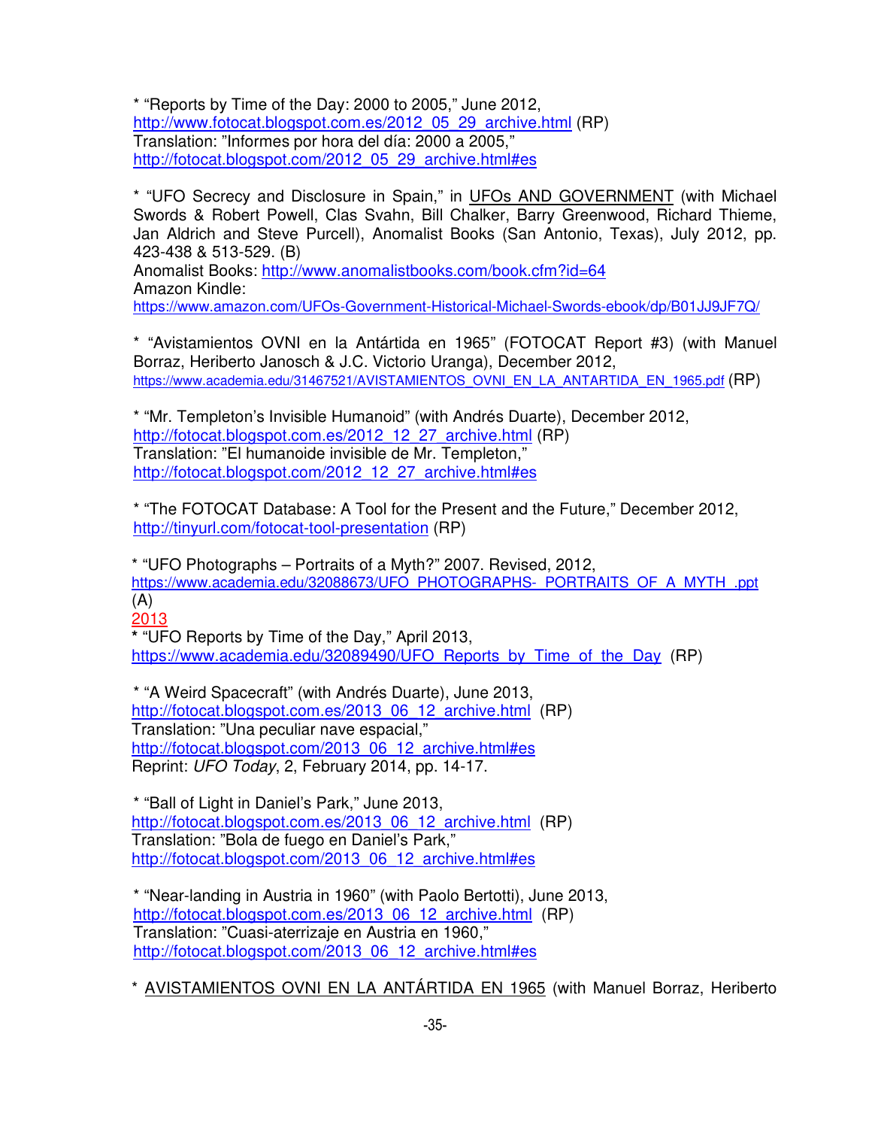\* "Reports by Time of the Day: 2000 to 2005," June 2012, http://www.fotocat.blogspot.com.es/2012\_05\_29\_archive.html (RP) Translation: "Informes por hora del día: 2000 a 2005," http://fotocat.blogspot.com/2012\_05\_29\_archive.html#es

\* "UFO Secrecy and Disclosure in Spain," in UFOs AND GOVERNMENT (with Michael Swords & Robert Powell, Clas Svahn, Bill Chalker, Barry Greenwood, Richard Thieme, Jan Aldrich and Steve Purcell), Anomalist Books (San Antonio, Texas), July 2012, pp. 423-438 & 513-529. (B)

Anomalist Books: http://www.anomalistbooks.com/book.cfm?id=64 Amazon Kindle: https://www.amazon.com/UFOs-Government-Historical-Michael-Swords-ebook/dp/B01JJ9JF7Q/

\* "Avistamientos OVNI en la Antártida en 1965" (FOTOCAT Report #3) (with Manuel Borraz, Heriberto Janosch & J.C. Victorio Uranga), December 2012, https://www.academia.edu/31467521/AVISTAMIENTOS\_OVNI\_EN\_LA\_ANTARTIDA\_EN\_1965.pdf (RP)

\* "Mr. Templeton's Invisible Humanoid" (with Andrés Duarte), December 2012, http://fotocat.blogspot.com.es/2012\_12\_27\_archive.html (RP) Translation: "El humanoide invisible de Mr. Templeton," http://fotocat.blogspot.com/2012\_12\_27\_archive.html#es

\* "The FOTOCAT Database: A Tool for the Present and the Future," December 2012, http://tinyurl.com/fotocat-tool-presentation (RP)

\* "UFO Photographs – Portraits of a Myth?" 2007. Revised, 2012, https://www.academia.edu/32088673/UFO\_PHOTOGRAPHS-\_PORTRAITS\_OF\_A\_MYTH\_.ppt (A)

2013 **\*** "UFO Reports by Time of the Day," April 2013,

https://www.academia.edu/32089490/UFO\_Reports\_by\_Time\_of\_the\_Day (RP)

\* "A Weird Spacecraft" (with Andrés Duarte), June 2013, http://fotocat.blogspot.com.es/2013\_06\_12\_archive.html (RP) Translation: "Una peculiar nave espacial," http://fotocat.blogspot.com/2013\_06\_12\_archive.html#es Reprint: UFO Today, 2, February 2014, pp. 14-17.

\* "Ball of Light in Daniel's Park," June 2013, http://fotocat.blogspot.com.es/2013\_06\_12\_archive.html (RP) Translation: "Bola de fuego en Daniel's Park," http://fotocat.blogspot.com/2013\_06\_12\_archive.html#es

\* "Near-landing in Austria in 1960" (with Paolo Bertotti), June 2013, http://fotocat.blogspot.com.es/2013\_06\_12\_archive.html (RP) Translation: "Cuasi-aterrizaje en Austria en 1960," http://fotocat.blogspot.com/2013\_06\_12\_archive.html#es

\* AVISTAMIENTOS OVNI EN LA ANTÁRTIDA EN 1965 (with Manuel Borraz, Heriberto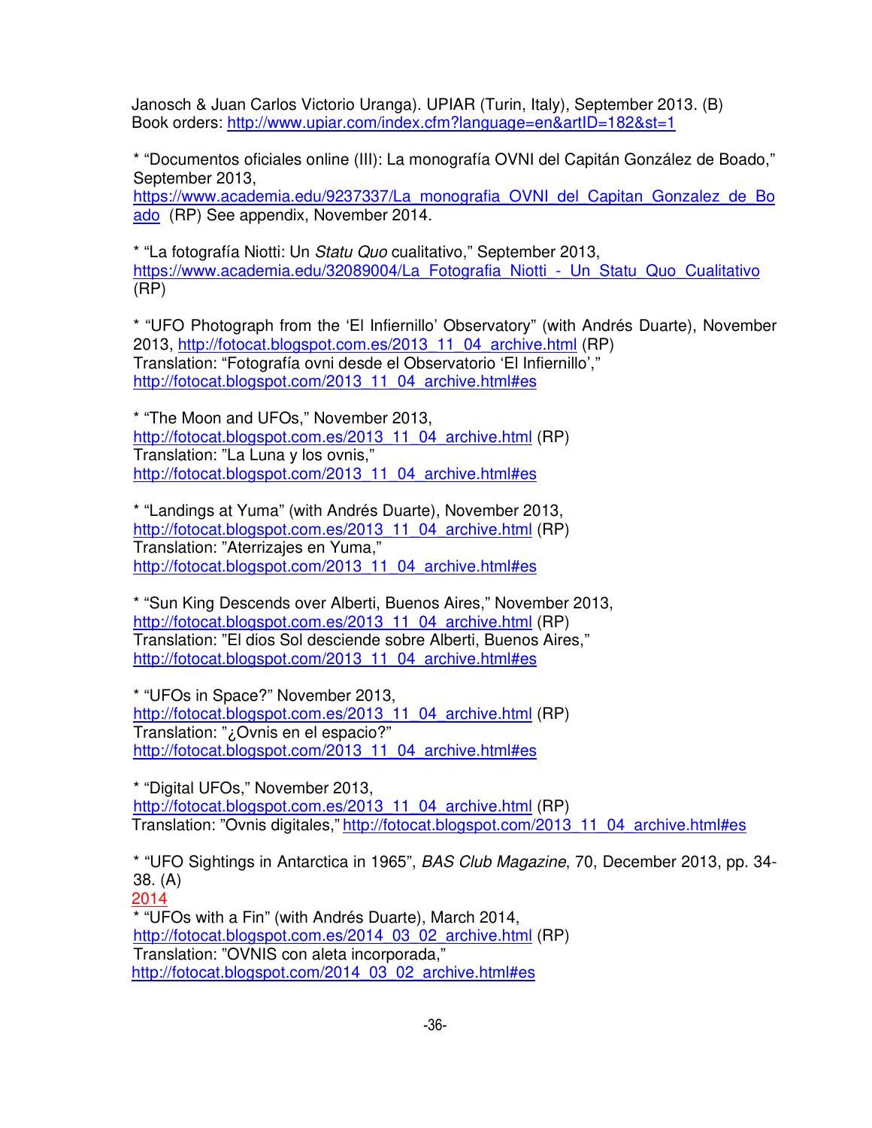Janosch & Juan Carlos Victorio Uranga). UPIAR (Turin, Italy), September 2013. (B) Book orders: http://www.upiar.com/index.cfm?language=en&artID=182&st=1

\* "Documentos oficiales online (III): La monografía OVNI del Capitán González de Boado," September 2013,

https://www.academia.edu/9237337/La\_monografia\_OVNI\_del\_Capitan\_Gonzalez\_de\_Bo ado (RP) See appendix, November 2014.

\* "La fotografía Niotti: Un Statu Quo cualitativo," September 2013, https://www.academia.edu/32089004/La\_Fotografia\_Niotti\_-\_ Un\_Statu\_Quo\_Cualitativo (RP)

\* "UFO Photograph from the 'El Infiernillo' Observatory" (with Andrés Duarte), November 2013, http://fotocat.blogspot.com.es/2013\_11\_04\_archive.html (RP) Translation: "Fotografía ovni desde el Observatorio 'El Infiernillo'," http://fotocat.blogspot.com/2013\_11\_04\_archive.html#es

\* "The Moon and UFOs," November 2013, http://fotocat.blogspot.com.es/2013\_11\_04\_archive.html (RP) Translation: "La Luna y los ovnis," http://fotocat.blogspot.com/2013\_11\_04\_archive.html#es

\* "Landings at Yuma" (with Andrés Duarte), November 2013, http://fotocat.blogspot.com.es/2013\_11\_04\_archive.html (RP) Translation: "Aterrizajes en Yuma," http://fotocat.blogspot.com/2013\_11\_04\_archive.html#es

\* "Sun King Descends over Alberti, Buenos Aires," November 2013, http://fotocat.blogspot.com.es/2013\_11\_04\_archive.html (RP) Translation: "El dios Sol desciende sobre Alberti, Buenos Aires," http://fotocat.blogspot.com/2013\_11\_04\_archive.html#es

\* "UFOs in Space?" November 2013, http://fotocat.blogspot.com.es/2013\_11\_04\_archive.html (RP) Translation: "¿Ovnis en el espacio?" http://fotocat.blogspot.com/2013\_11\_04\_archive.html#es

\* "Digital UFOs," November 2013, http://fotocat.blogspot.com.es/2013\_11\_04\_archive.html (RP) Translation: "Ovnis digitales," http://fotocat.blogspot.com/2013\_11\_04\_archive.html#es

\* "UFO Sightings in Antarctica in 1965", BAS Club Magazine, 70, December 2013, pp. 34- 38. (A)

2014

\* "UFOs with a Fin" (with Andrés Duarte), March 2014, http://fotocat.blogspot.com.es/2014\_03\_02\_archive.html (RP) Translation: "OVNIS con aleta incorporada," http://fotocat.blogspot.com/2014\_03\_02\_archive.html#es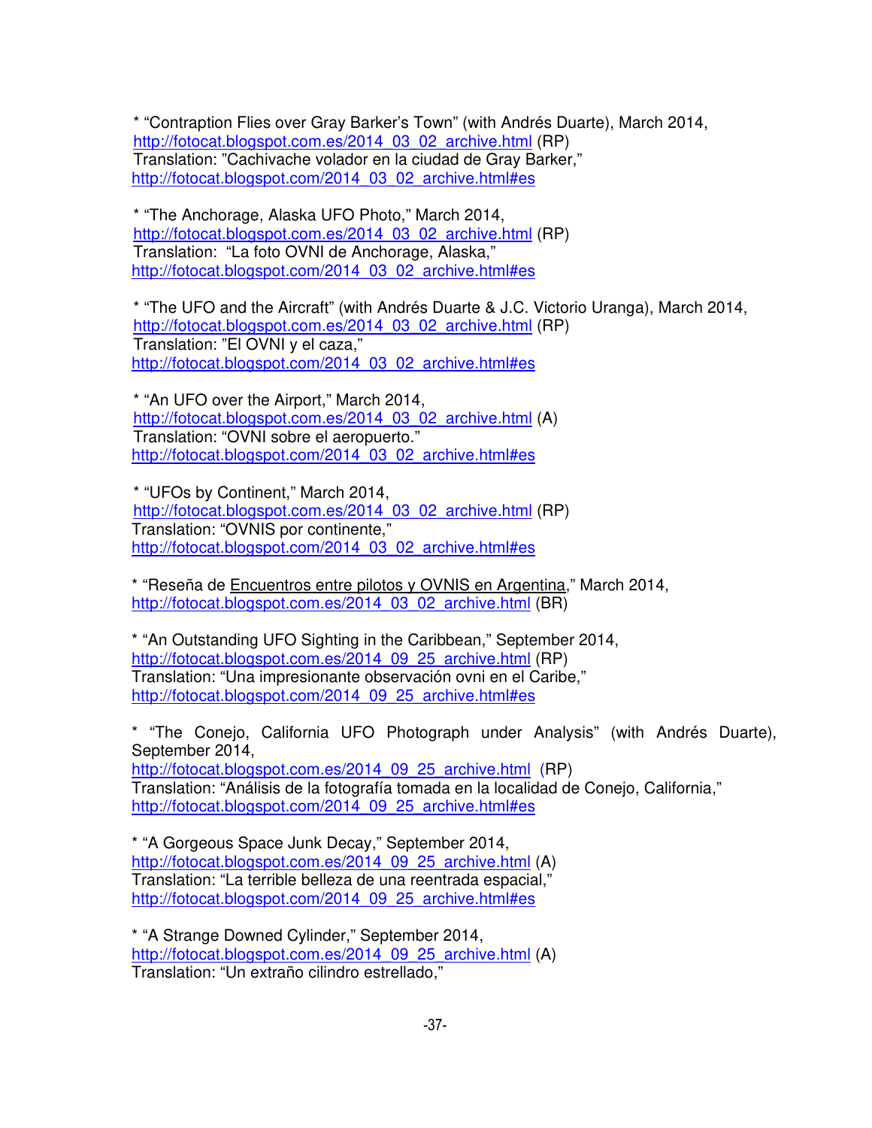\* "Contraption Flies over Gray Barker's Town" (with Andrés Duarte), March 2014, http://fotocat.blogspot.com.es/2014\_03\_02\_archive.html (RP) Translation: "Cachivache volador en la ciudad de Gray Barker," http://fotocat.blogspot.com/2014\_03\_02\_archive.html#es

\* "The Anchorage, Alaska UFO Photo," March 2014, http://fotocat.blogspot.com.es/2014\_03\_02\_archive.html (RP) Translation: "La foto OVNI de Anchorage, Alaska," http://fotocat.blogspot.com/2014\_03\_02\_archive.html#es

\* "The UFO and the Aircraft" (with Andrés Duarte & J.C. Victorio Uranga), March 2014, http://fotocat.blogspot.com.es/2014\_03\_02\_archive.html (RP) Translation: "El OVNI y el caza," http://fotocat.blogspot.com/2014\_03\_02\_archive.html#es

\* "An UFO over the Airport," March 2014, http://fotocat.blogspot.com.es/2014\_03\_02\_archive.html (A) Translation: "OVNI sobre el aeropuerto." http://fotocat.blogspot.com/2014\_03\_02\_archive.html#es

\* "UFOs by Continent," March 2014, http://fotocat.blogspot.com.es/2014\_03\_02\_archive.html (RP) Translation: "OVNIS por continente," http://fotocat.blogspot.com/2014\_03\_02\_archive.html#es

\* "Reseña de Encuentros entre pilotos y OVNIS en Argentina," March 2014, http://fotocat.blogspot.com.es/2014\_03\_02\_archive.html (BR)

\* "An Outstanding UFO Sighting in the Caribbean," September 2014, http://fotocat.blogspot.com.es/2014\_09\_25\_archive.html (RP) Translation: "Una impresionante observación ovni en el Caribe," http://fotocat.blogspot.com/2014\_09\_25\_archive.html#es

\* "The Conejo, California UFO Photograph under Analysis" (with Andrés Duarte), September 2014,

http://fotocat.blogspot.com.es/2014\_09\_25\_archive.html (RP) Translation: "Análisis de la fotografía tomada en la localidad de Conejo, California," http://fotocat.blogspot.com/2014\_09\_25\_archive.html#es

\* "A Gorgeous Space Junk Decay," September 2014, http://fotocat.blogspot.com.es/2014\_09\_25\_archive.html (A) Translation: "La terrible belleza de una reentrada espacial," http://fotocat.blogspot.com/2014\_09\_25\_archive.html#es

\* "A Strange Downed Cylinder," September 2014, http://fotocat.blogspot.com.es/2014\_09\_25\_archive.html (A) Translation: "Un extraño cilindro estrellado,"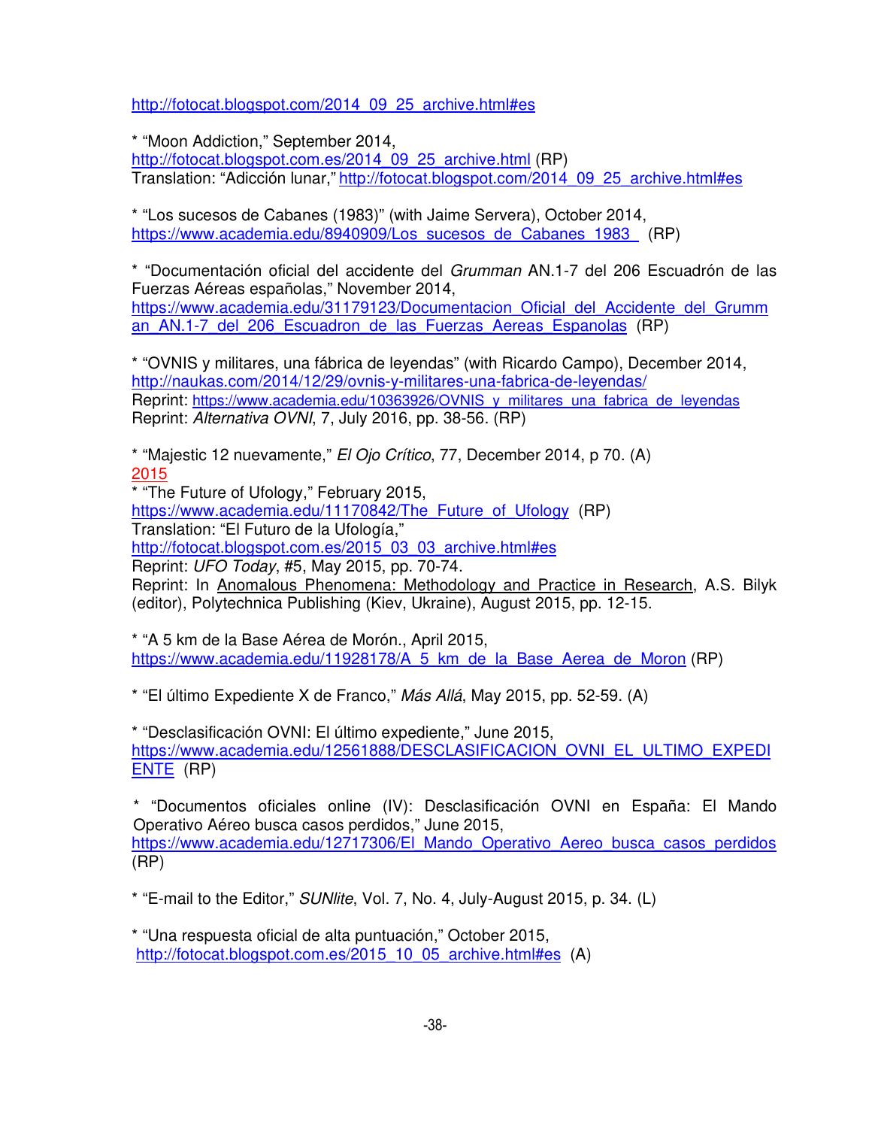http://fotocat.blogspot.com/2014\_09\_25\_archive.html#es

\* "Moon Addiction," September 2014,

http://fotocat.blogspot.com.es/2014\_09\_25\_archive.html (RP) Translation: "Adicción lunar," http://fotocat.blogspot.com/2014\_09\_25\_archive.html#es

\* "Los sucesos de Cabanes (1983)" (with Jaime Servera), October 2014, https://www.academia.edu/8940909/Los\_sucesos\_de\_Cabanes\_1983\_ (RP)

\* "Documentación oficial del accidente del Grumman AN.1-7 del 206 Escuadrón de las Fuerzas Aéreas españolas," November 2014, https://www.academia.edu/31179123/Documentacion\_Oficial\_del\_Accidente\_del\_Grumm an AN.1-7 del 206 Escuadron de las Fuerzas Aereas Espanolas (RP)

\* "OVNIS y militares, una fábrica de leyendas" (with Ricardo Campo), December 2014, http://naukas.com/2014/12/29/ovnis-y-militares-una-fabrica-de-leyendas/ Reprint: https://www.academia.edu/10363926/OVNIS\_y\_militares\_una\_fabrica\_de\_leyendas Reprint: Alternativa OVNI, 7, July 2016, pp. 38-56. (RP)

\* "Majestic 12 nuevamente," El Ojo Crítico, 77, December 2014, p 70. (A) 2015

\* "The Future of Ufology," February 2015, https://www.academia.edu/11170842/The\_Future\_of\_Ufology (RP) Translation: "El Futuro de la Ufología,"

http://fotocat.blogspot.com.es/2015\_03\_03\_archive.html#es

Reprint: UFO Today, #5, May 2015, pp. 70-74.

Reprint: In Anomalous Phenomena: Methodology and Practice in Research, A.S. Bilyk (editor), Polytechnica Publishing (Kiev, Ukraine), August 2015, pp. 12-15.

\* "A 5 km de la Base Aérea de Morón., April 2015, https://www.academia.edu/11928178/A\_5\_km\_de\_la\_Base\_Aerea\_de\_Moron (RP)

\* "El último Expediente X de Franco," Más Allá, May 2015, pp. 52-59. (A)

\* "Desclasificación OVNI: El último expediente," June 2015, https://www.academia.edu/12561888/DESCLASIFICACION\_OVNI\_EL\_ULTIMO\_EXPEDI ENTE (RP)

\* "Documentos oficiales online (IV): Desclasificación OVNI en España: El Mando Operativo Aéreo busca casos perdidos," June 2015, https://www.academia.edu/12717306/El\_Mando\_Operativo\_Aereo\_busca\_casos\_perdidos (RP)

\* "E-mail to the Editor," SUNlite, Vol. 7, No. 4, July-August 2015, p. 34. (L)

\* "Una respuesta oficial de alta puntuación," October 2015, http://fotocat.blogspot.com.es/2015\_10\_05\_archive.html#es (A)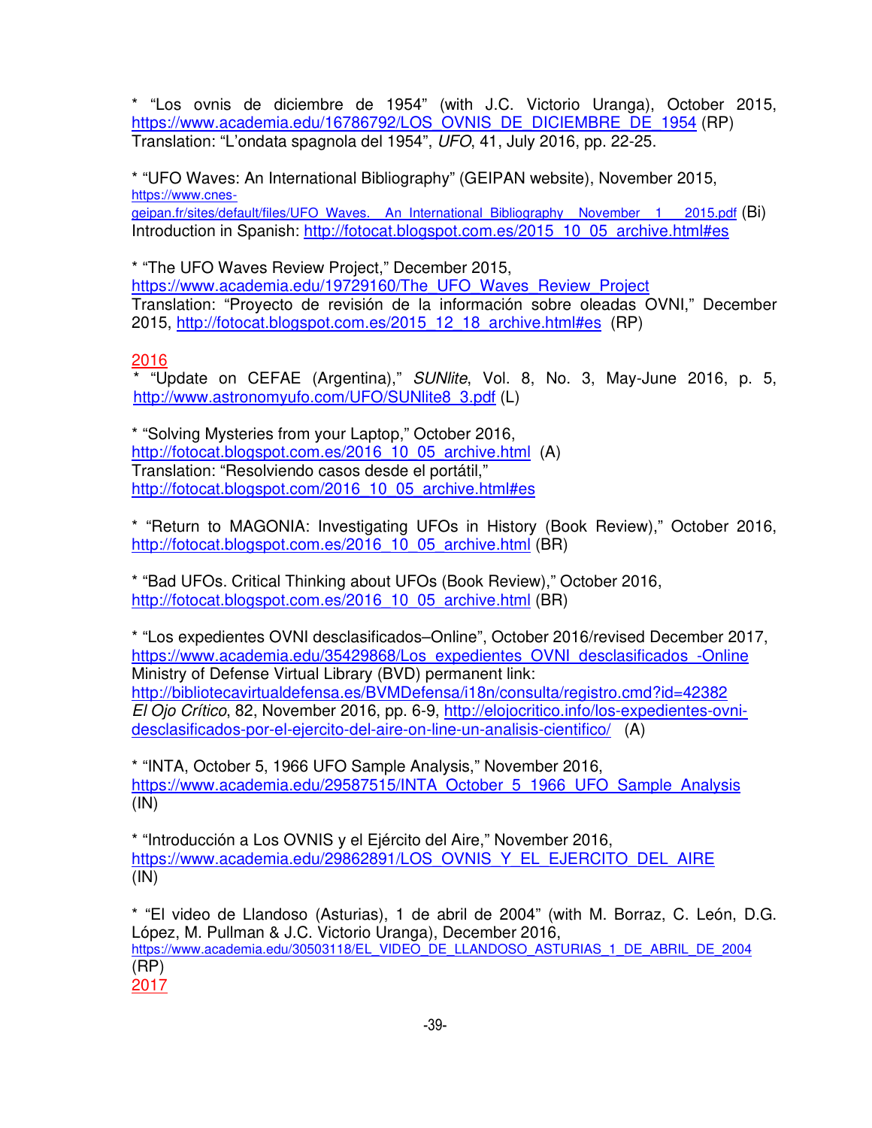\* "Los ovnis de diciembre de 1954" (with J.C. Victorio Uranga), October 2015, https://www.academia.edu/16786792/LOS\_OVNIS\_DE\_DICIEMBRE\_DE\_1954 (RP) Translation: "L'ondata spagnola del 1954", UFO, 41, July 2016, pp. 22-25.

\* "UFO Waves: An International Bibliography" (GEIPAN website), November 2015, https://www.cnesgeipan.fr/sites/default/files/UFO\_Waves. An\_International\_Bibliography\_November\_1\_\_\_2015.pdf (Bi) Introduction in Spanish: http://fotocat.blogspot.com.es/2015\_10\_05\_archive.html#es

\* "The UFO Waves Review Project," December 2015, https://www.academia.edu/19729160/The\_UFO\_Waves\_Review\_Project Translation: "Proyecto de revisión de la información sobre oleadas OVNI," December 2015, http://fotocat.blogspot.com.es/2015\_12\_18\_archive.html#es (RP)

### 2016

\* "Update on CEFAE (Argentina)," SUNlite, Vol. 8, No. 3, May-June 2016, p. 5, http://www.astronomyufo.com/UFO/SUNlite8\_3.pdf (L)

\* "Solving Mysteries from your Laptop," October 2016, http://fotocat.blogspot.com.es/2016\_10\_05\_archive.html (A) Translation: "Resolviendo casos desde el portátil," http://fotocat.blogspot.com/2016\_10\_05\_archive.html#es

\* "Return to MAGONIA: Investigating UFOs in History (Book Review)," October 2016, http://fotocat.blogspot.com.es/2016\_10\_05\_archive.html (BR)

\* "Bad UFOs. Critical Thinking about UFOs (Book Review)," October 2016, http://fotocat.blogspot.com.es/2016\_10\_05\_archive.html (BR)

\* "Los expedientes OVNI desclasificados–Online", October 2016/revised December 2017, https://www.academia.edu/35429868/Los\_expedientes\_OVNI\_desclasificados\_-Online Ministry of Defense Virtual Library (BVD) permanent link: http://bibliotecavirtualdefensa.es/BVMDefensa/i18n/consulta/registro.cmd?id=42382 El Ojo Crítico, 82, November 2016, pp. 6-9, http://elojocritico.info/los-expedientes-ovnidesclasificados-por-el-ejercito-del-aire-on-line-un-analisis-cientifico/ (A)

\* "INTA, October 5, 1966 UFO Sample Analysis," November 2016, https://www.academia.edu/29587515/INTA\_October\_5\_1966\_UFO\_Sample\_Analysis (IN)

\* "Introducción a Los OVNIS y el Ejército del Aire," November 2016, https://www.academia.edu/29862891/LOS\_OVNIS\_Y\_EL\_EJERCITO\_DEL\_AIRE  $(IN)$ 

\* "El video de Llandoso (Asturias), 1 de abril de 2004" (with M. Borraz, C. León, D.G. López, M. Pullman & J.C. Victorio Uranga), December 2016, https://www.academia.edu/30503118/EL\_VIDEO\_DE\_LLANDOSO\_ASTURIAS\_1\_DE\_ABRIL\_DE\_2004 (RP) 2017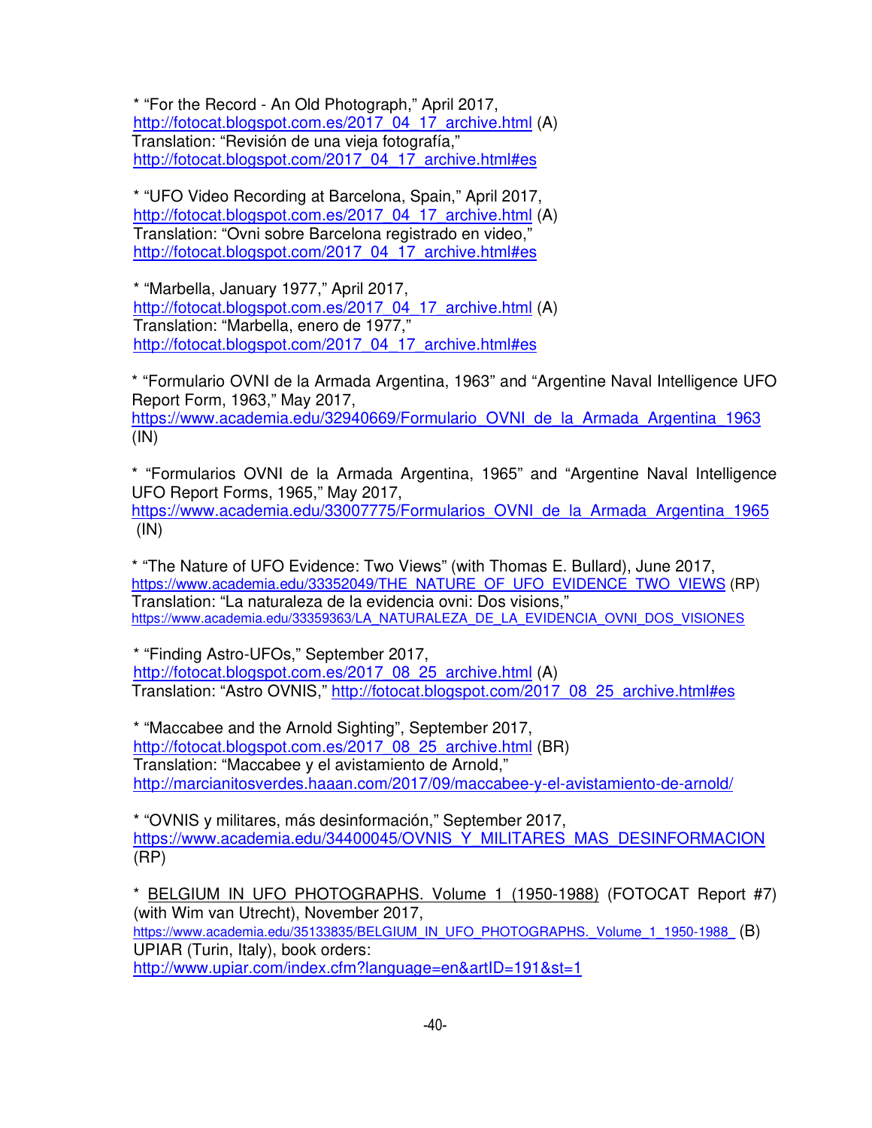\* "For the Record - An Old Photograph," April 2017, http://fotocat.blogspot.com.es/2017\_04\_17\_archive.html (A) Translation: "Revisión de una vieja fotografía," http://fotocat.blogspot.com/2017\_04\_17\_archive.html#es

\* "UFO Video Recording at Barcelona, Spain," April 2017, http://fotocat.blogspot.com.es/2017\_04\_17\_archive.html (A) Translation: "Ovni sobre Barcelona registrado en video," http://fotocat.blogspot.com/2017\_04\_17\_archive.html#es

\* "Marbella, January 1977," April 2017, http://fotocat.blogspot.com.es/2017\_04\_17\_archive.html (A) Translation: "Marbella, enero de 1977," http://fotocat.blogspot.com/2017\_04\_17\_archive.html#es

\* "Formulario OVNI de la Armada Argentina, 1963" and "Argentine Naval Intelligence UFO Report Form, 1963," May 2017, https://www.academia.edu/32940669/Formulario\_OVNI\_de\_la\_Armada\_Argentina\_1963  $(IN)$ 

\* "Formularios OVNI de la Armada Argentina, 1965" and "Argentine Naval Intelligence UFO Report Forms, 1965," May 2017, https://www.academia.edu/33007775/Formularios\_OVNI\_de\_la\_Armada\_Argentina\_1965  $(IN)$ 

\* "The Nature of UFO Evidence: Two Views" (with Thomas E. Bullard), June 2017, https://www.academia.edu/33352049/THE\_NATURE\_OF\_UFO\_EVIDENCE\_TWO\_VIEWS (RP) Translation: "La naturaleza de la evidencia ovni: Dos visions," https://www.academia.edu/33359363/LA\_NATURALEZA\_DE\_LA\_EVIDENCIA\_OVNI\_DOS\_VISIONES

\* "Finding Astro-UFOs," September 2017, http://fotocat.blogspot.com.es/2017\_08\_25\_archive.html (A) Translation: "Astro OVNIS," http://fotocat.blogspot.com/2017\_08\_25\_archive.html#es

\* "Maccabee and the Arnold Sighting", September 2017, http://fotocat.blogspot.com.es/2017\_08\_25\_archive.html (BR) Translation: "Maccabee y el avistamiento de Arnold," http://marcianitosverdes.haaan.com/2017/09/maccabee-y-el-avistamiento-de-arnold/

\* "OVNIS y militares, más desinformación," September 2017, https://www.academia.edu/34400045/OVNIS\_Y\_MILITARES\_MAS\_DESINFORMACION (RP)

\* BELGIUM IN UFO PHOTOGRAPHS. Volume 1 (1950-1988) (FOTOCAT Report #7) (with Wim van Utrecht), November 2017, https://www.academia.edu/35133835/BELGIUM\_IN\_UFO\_PHOTOGRAPHS.\_Volume\_1\_1950-1988 (B) UPIAR (Turin, Italy), book orders: http://www.upiar.com/index.cfm?language=en&artID=191&st=1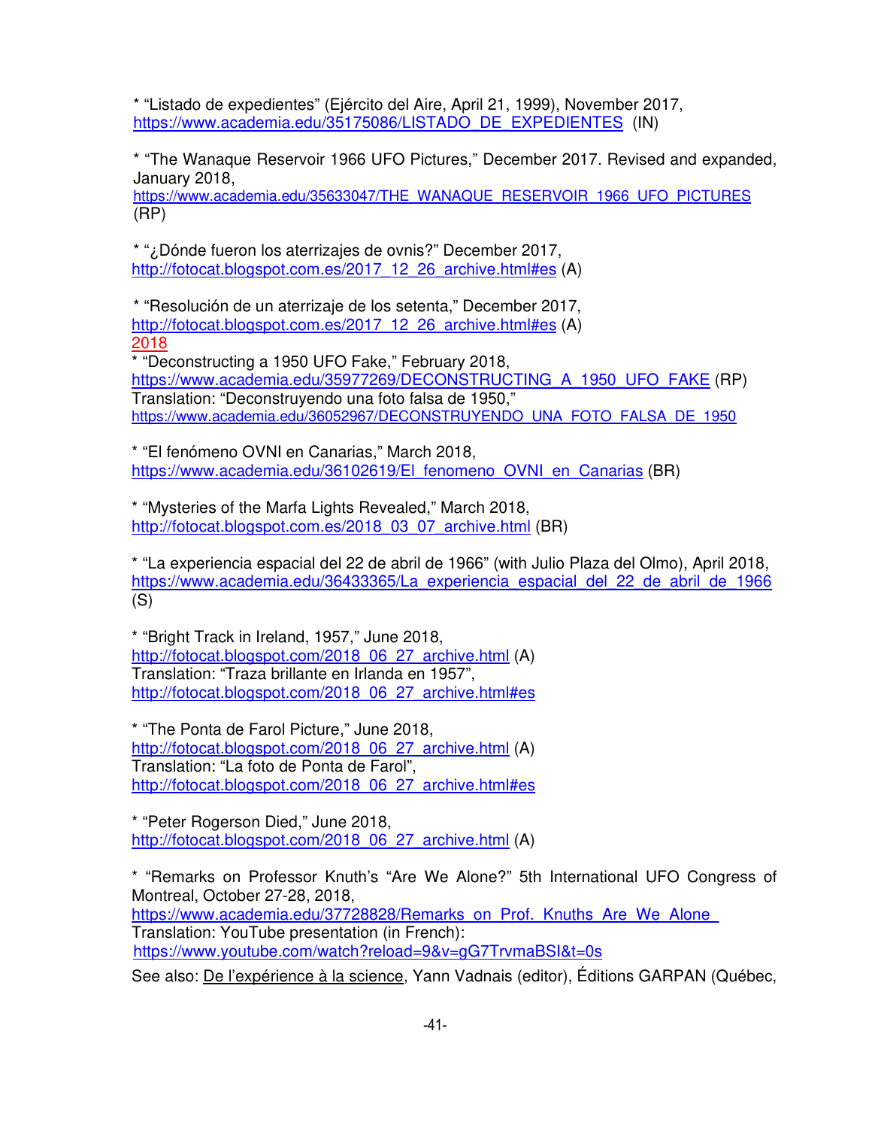\* "Listado de expedientes" (Ejército del Aire, April 21, 1999), November 2017, https://www.academia.edu/35175086/LISTADO\_DE\_EXPEDIENTES (IN)

\* "The Wanaque Reservoir 1966 UFO Pictures," December 2017. Revised and expanded, January 2018,

https://www.academia.edu/35633047/THE\_WANAQUE\_RESERVOIR\_1966\_UFO\_PICTURES (RP)

\* "¿Dónde fueron los aterrizajes de ovnis?" December 2017, http://fotocat.blogspot.com.es/2017\_12\_26\_archive.html#es (A)

\* "Resolución de un aterrizaje de los setenta," December 2017, http://fotocat.blogspot.com.es/2017\_12\_26\_archive.html#es (A) 2018 \* "Deconstructing a 1950 UFO Fake," February 2018,

https://www.academia.edu/35977269/DECONSTRUCTING\_A\_1950\_UFO\_FAKE (RP) Translation: "Deconstruyendo una foto falsa de 1950," https://www.academia.edu/36052967/DECONSTRUYENDO\_UNA\_FOTO\_FALSA\_DE\_1950

\* "El fenómeno OVNI en Canarias," March 2018, https://www.academia.edu/36102619/El fenomeno\_OVNI\_en\_Canarias (BR)

\* "Mysteries of the Marfa Lights Revealed," March 2018, http://fotocat.blogspot.com.es/2018\_03\_07\_archive.html (BR)

\* "La experiencia espacial del 22 de abril de 1966" (with Julio Plaza del Olmo), April 2018, https://www.academia.edu/36433365/La\_experiencia\_espacial\_del\_22\_de\_abril\_de\_1966  $(S)$ 

\* "Bright Track in Ireland, 1957," June 2018, http://fotocat.blogspot.com/2018\_06\_27\_archive.html (A) Translation: "Traza brillante en Irlanda en 1957", http://fotocat.blogspot.com/2018\_06\_27\_archive.html#es

\* "The Ponta de Farol Picture," June 2018, http://fotocat.blogspot.com/2018\_06\_27\_archive.html (A) Translation: "La foto de Ponta de Farol", http://fotocat.blogspot.com/2018\_06\_27\_archive.html#es

\* "Peter Rogerson Died," June 2018, http://fotocat.blogspot.com/2018\_06\_27\_archive.html (A)

\* "Remarks on Professor Knuth's "Are We Alone?" 5th International UFO Congress of Montreal, October 27-28, 2018, https://www.academia.edu/37728828/Remarks\_on\_Prof.\_Knuths\_Are\_We\_Alone\_ Translation: YouTube presentation (in French): https://www.youtube.com/watch?reload=9&v=gG7TrvmaBSI&t=0s

See also: De l'expérience à la science, Yann Vadnais (editor), Éditions GARPAN (Québec,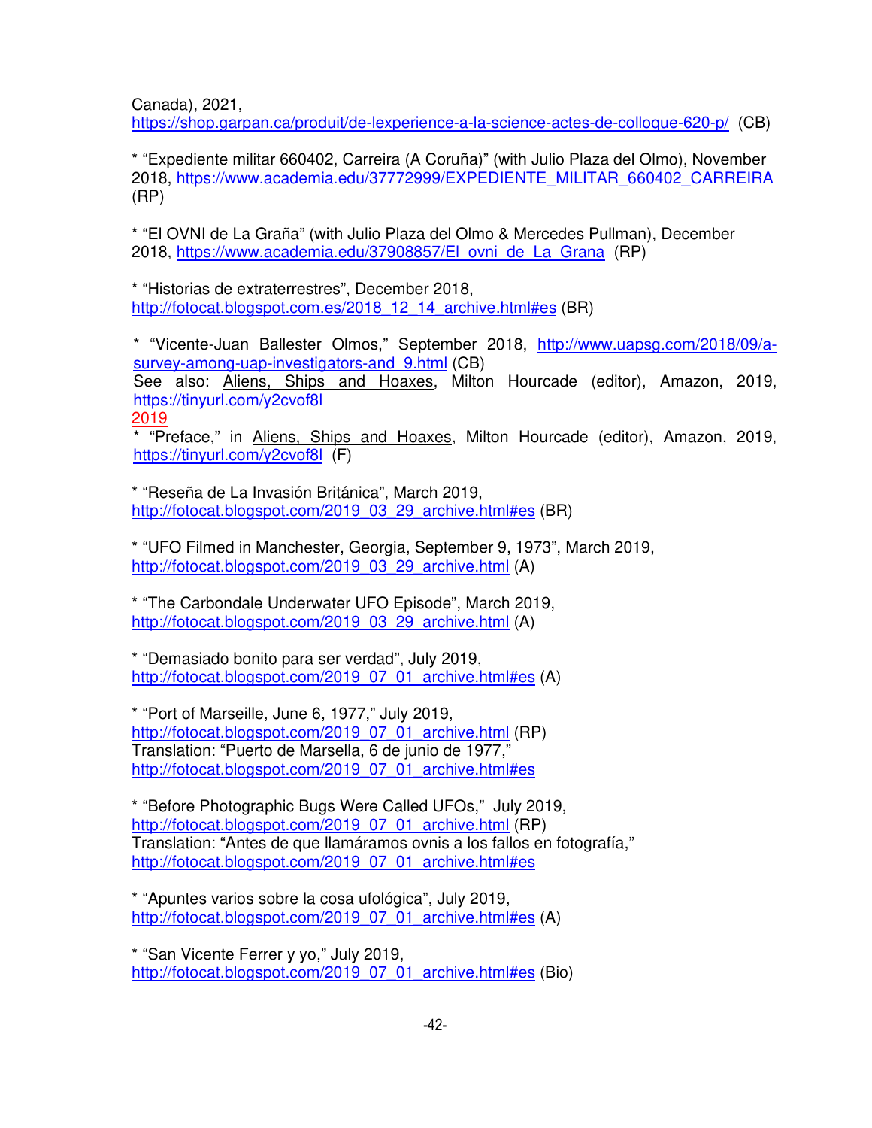Canada), 2021,

https://shop.garpan.ca/produit/de-lexperience-a-la-science-actes-de-colloque-620-p/ (CB)

\* "Expediente militar 660402, Carreira (A Coruña)" (with Julio Plaza del Olmo), November 2018, https://www.academia.edu/37772999/EXPEDIENTE\_MILITAR\_660402\_CARREIRA (RP)

\* "El OVNI de La Graña" (with Julio Plaza del Olmo & Mercedes Pullman), December 2018, https://www.academia.edu/37908857/El\_ovni\_de\_La\_Grana (RP)

\* "Historias de extraterrestres", December 2018, http://fotocat.blogspot.com.es/2018\_12\_14\_archive.html#es (BR)

\* "Vicente-Juan Ballester Olmos," September 2018, http://www.uapsg.com/2018/09/asurvey-among-uap-investigators-and 9.html (CB) See also: Aliens, Ships and Hoaxes, Milton Hourcade (editor), Amazon, 2019, https://tinyurl.com/y2cvof8l 2019

\* "Preface," in Aliens, Ships and Hoaxes, Milton Hourcade (editor), Amazon, 2019, https://tinyurl.com/y2cvof8l (F)

\* "Reseña de La Invasión Británica", March 2019, http://fotocat.blogspot.com/2019\_03\_29\_archive.html#es (BR)

\* "UFO Filmed in Manchester, Georgia, September 9, 1973", March 2019, http://fotocat.blogspot.com/2019\_03\_29\_archive.html (A)

\* "The Carbondale Underwater UFO Episode", March 2019, http://fotocat.blogspot.com/2019\_03\_29\_archive.html (A)

\* "Demasiado bonito para ser verdad", July 2019, http://fotocat.blogspot.com/2019\_07\_01\_archive.html#es (A)

\* "Port of Marseille, June 6, 1977," July 2019, http://fotocat.blogspot.com/2019\_07\_01\_archive.html (RP) Translation: "Puerto de Marsella, 6 de junio de 1977," http://fotocat.blogspot.com/2019\_07\_01\_archive.html#es

\* "Before Photographic Bugs Were Called UFOs," July 2019, http://fotocat.blogspot.com/2019\_07\_01\_archive.html (RP) Translation: "Antes de que llamáramos ovnis a los fallos en fotografía," http://fotocat.blogspot.com/2019\_07\_01\_archive.html#es

\* "Apuntes varios sobre la cosa ufológica", July 2019, http://fotocat.blogspot.com/2019\_07\_01\_archive.html#es (A)

\* "San Vicente Ferrer y yo," July 2019, http://fotocat.blogspot.com/2019\_07\_01\_archive.html#es (Bio)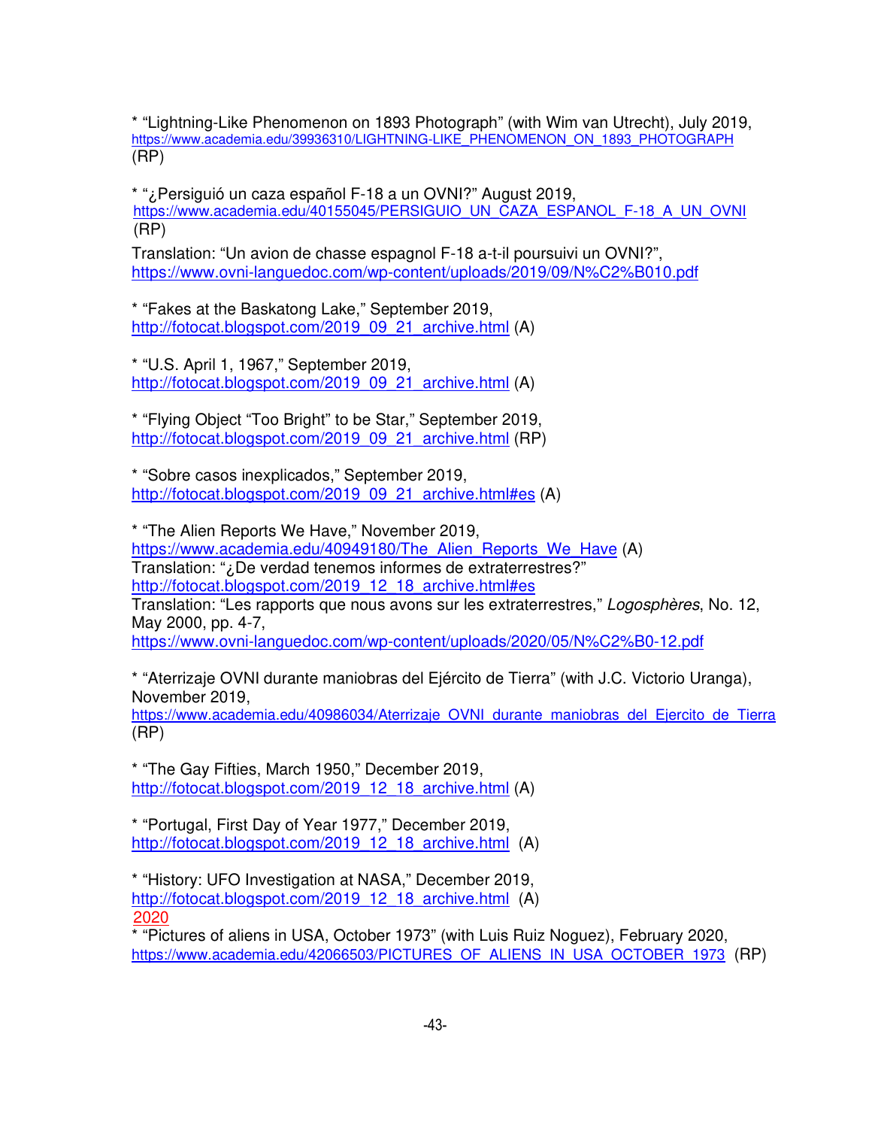\* "Lightning-Like Phenomenon on 1893 Photograph" (with Wim van Utrecht), July 2019, https://www.academia.edu/39936310/LIGHTNING-LIKE\_PHENOMENON\_ON\_1893\_PHOTOGRAPH (RP)

\* "¿Persiguió un caza español F-18 a un OVNI?" August 2019, https://www.academia.edu/40155045/PERSIGUIO\_UN\_CAZA\_ESPANOL\_F-18\_A\_UN\_OVNI (RP)

Translation: "Un avion de chasse espagnol F-18 a-t-il poursuivi un OVNI?", https://www.ovni-languedoc.com/wp-content/uploads/2019/09/N%C2%B010.pdf

\* "Fakes at the Baskatong Lake," September 2019, http://fotocat.blogspot.com/2019\_09\_21\_archive.html (A)

\* "U.S. April 1, 1967," September 2019, http://fotocat.blogspot.com/2019\_09\_21\_archive.html (A)

\* "Flying Object "Too Bright" to be Star," September 2019, http://fotocat.blogspot.com/2019\_09\_21\_archive.html (RP)

\* "Sobre casos inexplicados," September 2019, http://fotocat.blogspot.com/2019\_09\_21\_archive.html#es (A)

\* "The Alien Reports We Have," November 2019, https://www.academia.edu/40949180/The Alien Reports We Have (A) Translation: "¿De verdad tenemos informes de extraterrestres?" http://fotocat.blogspot.com/2019\_12\_18\_archive.html#es Translation: "Les rapports que nous avons sur les extraterrestres," Logosphères, No. 12, May 2000, pp. 4-7, https://www.ovni-languedoc.com/wp-content/uploads/2020/05/N%C2%B0-12.pdf

\* "Aterrizaje OVNI durante maniobras del Ejército de Tierra" (with J.C. Victorio Uranga), November 2019,

https://www.academia.edu/40986034/Aterrizaje\_OVNI\_durante\_maniobras\_del\_Ejercito\_de\_Tierra (RP)

\* "The Gay Fifties, March 1950," December 2019, http://fotocat.blogspot.com/2019\_12\_18\_archive.html (A)

\* "Portugal, First Day of Year 1977," December 2019, http://fotocat.blogspot.com/2019\_12\_18\_archive.html (A)

\* "History: UFO Investigation at NASA," December 2019, http://fotocat.blogspot.com/2019\_12\_18\_archive.html (A) 2020

\* "Pictures of aliens in USA, October 1973" (with Luis Ruiz Noguez), February 2020, https://www.academia.edu/42066503/PICTURES\_OF\_ALIENS\_IN\_USA\_OCTOBER\_1973 (RP)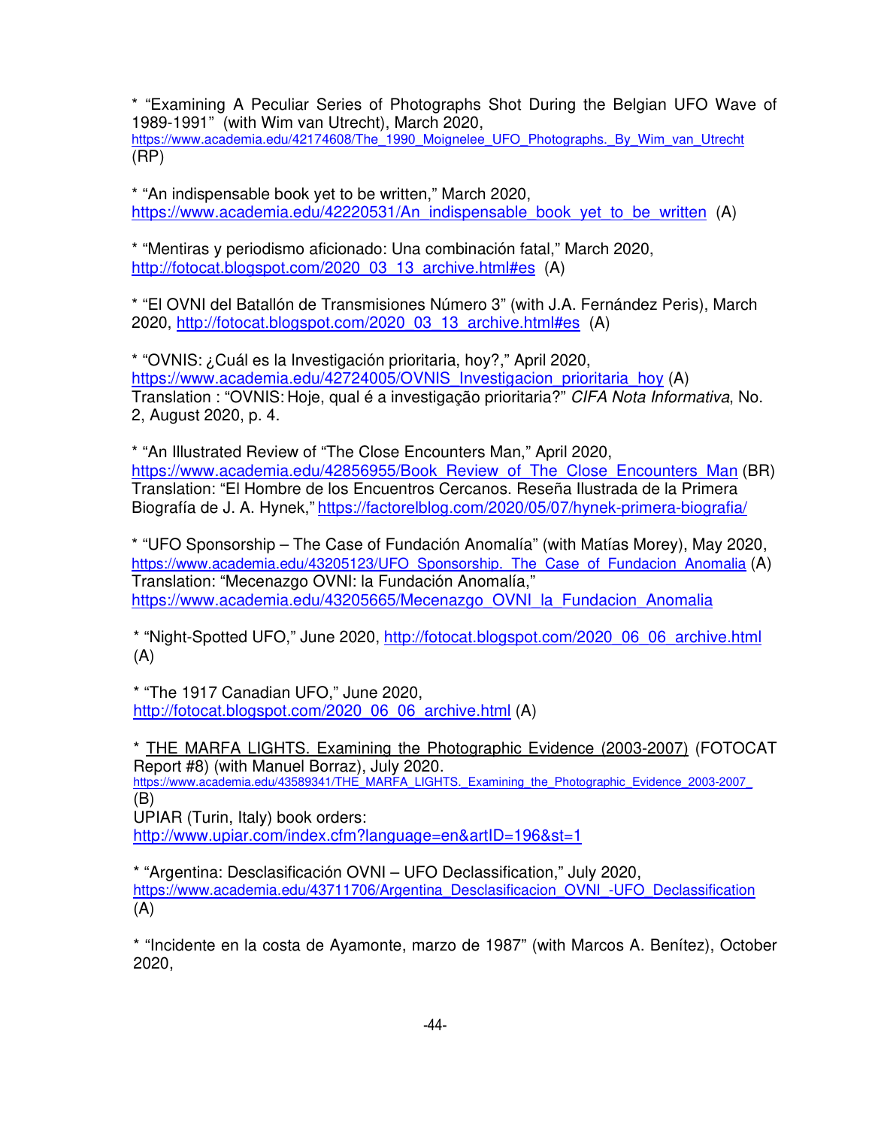\* "Examining A Peculiar Series of Photographs Shot During the Belgian UFO Wave of 1989-1991" (with Wim van Utrecht), March 2020,

https://www.academia.edu/42174608/The<sup>1990</sup> Moignelee UFO Photographs. By Wim van Utrecht (RP)

\* "An indispensable book yet to be written," March 2020, https://www.academia.edu/42220531/An\_indispensable\_book\_yet\_to\_be\_written (A)

\* "Mentiras y periodismo aficionado: Una combinación fatal," March 2020, http://fotocat.blogspot.com/2020\_03\_13\_archive.html#es (A)

\* "El OVNI del Batallón de Transmisiones Número 3" (with J.A. Fernández Peris), March 2020, http://fotocat.blogspot.com/2020\_03\_13\_archive.html#es (A)

\* "OVNIS: ¿Cuál es la Investigación prioritaria, hoy?," April 2020, https://www.academia.edu/42724005/OVNIS\_Investigacion\_prioritaria\_hoy (A) Translation : "OVNIS: Hoje, qual é a investigação prioritaria?" CIFA Nota Informativa, No. 2, August 2020, p. 4.

\* "An Illustrated Review of "The Close Encounters Man," April 2020, https://www.academia.edu/42856955/Book\_Review\_of\_The\_Close\_Encounters\_Man (BR) Translation: "El Hombre de los Encuentros Cercanos. Reseña Ilustrada de la Primera Biografía de J. A. Hynek," https://factorelblog.com/2020/05/07/hynek-primera-biografia/

\* "UFO Sponsorship – The Case of Fundación Anomalía" (with Matías Morey), May 2020, https://www.academia.edu/43205123/UFO\_Sponsorship.\_The\_Case\_of\_Fundacion\_Anomalia (A) Translation: "Mecenazgo OVNI: la Fundación Anomalía," https://www.academia.edu/43205665/Mecenazgo\_OVNI\_la\_Fundacion\_Anomalia

\* "Night-Spotted UFO," June 2020, http://fotocat.blogspot.com/2020\_06\_06\_archive.html (A)

\* "The 1917 Canadian UFO," June 2020, http://fotocat.blogspot.com/2020\_06\_06\_archive.html (A)

\* THE MARFA LIGHTS. Examining the Photographic Evidence (2003-2007) (FOTOCAT Report #8) (with Manuel Borraz), July 2020. https://www.academia.edu/43589341/THE\_MARFA\_LIGHTS.\_Examining\_the\_Photographic\_Evidence\_2003-2007 (B)

UPIAR (Turin, Italy) book orders:

http://www.upiar.com/index.cfm?language=en&artID=196&st=1

\* "Argentina: Desclasificación OVNI – UFO Declassification," July 2020, https://www.academia.edu/43711706/Argentina\_Desclasificacion\_OVNI\_-UFO\_Declassification  $(A)$ 

\* "Incidente en la costa de Ayamonte, marzo de 1987" (with Marcos A. Benítez), October 2020,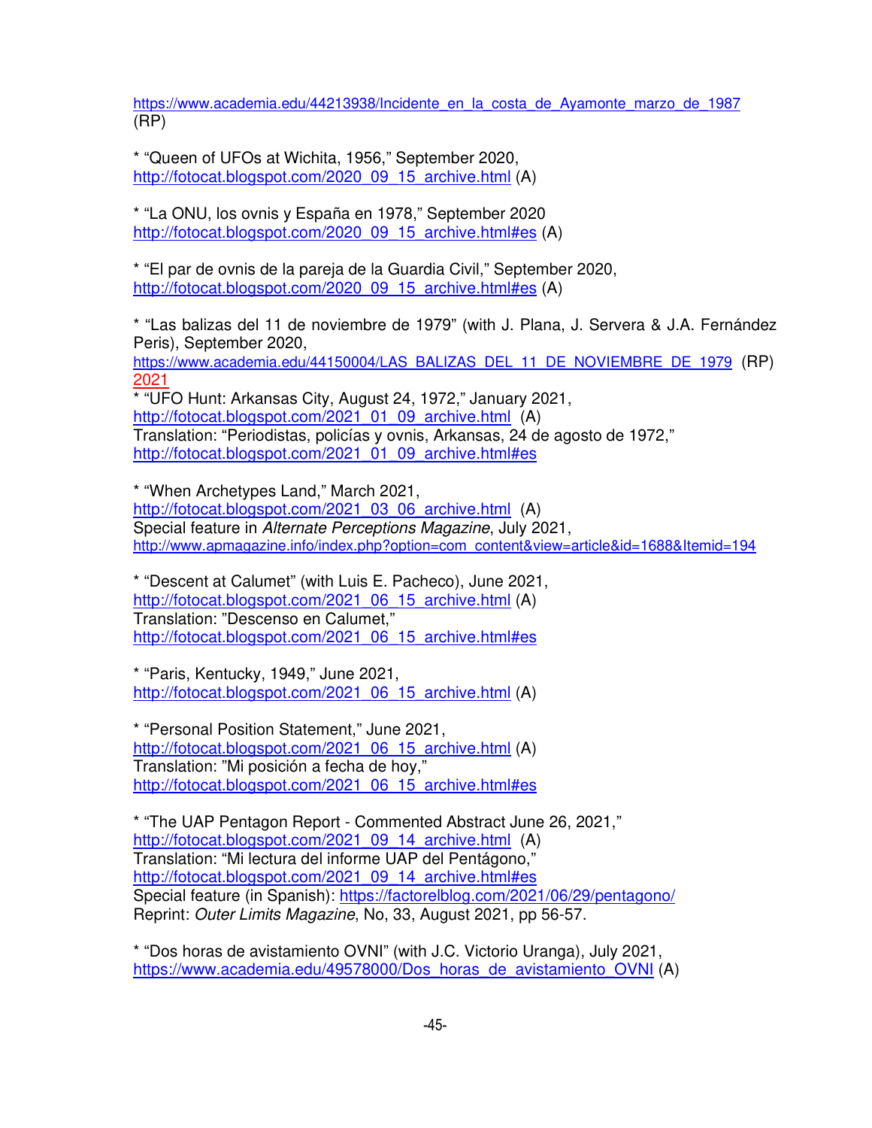https://www.academia.edu/44213938/Incidente\_en\_la\_costa\_de\_Ayamonte\_marzo\_de\_1987 (RP)

\* "Queen of UFOs at Wichita, 1956," September 2020, http://fotocat.blogspot.com/2020\_09\_15\_archive.html (A)

\* "La ONU, los ovnis y España en 1978," September 2020 http://fotocat.blogspot.com/2020\_09\_15\_archive.html#es (A)

\* "El par de ovnis de la pareja de la Guardia Civil," September 2020, http://fotocat.blogspot.com/2020\_09\_15\_archive.html#es (A)

\* "Las balizas del 11 de noviembre de 1979" (with J. Plana, J. Servera & J.A. Fernández Peris), September 2020,

https://www.academia.edu/44150004/LAS\_BALIZAS\_DEL\_11\_DE\_NOVIEMBRE\_DE\_1979 (RP) 2021

\* "UFO Hunt: Arkansas City, August 24, 1972," January 2021, http://fotocat.blogspot.com/2021\_01\_09\_archive.html (A) Translation: "Periodistas, policías y ovnis, Arkansas, 24 de agosto de 1972," http://fotocat.blogspot.com/2021\_01\_09\_archive.html#es

\* "When Archetypes Land," March 2021, http://fotocat.blogspot.com/2021\_03\_06\_archive.html (A) Special feature in Alternate Perceptions Magazine, July 2021, http://www.apmagazine.info/index.php?option=com\_content&view=article&id=1688&Itemid=194

\* "Descent at Calumet" (with Luis E. Pacheco), June 2021, http://fotocat.blogspot.com/2021\_06\_15\_archive.html (A) Translation: "Descenso en Calumet," http://fotocat.blogspot.com/2021\_06\_15\_archive.html#es

\* "Paris, Kentucky, 1949," June 2021, http://fotocat.blogspot.com/2021\_06\_15\_archive.html (A)

\* "Personal Position Statement," June 2021, http://fotocat.blogspot.com/2021\_06\_15\_archive.html (A) Translation: "Mi posición a fecha de hoy," http://fotocat.blogspot.com/2021\_06\_15\_archive.html#es

\* "The UAP Pentagon Report - Commented Abstract June 26, 2021," http://fotocat.blogspot.com/2021\_09\_14\_archive.html (A) Translation: "Mi lectura del informe UAP del Pentágono," http://fotocat.blogspot.com/2021\_09\_14\_archive.html#es Special feature (in Spanish): https://factorelblog.com/2021/06/29/pentagono/ Reprint: Outer Limits Magazine, No, 33, August 2021, pp 56-57.

\* "Dos horas de avistamiento OVNI" (with J.C. Victorio Uranga), July 2021, https://www.academia.edu/49578000/Dos\_horas\_de\_avistamiento\_OVNI (A)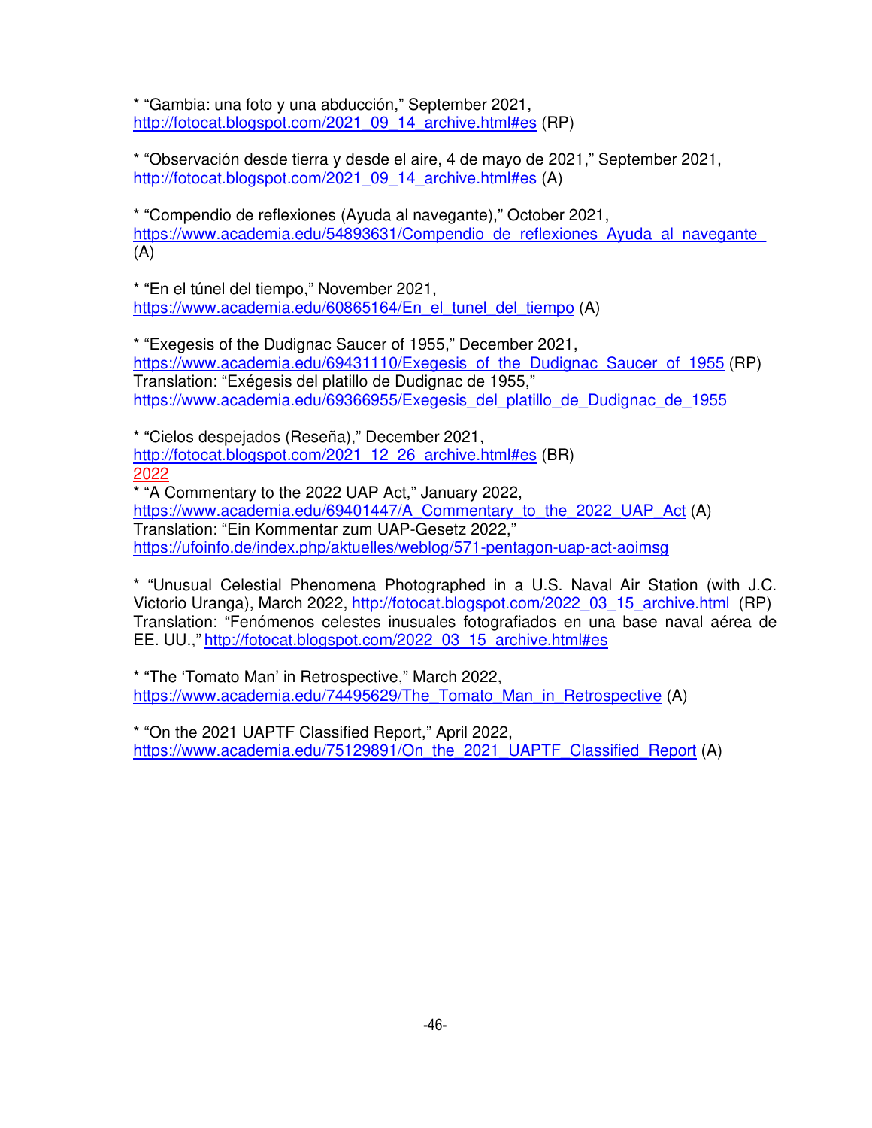\* "Gambia: una foto y una abducción," September 2021, http://fotocat.blogspot.com/2021\_09\_14\_archive.html#es (RP)

\* "Observación desde tierra y desde el aire, 4 de mayo de 2021," September 2021, http://fotocat.blogspot.com/2021\_09\_14\_archive.html#es (A)

\* "Compendio de reflexiones (Ayuda al navegante)," October 2021, https://www.academia.edu/54893631/Compendio\_de\_reflexiones\_Ayuda\_al\_navegante  $(A)$ 

\* "En el túnel del tiempo," November 2021, https://www.academia.edu/60865164/En\_el\_tunel\_del\_tiempo (A)

\* "Exegesis of the Dudignac Saucer of 1955," December 2021, https://www.academia.edu/69431110/Exegesis\_of\_the\_Dudignac\_Saucer\_of\_1955 (RP) Translation: "Exégesis del platillo de Dudignac de 1955," https://www.academia.edu/69366955/Exegesis\_del\_platillo\_de\_Dudignac\_de\_1955

\* "Cielos despejados (Reseña)," December 2021, http://fotocat.blogspot.com/2021\_12\_26\_archive.html#es (BR) 2022

\* "A Commentary to the 2022 UAP Act," January 2022, https://www.academia.edu/69401447/A\_Commentary\_to\_the\_2022\_UAP\_Act (A) Translation: "Ein Kommentar zum UAP-Gesetz 2022," https://ufoinfo.de/index.php/aktuelles/weblog/571-pentagon-uap-act-aoimsg

\* "Unusual Celestial Phenomena Photographed in a U.S. Naval Air Station (with J.C. Victorio Uranga), March 2022, http://fotocat.blogspot.com/2022\_03\_15\_archive.html (RP) Translation: "Fenómenos celestes inusuales fotografiados en una base naval aérea de EE. UU.," http://fotocat.blogspot.com/2022\_03\_15\_archive.html#es

\* "The 'Tomato Man' in Retrospective," March 2022, https://www.academia.edu/74495629/The\_Tomato\_Man\_in\_Retrospective (A)

\* "On the 2021 UAPTF Classified Report," April 2022, https://www.academia.edu/75129891/On\_the\_2021\_UAPTF\_Classified\_Report (A)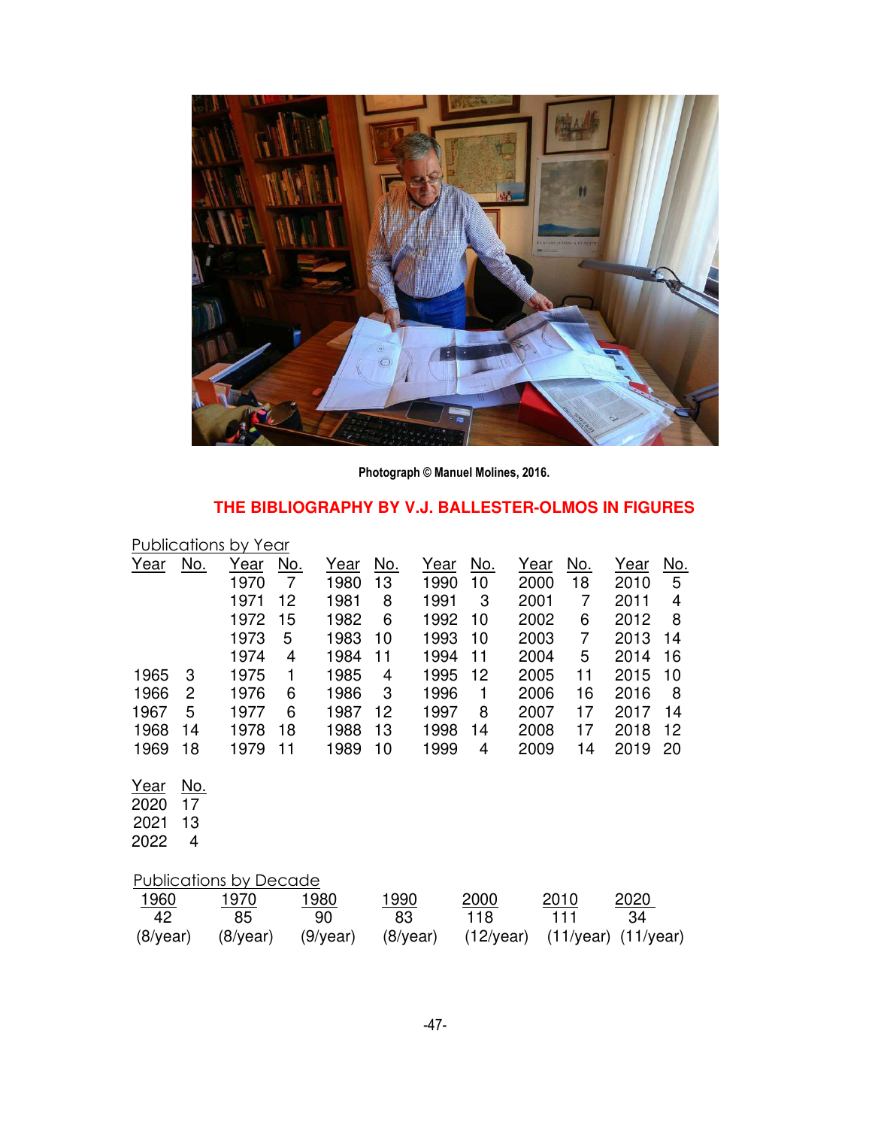

**Photograph © Manuel Molines, 2016.**

# **THE BIBLIOGRAPHY BY V.J. BALLESTER-OLMOS IN FIGURES**

| Publications by Year         |                             |                     |                              |                     |                  |              |                     |              |                  |                          |                 |
|------------------------------|-----------------------------|---------------------|------------------------------|---------------------|------------------|--------------|---------------------|--------------|------------------|--------------------------|-----------------|
| <u>Year</u>                  | <u>No.</u>                  | <u>Year</u><br>1970 | <u>No.</u><br>$\overline{7}$ | <u>Year</u><br>1980 | <u>No.</u><br>13 | Year<br>1990 | <u>No.</u><br>10    | Year<br>2000 | <u>No.</u><br>18 | Year<br>2010             | <u>No.</u><br>5 |
|                              |                             | 1971                | 12                           | 1981                | 8                | 1991         | 3                   | 2001         | $\overline{7}$   | 2011                     | 4               |
|                              |                             | 1972                | 15                           | 1982                | 6                | 1992         | 10                  | 2002         | 6                | 2012                     | 8               |
|                              |                             | 1973                | 5                            | 1983                | 10               | 1993         | 10                  | 2003         | $\overline{7}$   | 2013                     | 14              |
|                              |                             | 1974                | 4                            | 1984                | 11               | 1994         | 11                  | 2004         | 5                | 2014                     | 16              |
| 1965                         | 3                           | 1975                | 1                            | 1985                | 4                | 1995         | 12                  | 2005         | 11               | 2015                     | 10              |
| 1966                         | 2                           | 1976                | 6                            | 1986                | 3                | 1996         | 1                   | 2006         | 16               | 2016                     | 8               |
| 1967                         | 5                           | 1977                | 6                            | 1987                | 12               | 1997         | 8                   | 2007         | 17               | 2017                     | 14              |
| 1968                         | 14                          | 1978                | 18                           | 1988                | 13               | 1998         | 14                  | 2008         | 17               | 2018                     | 12              |
| 1969                         | 18                          | 1979                | 11                           | 1989                | 10               | 1999         | 4                   | 2009         | 14               | 2019                     | 20              |
| Year<br>2020<br>2021<br>2022 | <u>No.</u><br>17<br>13<br>4 |                     |                              |                     |                  |              |                     |              |                  |                          |                 |
| Publications by Decade       |                             |                     |                              |                     |                  |              |                     |              |                  |                          |                 |
| 1960                         |                             | 1970                |                              | 1980                | <u> 1990</u>     |              | 2000                |              | 2010             | <u> 2020 </u>            |                 |
| 42                           |                             | 85                  |                              | 90<br>(9/year)      | 83               | $(8$ /year)  | 118<br>$(12$ /year) |              | 111<br>(11/year) | 34<br>$(11/\text{year})$ |                 |
| $(8$ /year)                  |                             | (8/year)            |                              |                     |                  |              |                     |              |                  |                          |                 |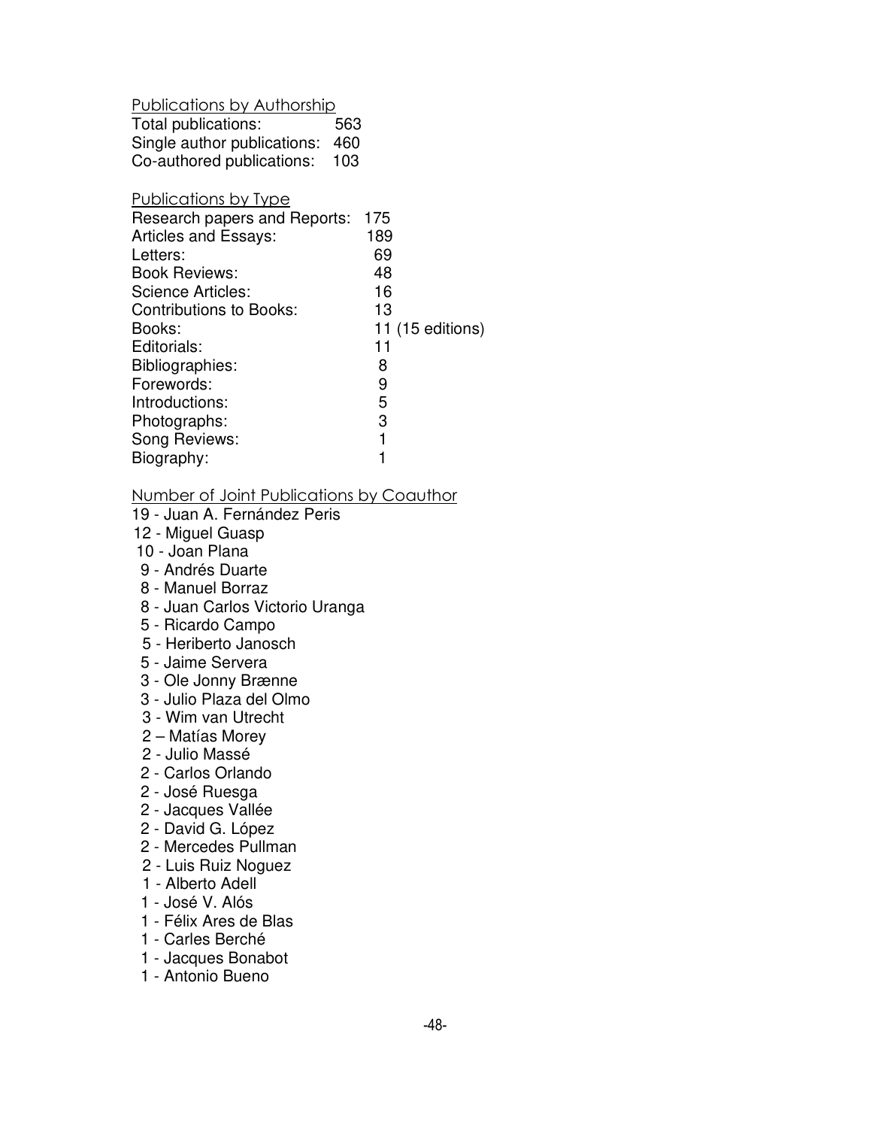Publications by Authorship

| Total publications:             | 563 |
|---------------------------------|-----|
| Single author publications: 460 |     |
| Co-authored publications:       | 103 |

# Publications by Type

| Research papers and Reports: | 175 |                  |
|------------------------------|-----|------------------|
| <b>Articles and Essays:</b>  | 189 |                  |
| Letters:                     | 69  |                  |
| <b>Book Reviews:</b>         | 48  |                  |
| Science Articles:            | 16  |                  |
| Contributions to Books:      | 13  |                  |
| Books:                       |     | 11 (15 editions) |
| Editorials:                  | 11  |                  |
| Bibliographies:              | 8   |                  |
| Forewords:                   | 9   |                  |
| Introductions:               | 5   |                  |
| Photographs:                 | 3   |                  |
| Song Reviews:                | 1   |                  |
| Biography:                   |     |                  |

#### Number of Joint Publications by Coauthor

- 19 Juan A. Fernández Peris
- 12 Miguel Guasp
- 10 Joan Plana
- 9 Andrés Duarte
- 8 Manuel Borraz
- 8 Juan Carlos Victorio Uranga
- 5 Ricardo Campo
- 5 Heriberto Janosch
- 5 Jaime Servera
- 3 Ole Jonny Brænne
- 3 Julio Plaza del Olmo
- 3 Wim van Utrecht
- 2 Matías Morey
- 2 Julio Massé
- 2 Carlos Orlando
- 2 José Ruesga
- 2 Jacques Vallée
- 2 David G. López
- 2 Mercedes Pullman
- 2 Luis Ruiz Noguez
- 1 Alberto Adell
- 1 José V. Alós
- 1 Félix Ares de Blas
- 1 Carles Berché
- 1 Jacques Bonabot
- 1 Antonio Bueno